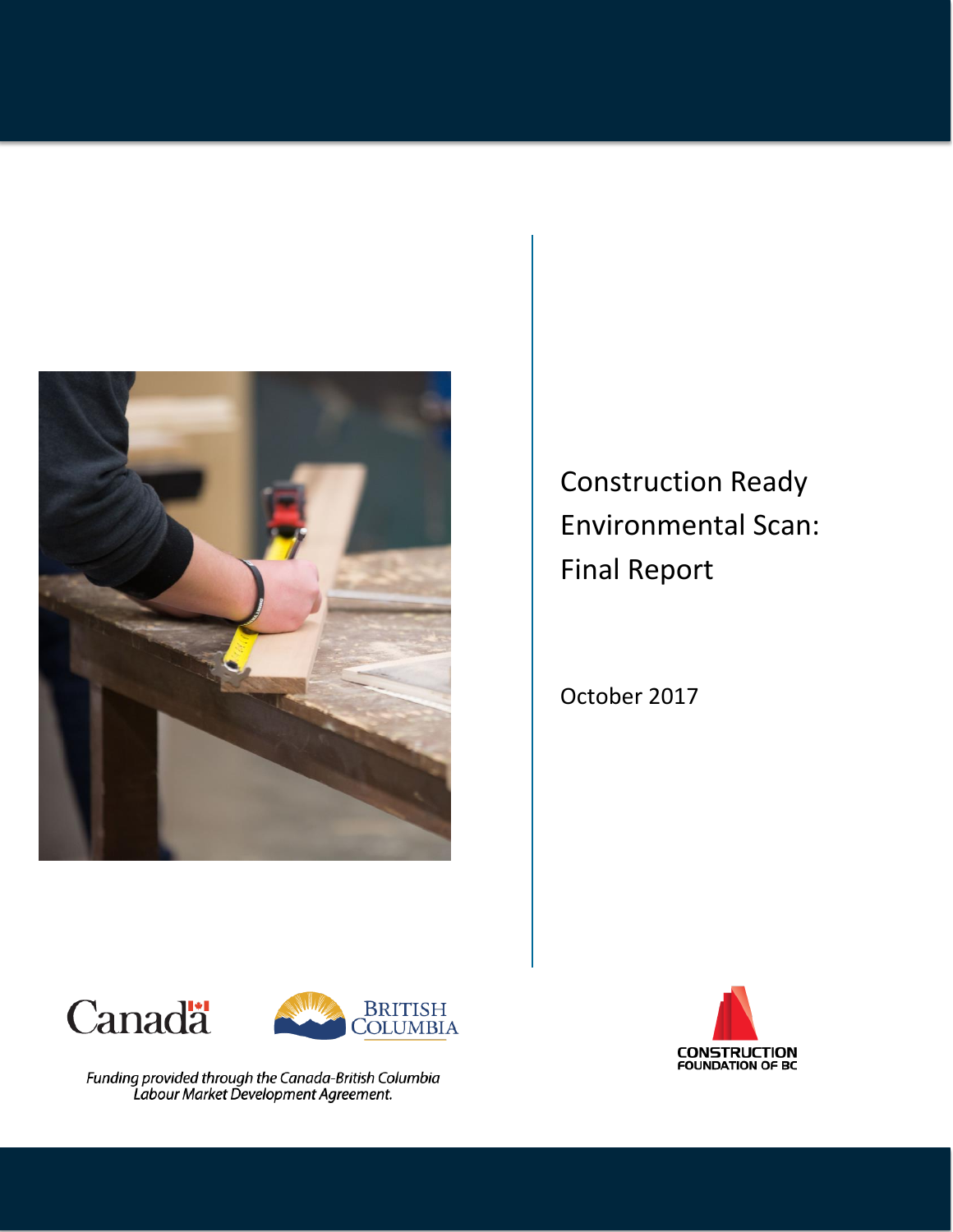

Construction Ready Environmental Scan: Final Report

October 2017





Funding provided through the Canada-British Columbia<br>Labour Market Development Agreement.

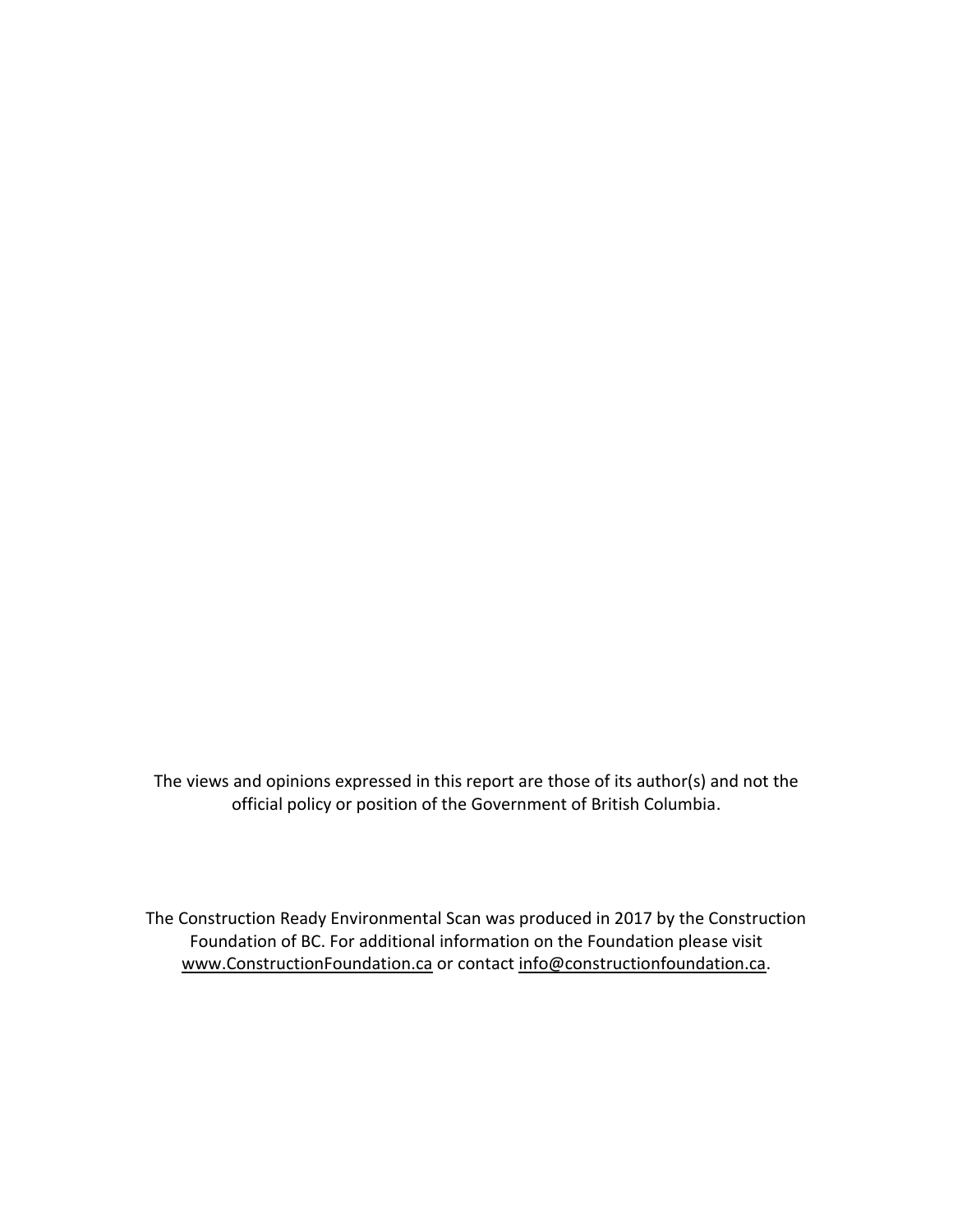The views and opinions expressed in this report are those of its author(s) and not the official policy or position of the Government of British Columbia.

The Construction Ready Environmental Scan was produced in 2017 by the Construction Foundation of BC. For additional information on the Foundation please visit [www.ConstructionFoundation.ca](http://www.constructionfoundation.ca/) or contact [info@constructionfoundation.ca.](mailto:info@constructionfoundation.ca)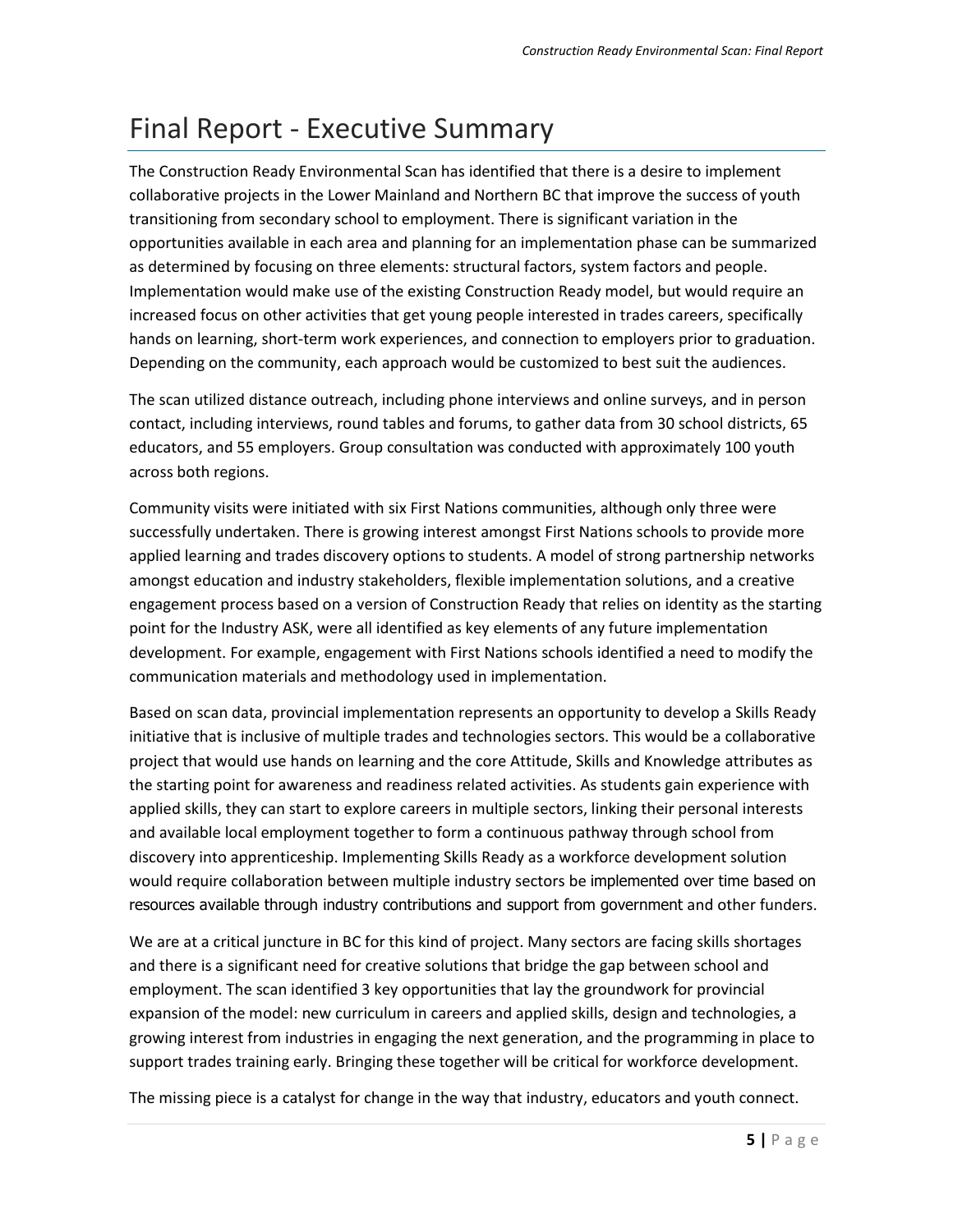# Final Report - Executive Summary

The Construction Ready Environmental Scan has identified that there is a desire to implement collaborative projects in the Lower Mainland and Northern BC that improve the success of youth transitioning from secondary school to employment. There is significant variation in the opportunities available in each area and planning for an implementation phase can be summarized as determined by focusing on three elements: structural factors, system factors and people. Implementation would make use of the existing Construction Ready model, but would require an increased focus on other activities that get young people interested in trades careers, specifically hands on learning, short-term work experiences, and connection to employers prior to graduation. Depending on the community, each approach would be customized to best suit the audiences.

The scan utilized distance outreach, including phone interviews and online surveys, and in person contact, including interviews, round tables and forums, to gather data from 30 school districts, 65 educators, and 55 employers. Group consultation was conducted with approximately 100 youth across both regions.

Community visits were initiated with six First Nations communities, although only three were successfully undertaken. There is growing interest amongst First Nations schools to provide more applied learning and trades discovery options to students. A model of strong partnership networks amongst education and industry stakeholders, flexible implementation solutions, and a creative engagement process based on a version of Construction Ready that relies on identity as the starting point for the Industry ASK, were all identified as key elements of any future implementation development. For example, engagement with First Nations schools identified a need to modify the communication materials and methodology used in implementation.

Based on scan data, provincial implementation represents an opportunity to develop a Skills Ready initiative that is inclusive of multiple trades and technologies sectors. This would be a collaborative project that would use hands on learning and the core Attitude, Skills and Knowledge attributes as the starting point for awareness and readiness related activities. As students gain experience with applied skills, they can start to explore careers in multiple sectors, linking their personal interests and available local employment together to form a continuous pathway through school from discovery into apprenticeship. Implementing Skills Ready as a workforce development solution would require collaboration between multiple industry sectors be implemented over time based on resources available through industry contributions and support from government and other funders.

We are at a critical juncture in BC for this kind of project. Many sectors are facing skills shortages and there is a significant need for creative solutions that bridge the gap between school and employment. The scan identified 3 key opportunities that lay the groundwork for provincial expansion of the model: new curriculum in careers and applied skills, design and technologies, a growing interest from industries in engaging the next generation, and the programming in place to support trades training early. Bringing these together will be critical for workforce development.

The missing piece is a catalyst for change in the way that industry, educators and youth connect.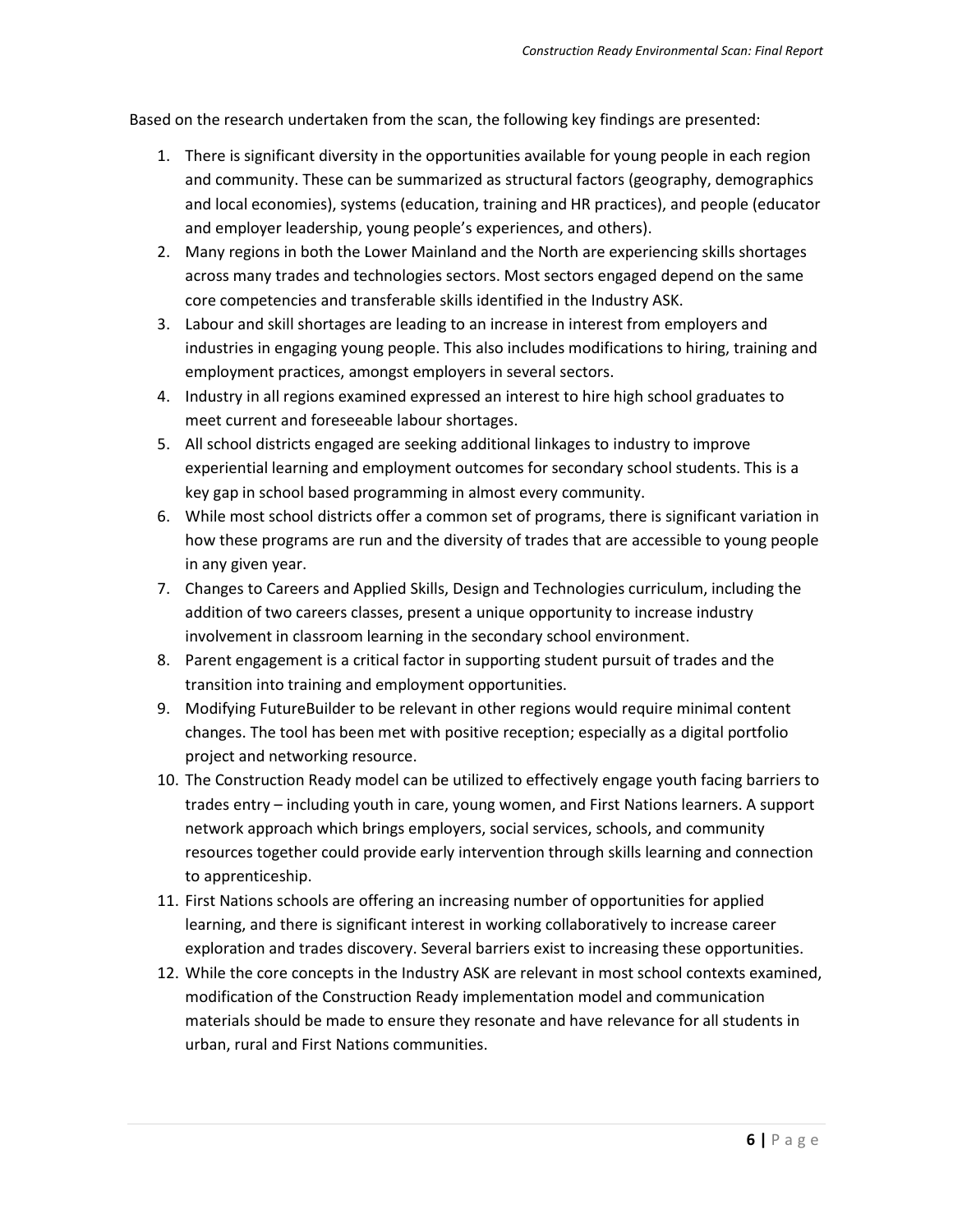Based on the research undertaken from the scan, the following key findings are presented:

- 1. There is significant diversity in the opportunities available for young people in each region and community. These can be summarized as structural factors (geography, demographics and local economies), systems (education, training and HR practices), and people (educator and employer leadership, young people's experiences, and others).
- 2. Many regions in both the Lower Mainland and the North are experiencing skills shortages across many trades and technologies sectors. Most sectors engaged depend on the same core competencies and transferable skills identified in the Industry ASK.
- 3. Labour and skill shortages are leading to an increase in interest from employers and industries in engaging young people. This also includes modifications to hiring, training and employment practices, amongst employers in several sectors.
- 4. Industry in all regions examined expressed an interest to hire high school graduates to meet current and foreseeable labour shortages.
- 5. All school districts engaged are seeking additional linkages to industry to improve experiential learning and employment outcomes for secondary school students. This is a key gap in school based programming in almost every community.
- 6. While most school districts offer a common set of programs, there is significant variation in how these programs are run and the diversity of trades that are accessible to young people in any given year.
- 7. Changes to Careers and Applied Skills, Design and Technologies curriculum, including the addition of two careers classes, present a unique opportunity to increase industry involvement in classroom learning in the secondary school environment.
- 8. Parent engagement is a critical factor in supporting student pursuit of trades and the transition into training and employment opportunities.
- 9. Modifying FutureBuilder to be relevant in other regions would require minimal content changes. The tool has been met with positive reception; especially as a digital portfolio project and networking resource.
- 10. The Construction Ready model can be utilized to effectively engage youth facing barriers to trades entry – including youth in care, young women, and First Nations learners. A support network approach which brings employers, social services, schools, and community resources together could provide early intervention through skills learning and connection to apprenticeship.
- 11. First Nations schools are offering an increasing number of opportunities for applied learning, and there is significant interest in working collaboratively to increase career exploration and trades discovery. Several barriers exist to increasing these opportunities.
- 12. While the core concepts in the Industry ASK are relevant in most school contexts examined, modification of the Construction Ready implementation model and communication materials should be made to ensure they resonate and have relevance for all students in urban, rural and First Nations communities.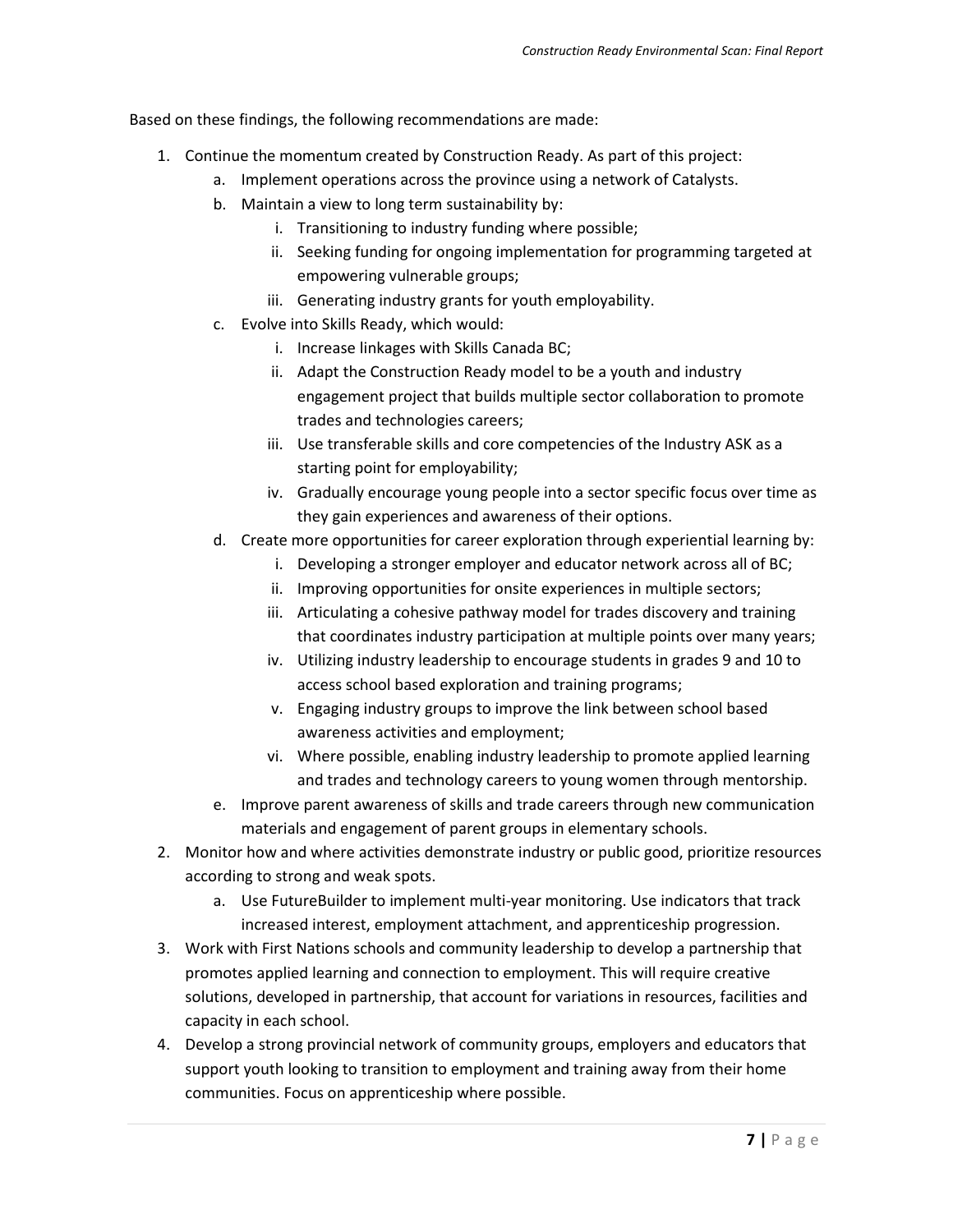Based on these findings, the following recommendations are made:

- 1. Continue the momentum created by Construction Ready. As part of this project:
	- a. Implement operations across the province using a network of Catalysts.
	- b. Maintain a view to long term sustainability by:
		- i. Transitioning to industry funding where possible;
		- ii. Seeking funding for ongoing implementation for programming targeted at empowering vulnerable groups;
		- iii. Generating industry grants for youth employability.
	- c. Evolve into Skills Ready, which would:
		- i. Increase linkages with Skills Canada BC;
		- ii. Adapt the Construction Ready model to be a youth and industry engagement project that builds multiple sector collaboration to promote trades and technologies careers;
		- iii. Use transferable skills and core competencies of the Industry ASK as a starting point for employability;
		- iv. Gradually encourage young people into a sector specific focus over time as they gain experiences and awareness of their options.
	- d. Create more opportunities for career exploration through experiential learning by:
		- i. Developing a stronger employer and educator network across all of BC;
		- ii. Improving opportunities for onsite experiences in multiple sectors;
		- iii. Articulating a cohesive pathway model for trades discovery and training that coordinates industry participation at multiple points over many years;
		- iv. Utilizing industry leadership to encourage students in grades 9 and 10 to access school based exploration and training programs;
		- v. Engaging industry groups to improve the link between school based awareness activities and employment;
		- vi. Where possible, enabling industry leadership to promote applied learning and trades and technology careers to young women through mentorship.
	- e. Improve parent awareness of skills and trade careers through new communication materials and engagement of parent groups in elementary schools.
- 2. Monitor how and where activities demonstrate industry or public good, prioritize resources according to strong and weak spots.
	- a. Use FutureBuilder to implement multi-year monitoring. Use indicators that track increased interest, employment attachment, and apprenticeship progression.
- 3. Work with First Nations schools and community leadership to develop a partnership that promotes applied learning and connection to employment. This will require creative solutions, developed in partnership, that account for variations in resources, facilities and capacity in each school.
- 4. Develop a strong provincial network of community groups, employers and educators that support youth looking to transition to employment and training away from their home communities. Focus on apprenticeship where possible.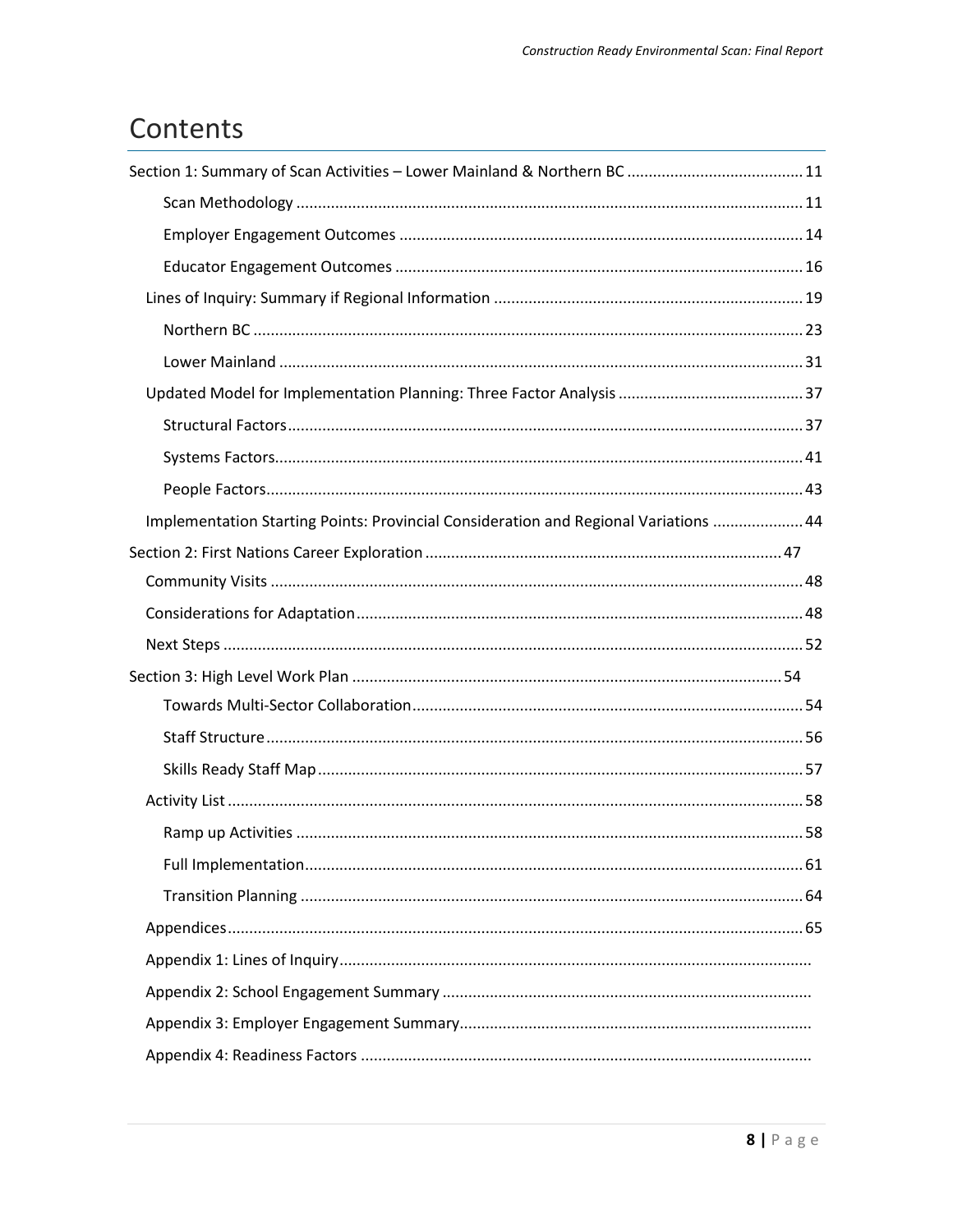# Contents

| Implementation Starting Points: Provincial Consideration and Regional Variations  44 |  |
|--------------------------------------------------------------------------------------|--|
|                                                                                      |  |
|                                                                                      |  |
|                                                                                      |  |
|                                                                                      |  |
|                                                                                      |  |
|                                                                                      |  |
|                                                                                      |  |
|                                                                                      |  |
|                                                                                      |  |
|                                                                                      |  |
|                                                                                      |  |
|                                                                                      |  |
|                                                                                      |  |
|                                                                                      |  |
|                                                                                      |  |
|                                                                                      |  |
|                                                                                      |  |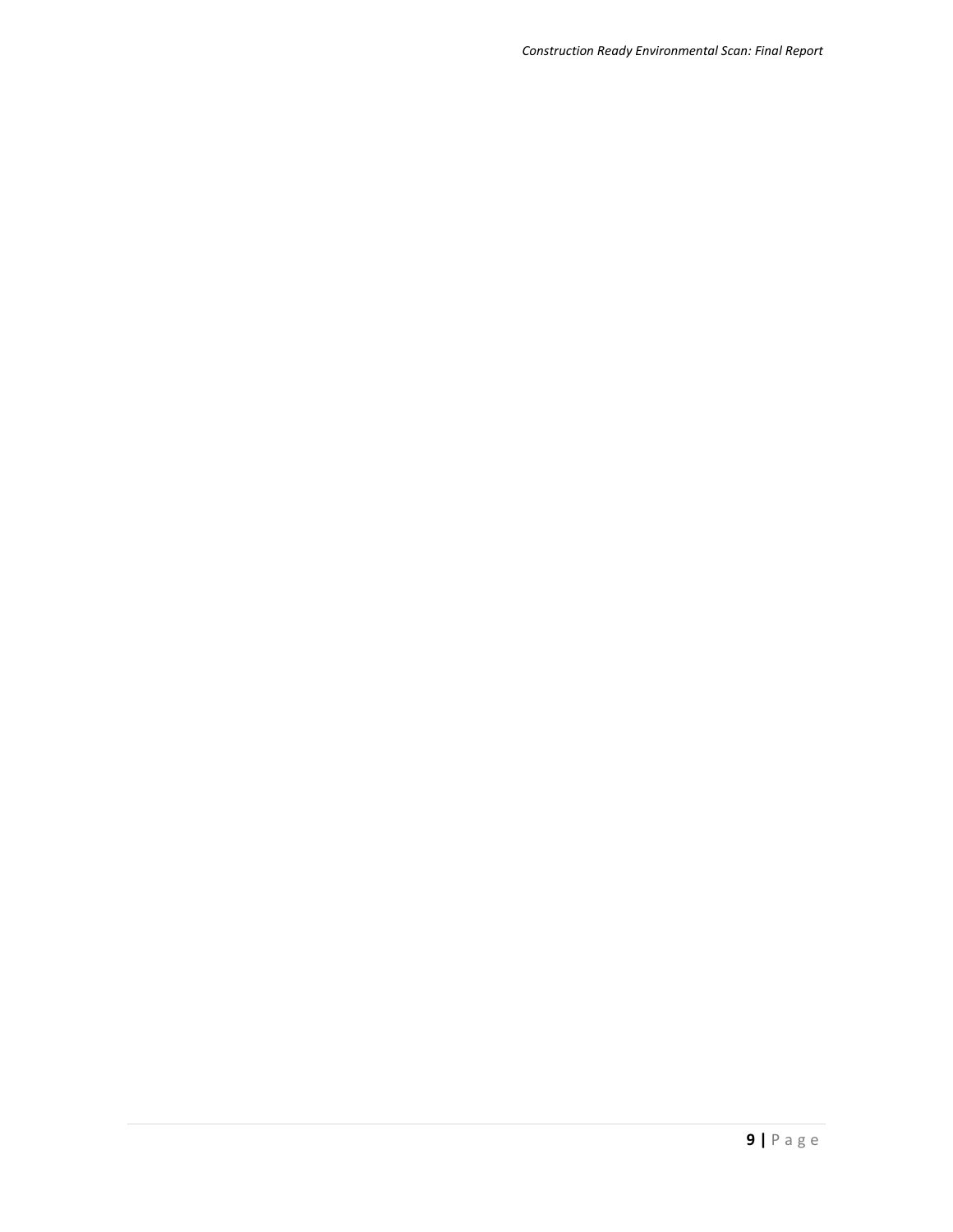*Construction Ready Environmental Scan: Final Report*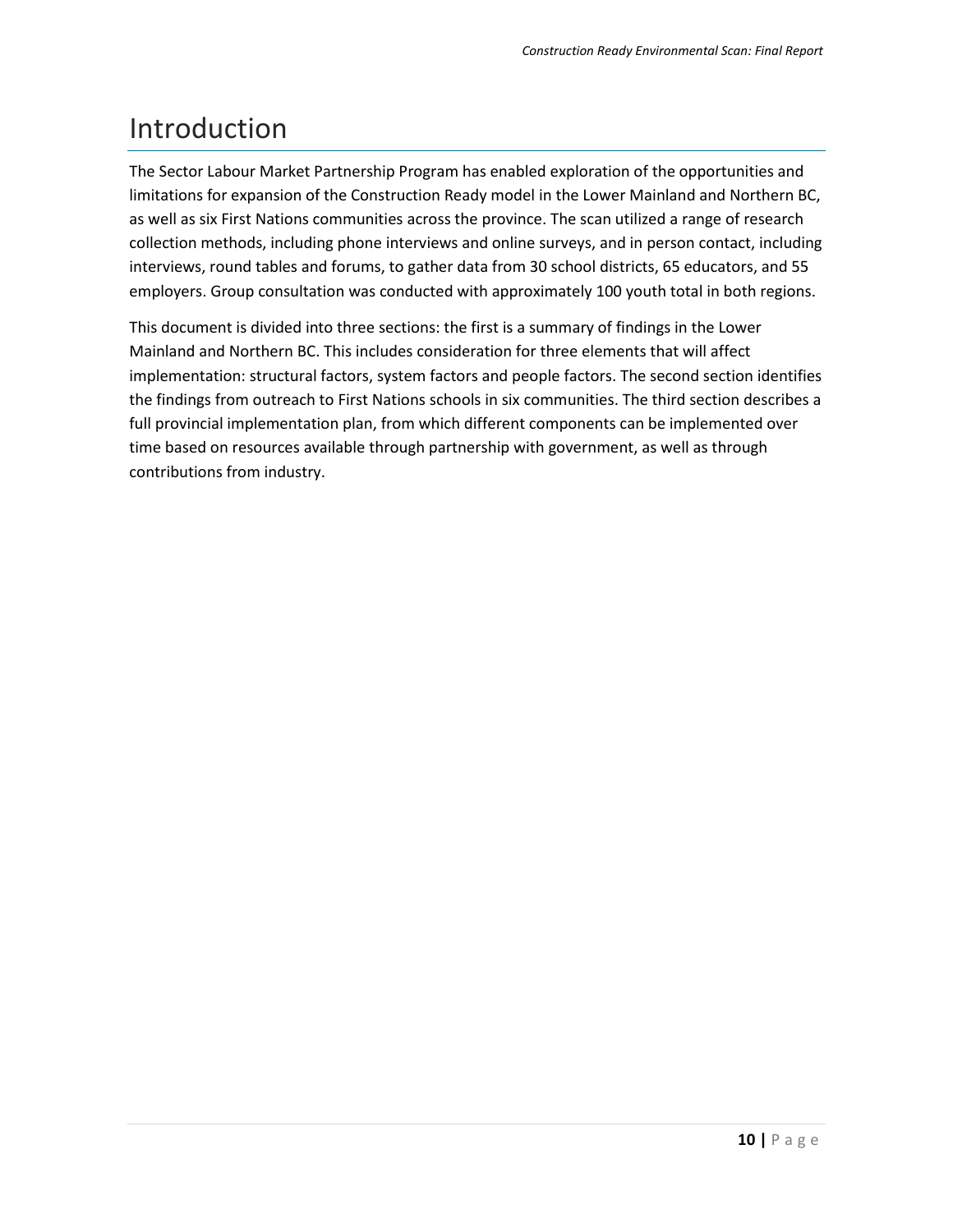# Introduction

The Sector Labour Market Partnership Program has enabled exploration of the opportunities and limitations for expansion of the Construction Ready model in the Lower Mainland and Northern BC, as well as six First Nations communities across the province. The scan utilized a range of research collection methods, including phone interviews and online surveys, and in person contact, including interviews, round tables and forums, to gather data from 30 school districts, 65 educators, and 55 employers. Group consultation was conducted with approximately 100 youth total in both regions.

This document is divided into three sections: the first is a summary of findings in the Lower Mainland and Northern BC. This includes consideration for three elements that will affect implementation: structural factors, system factors and people factors. The second section identifies the findings from outreach to First Nations schools in six communities. The third section describes a full provincial implementation plan, from which different components can be implemented over time based on resources available through partnership with government, as well as through contributions from industry.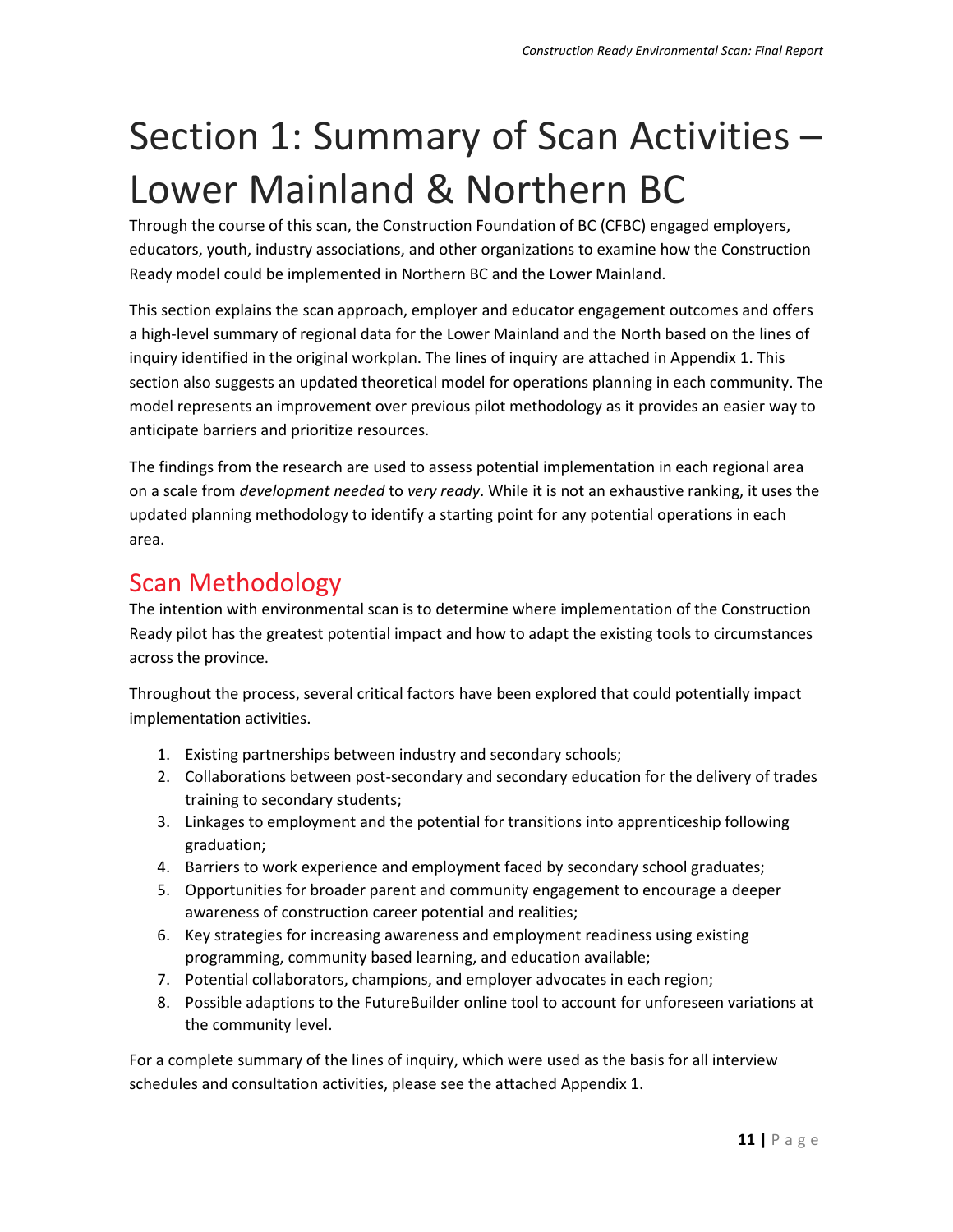# <span id="page-10-0"></span>Section 1: Summary of Scan Activities – Lower Mainland & Northern BC

Through the course of this scan, the Construction Foundation of BC (CFBC) engaged employers, educators, youth, industry associations, and other organizations to examine how the Construction Ready model could be implemented in Northern BC and the Lower Mainland.

This section explains the scan approach, employer and educator engagement outcomes and offers a high-level summary of regional data for the Lower Mainland and the North based on the lines of inquiry identified in the original workplan. The lines of inquiry are attached in Appendix 1. This section also suggests an updated theoretical model for operations planning in each community. The model represents an improvement over previous pilot methodology as it provides an easier way to anticipate barriers and prioritize resources.

The findings from the research are used to assess potential implementation in each regional area on a scale from *development needed* to *very ready*. While it is not an exhaustive ranking, it uses the updated planning methodology to identify a starting point for any potential operations in each area.

### <span id="page-10-1"></span>Scan Methodology

The intention with environmental scan is to determine where implementation of the Construction Ready pilot has the greatest potential impact and how to adapt the existing tools to circumstances across the province.

Throughout the process, several critical factors have been explored that could potentially impact implementation activities.

- 1. Existing partnerships between industry and secondary schools;
- 2. Collaborations between post-secondary and secondary education for the delivery of trades training to secondary students;
- 3. Linkages to employment and the potential for transitions into apprenticeship following graduation;
- 4. Barriers to work experience and employment faced by secondary school graduates;
- 5. Opportunities for broader parent and community engagement to encourage a deeper awareness of construction career potential and realities;
- 6. Key strategies for increasing awareness and employment readiness using existing programming, community based learning, and education available;
- 7. Potential collaborators, champions, and employer advocates in each region;
- 8. Possible adaptions to the FutureBuilder online tool to account for unforeseen variations at the community level.

For a complete summary of the lines of inquiry, which were used as the basis for all interview schedules and consultation activities, please see the attached Appendix 1.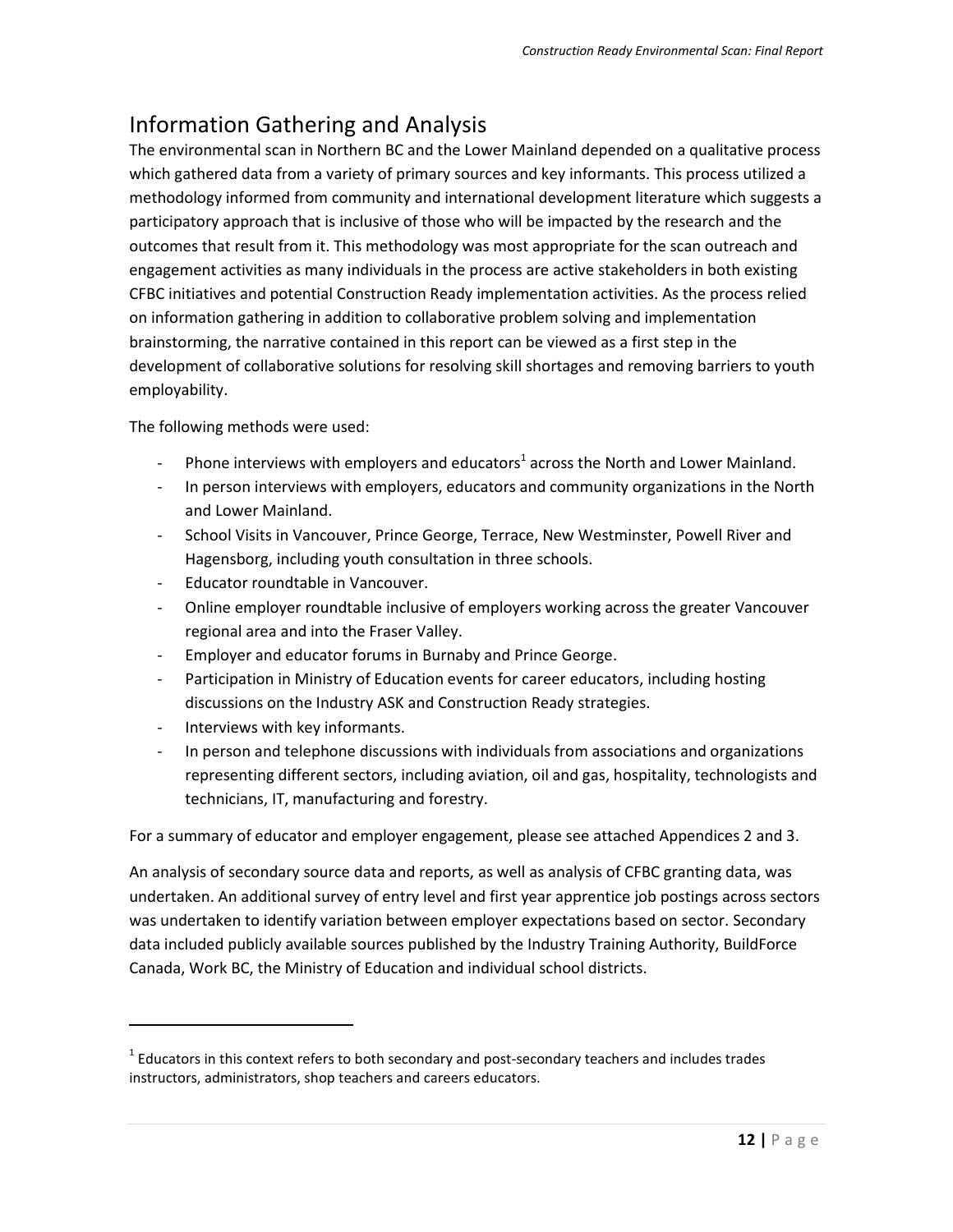### Information Gathering and Analysis

The environmental scan in Northern BC and the Lower Mainland depended on a qualitative process which gathered data from a variety of primary sources and key informants. This process utilized a methodology informed from community and international development literature which suggests a participatory approach that is inclusive of those who will be impacted by the research and the outcomes that result from it. This methodology was most appropriate for the scan outreach and engagement activities as many individuals in the process are active stakeholders in both existing CFBC initiatives and potential Construction Ready implementation activities. As the process relied on information gathering in addition to collaborative problem solving and implementation brainstorming, the narrative contained in this report can be viewed as a first step in the development of collaborative solutions for resolving skill shortages and removing barriers to youth employability.

The following methods were used:

- Phone interviews with employers and educators<sup>1</sup> across the North and Lower Mainland.
- In person interviews with employers, educators and community organizations in the North and Lower Mainland.
- School Visits in Vancouver, Prince George, Terrace, New Westminster, Powell River and Hagensborg, including youth consultation in three schools.
- Educator roundtable in Vancouver.
- Online employer roundtable inclusive of employers working across the greater Vancouver regional area and into the Fraser Valley.
- Employer and educator forums in Burnaby and Prince George.
- Participation in Ministry of Education events for career educators, including hosting discussions on the Industry ASK and Construction Ready strategies.
- Interviews with key informants.

 $\ddot{\phantom{a}}$ 

In person and telephone discussions with individuals from associations and organizations representing different sectors, including aviation, oil and gas, hospitality, technologists and technicians, IT, manufacturing and forestry.

For a summary of educator and employer engagement, please see attached Appendices 2 and 3.

An analysis of secondary source data and reports, as well as analysis of CFBC granting data, was undertaken. An additional survey of entry level and first year apprentice job postings across sectors was undertaken to identify variation between employer expectations based on sector. Secondary data included publicly available sources published by the Industry Training Authority, BuildForce Canada, Work BC, the Ministry of Education and individual school districts.

 $1$  Educators in this context refers to both secondary and post-secondary teachers and includes trades instructors, administrators, shop teachers and careers educators.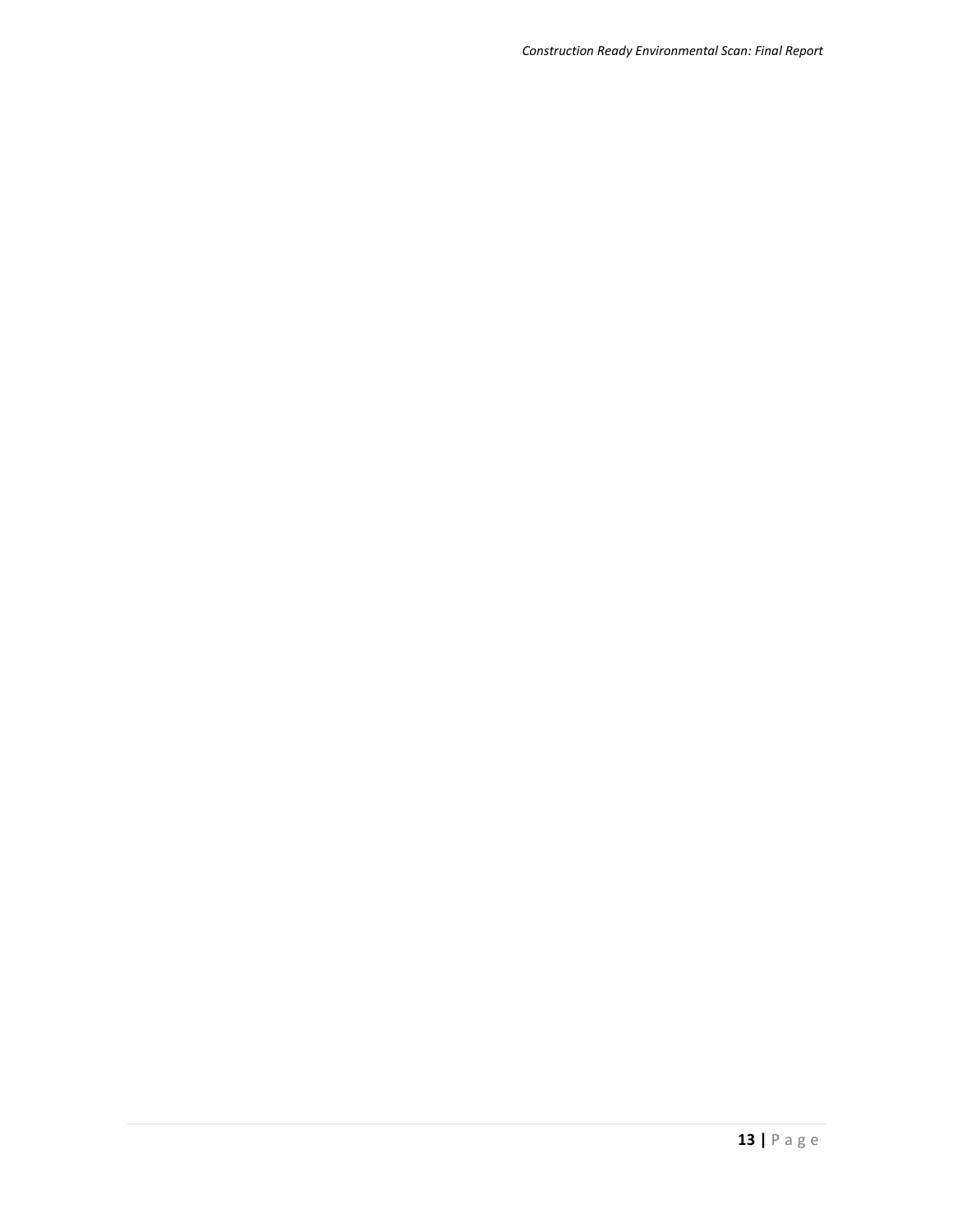*Construction Ready Environmental Scan: Final Report*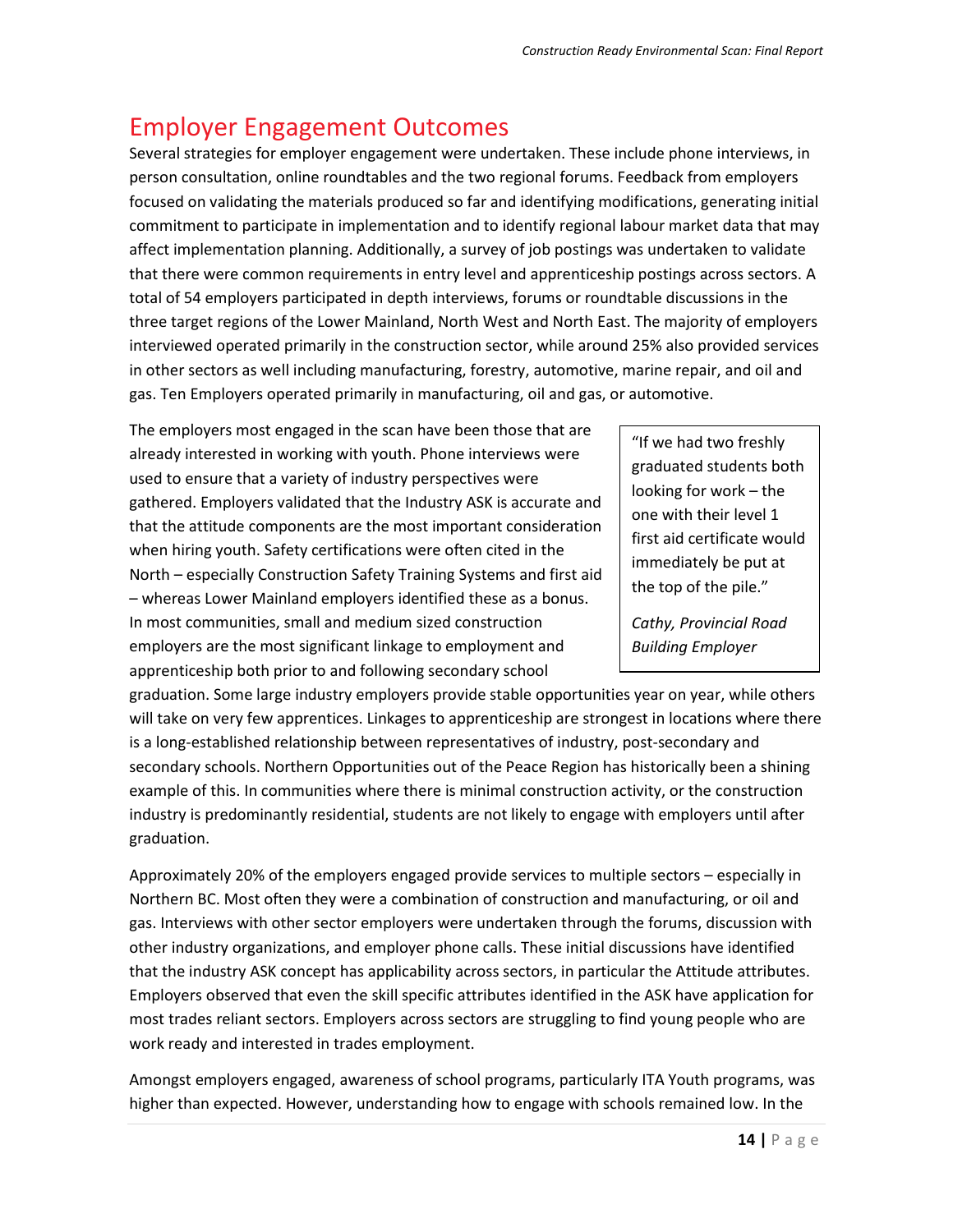### <span id="page-13-0"></span>Employer Engagement Outcomes

Several strategies for employer engagement were undertaken. These include phone interviews, in person consultation, online roundtables and the two regional forums. Feedback from employers focused on validating the materials produced so far and identifying modifications, generating initial commitment to participate in implementation and to identify regional labour market data that may affect implementation planning. Additionally, a survey of job postings was undertaken to validate that there were common requirements in entry level and apprenticeship postings across sectors. A total of 54 employers participated in depth interviews, forums or roundtable discussions in the three target regions of the Lower Mainland, North West and North East. The majority of employers interviewed operated primarily in the construction sector, while around 25% also provided services in other sectors as well including manufacturing, forestry, automotive, marine repair, and oil and gas. Ten Employers operated primarily in manufacturing, oil and gas, or automotive.

The employers most engaged in the scan have been those that are already interested in working with youth. Phone interviews were used to ensure that a variety of industry perspectives were gathered. Employers validated that the Industry ASK is accurate and that the attitude components are the most important consideration when hiring youth. Safety certifications were often cited in the North – especially Construction Safety Training Systems and first aid – whereas Lower Mainland employers identified these as a bonus. In most communities, small and medium sized construction employers are the most significant linkage to employment and apprenticeship both prior to and following secondary school

"If we had two freshly graduated students both looking for work – the one with their level 1 first aid certificate would immediately be put at the top of the pile."

*Cathy, Provincial Road Building Employer*

graduation. Some large industry employers provide stable opportunities year on year, while others will take on very few apprentices. Linkages to apprenticeship are strongest in locations where there is a long-established relationship between representatives of industry, post-secondary and secondary schools. Northern Opportunities out of the Peace Region has historically been a shining example of this. In communities where there is minimal construction activity, or the construction industry is predominantly residential, students are not likely to engage with employers until after graduation.

Approximately 20% of the employers engaged provide services to multiple sectors – especially in Northern BC. Most often they were a combination of construction and manufacturing, or oil and gas. Interviews with other sector employers were undertaken through the forums, discussion with other industry organizations, and employer phone calls. These initial discussions have identified that the industry ASK concept has applicability across sectors, in particular the Attitude attributes. Employers observed that even the skill specific attributes identified in the ASK have application for most trades reliant sectors. Employers across sectors are struggling to find young people who are work ready and interested in trades employment.

Amongst employers engaged, awareness of school programs, particularly ITA Youth programs, was higher than expected. However, understanding how to engage with schools remained low. In the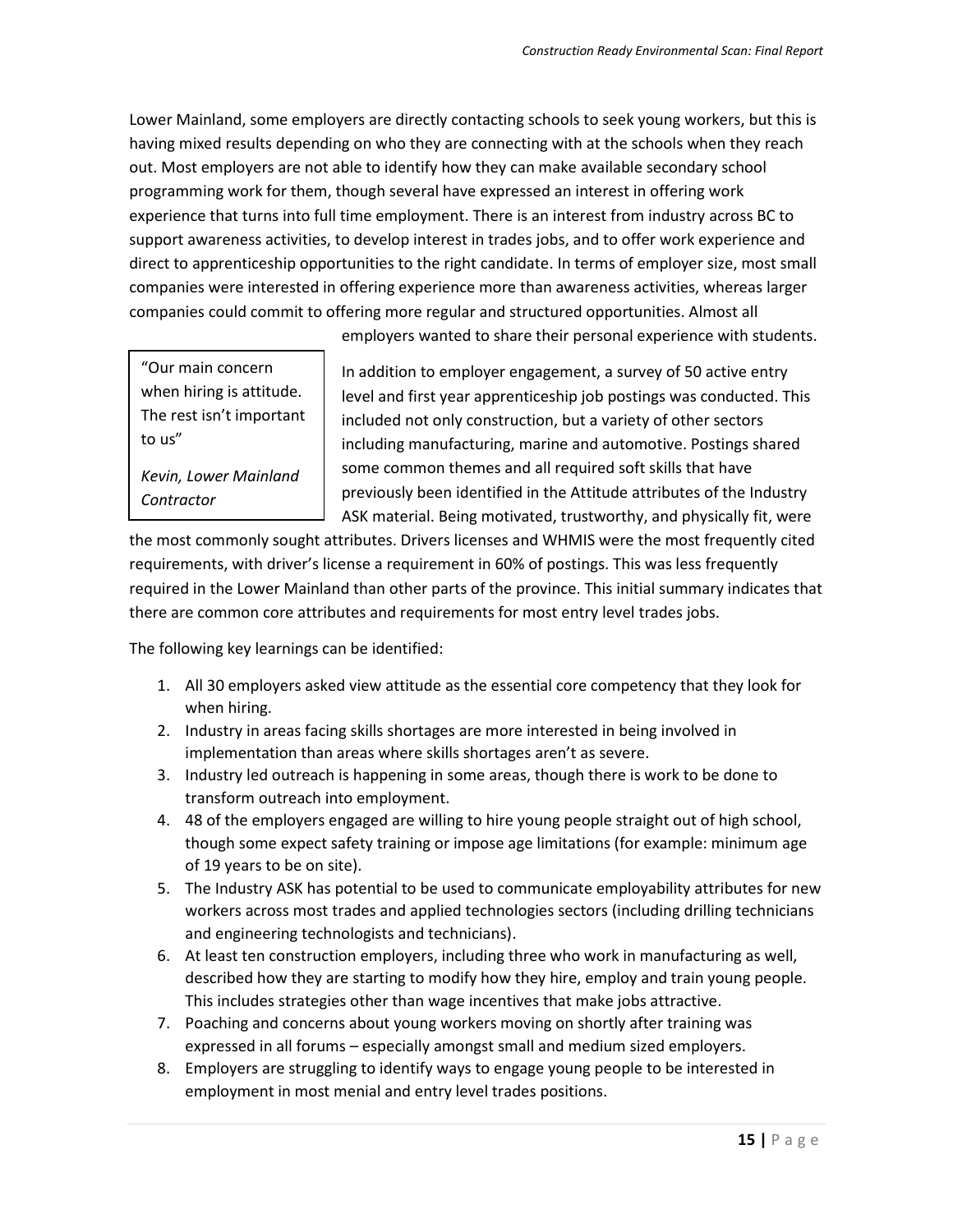Lower Mainland, some employers are directly contacting schools to seek young workers, but this is having mixed results depending on who they are connecting with at the schools when they reach out. Most employers are not able to identify how they can make available secondary school programming work for them, though several have expressed an interest in offering work experience that turns into full time employment. There is an interest from industry across BC to support awareness activities, to develop interest in trades jobs, and to offer work experience and direct to apprenticeship opportunities to the right candidate. In terms of employer size, most small companies were interested in offering experience more than awareness activities, whereas larger companies could commit to offering more regular and structured opportunities. Almost all

employers wanted to share their personal experience with students.

"Our main concern when hiring is attitude. The rest isn't important to us"

*Kevin, Lower Mainland Contractor*

In addition to employer engagement, a survey of 50 active entry level and first year apprenticeship job postings was conducted. This included not only construction, but a variety of other sectors including manufacturing, marine and automotive. Postings shared some common themes and all required soft skills that have previously been identified in the Attitude attributes of the Industry ASK material. Being motivated, trustworthy, and physically fit, were

the most commonly sought attributes. Drivers licenses and WHMIS were the most frequently cited requirements, with driver's license a requirement in 60% of postings. This was less frequently required in the Lower Mainland than other parts of the province. This initial summary indicates that there are common core attributes and requirements for most entry level trades jobs.

The following key learnings can be identified:

- 1. All 30 employers asked view attitude as the essential core competency that they look for when hiring.
- 2. Industry in areas facing skills shortages are more interested in being involved in implementation than areas where skills shortages aren't as severe.
- 3. Industry led outreach is happening in some areas, though there is work to be done to transform outreach into employment.
- 4. 48 of the employers engaged are willing to hire young people straight out of high school, though some expect safety training or impose age limitations (for example: minimum age of 19 years to be on site).
- 5. The Industry ASK has potential to be used to communicate employability attributes for new workers across most trades and applied technologies sectors (including drilling technicians and engineering technologists and technicians).
- 6. At least ten construction employers, including three who work in manufacturing as well, described how they are starting to modify how they hire, employ and train young people. This includes strategies other than wage incentives that make jobs attractive.
- 7. Poaching and concerns about young workers moving on shortly after training was expressed in all forums – especially amongst small and medium sized employers.
- 8. Employers are struggling to identify ways to engage young people to be interested in employment in most menial and entry level trades positions.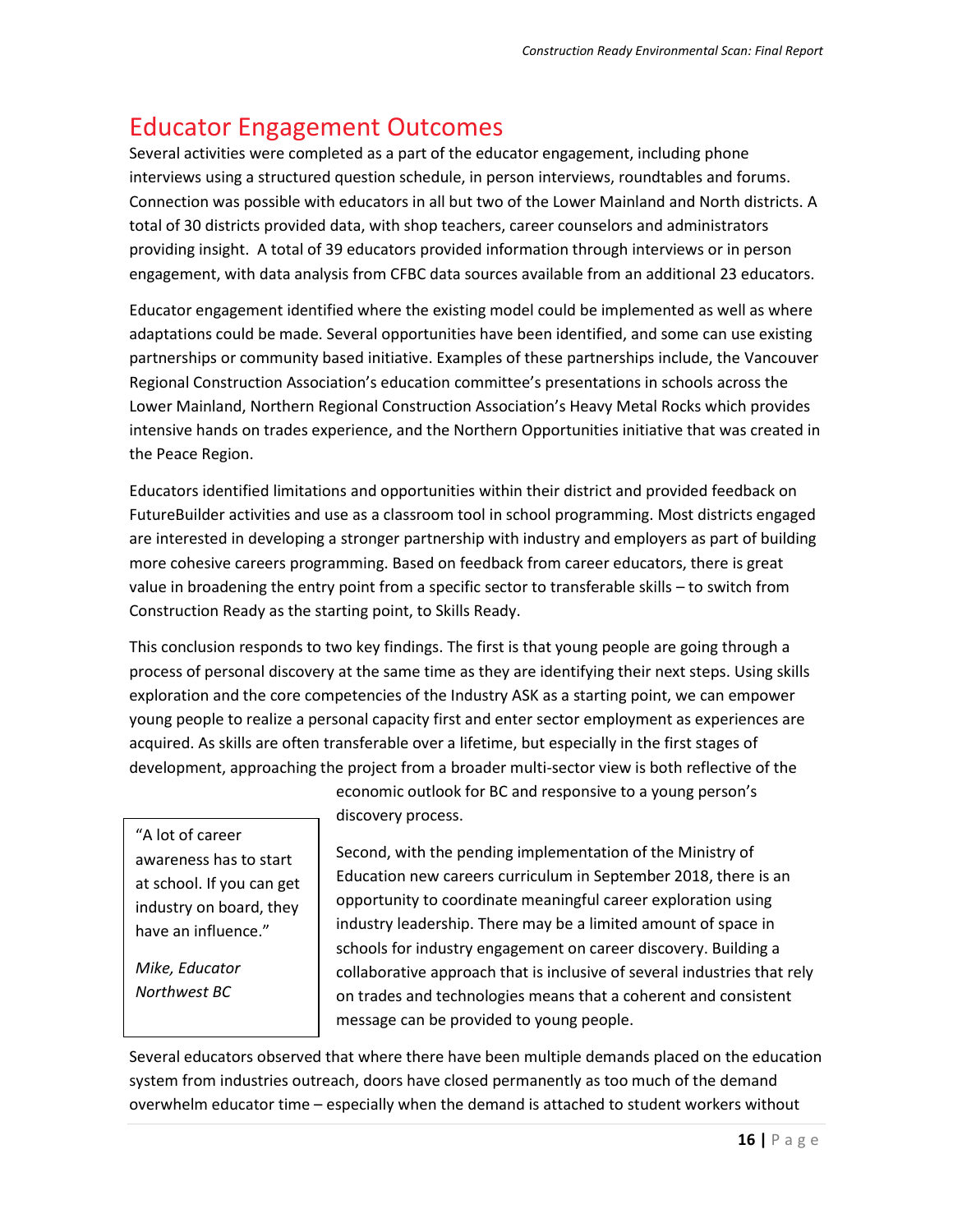### <span id="page-15-0"></span>Educator Engagement Outcomes

Several activities were completed as a part of the educator engagement, including phone interviews using a structured question schedule, in person interviews, roundtables and forums. Connection was possible with educators in all but two of the Lower Mainland and North districts. A total of 30 districts provided data, with shop teachers, career counselors and administrators providing insight. A total of 39 educators provided information through interviews or in person engagement, with data analysis from CFBC data sources available from an additional 23 educators.

Educator engagement identified where the existing model could be implemented as well as where adaptations could be made. Several opportunities have been identified, and some can use existing partnerships or community based initiative. Examples of these partnerships include, the Vancouver Regional Construction Association's education committee's presentations in schools across the Lower Mainland, Northern Regional Construction Association's Heavy Metal Rocks which provides intensive hands on trades experience, and the Northern Opportunities initiative that was created in the Peace Region.

Educators identified limitations and opportunities within their district and provided feedback on FutureBuilder activities and use as a classroom tool in school programming. Most districts engaged are interested in developing a stronger partnership with industry and employers as part of building more cohesive careers programming. Based on feedback from career educators, there is great value in broadening the entry point from a specific sector to transferable skills – to switch from Construction Ready as the starting point, to Skills Ready.

This conclusion responds to two key findings. The first is that young people are going through a process of personal discovery at the same time as they are identifying their next steps. Using skills exploration and the core competencies of the Industry ASK as a starting point, we can empower young people to realize a personal capacity first and enter sector employment as experiences are acquired. As skills are often transferable over a lifetime, but especially in the first stages of development, approaching the project from a broader multi-sector view is both reflective of the

"A lot of career awareness has to start at school. If you can get industry on board, they have an influence."

*Mike, Educator Northwest BC*

discovery process.

Second, with the pending implementation of the Ministry of Education new careers curriculum in September 2018, there is an opportunity to coordinate meaningful career exploration using industry leadership. There may be a limited amount of space in schools for industry engagement on career discovery. Building a collaborative approach that is inclusive of several industries that rely on trades and technologies means that a coherent and consistent message can be provided to young people.

economic outlook for BC and responsive to a young person's

Several educators observed that where there have been multiple demands placed on the education system from industries outreach, doors have closed permanently as too much of the demand overwhelm educator time – especially when the demand is attached to student workers without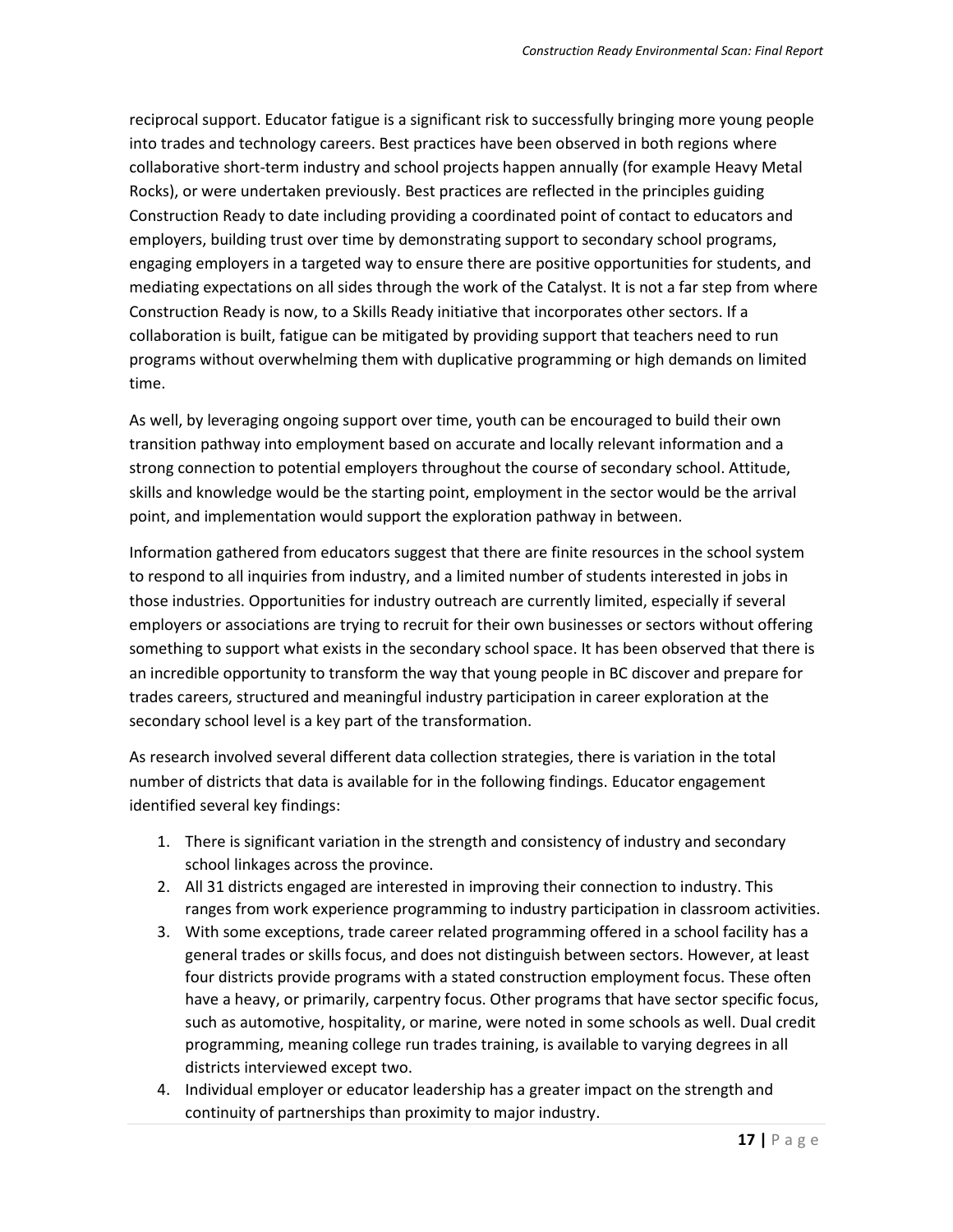reciprocal support. Educator fatigue is a significant risk to successfully bringing more young people into trades and technology careers. Best practices have been observed in both regions where collaborative short-term industry and school projects happen annually (for example Heavy Metal Rocks), or were undertaken previously. Best practices are reflected in the principles guiding Construction Ready to date including providing a coordinated point of contact to educators and employers, building trust over time by demonstrating support to secondary school programs, engaging employers in a targeted way to ensure there are positive opportunities for students, and mediating expectations on all sides through the work of the Catalyst. It is not a far step from where Construction Ready is now, to a Skills Ready initiative that incorporates other sectors. If a collaboration is built, fatigue can be mitigated by providing support that teachers need to run programs without overwhelming them with duplicative programming or high demands on limited time.

As well, by leveraging ongoing support over time, youth can be encouraged to build their own transition pathway into employment based on accurate and locally relevant information and a strong connection to potential employers throughout the course of secondary school. Attitude, skills and knowledge would be the starting point, employment in the sector would be the arrival point, and implementation would support the exploration pathway in between.

Information gathered from educators suggest that there are finite resources in the school system to respond to all inquiries from industry, and a limited number of students interested in jobs in those industries. Opportunities for industry outreach are currently limited, especially if several employers or associations are trying to recruit for their own businesses or sectors without offering something to support what exists in the secondary school space. It has been observed that there is an incredible opportunity to transform the way that young people in BC discover and prepare for trades careers, structured and meaningful industry participation in career exploration at the secondary school level is a key part of the transformation.

As research involved several different data collection strategies, there is variation in the total number of districts that data is available for in the following findings. Educator engagement identified several key findings:

- 1. There is significant variation in the strength and consistency of industry and secondary school linkages across the province.
- 2. All 31 districts engaged are interested in improving their connection to industry. This ranges from work experience programming to industry participation in classroom activities.
- 3. With some exceptions, trade career related programming offered in a school facility has a general trades or skills focus, and does not distinguish between sectors. However, at least four districts provide programs with a stated construction employment focus. These often have a heavy, or primarily, carpentry focus. Other programs that have sector specific focus, such as automotive, hospitality, or marine, were noted in some schools as well. Dual credit programming, meaning college run trades training, is available to varying degrees in all districts interviewed except two.
- 4. Individual employer or educator leadership has a greater impact on the strength and continuity of partnerships than proximity to major industry.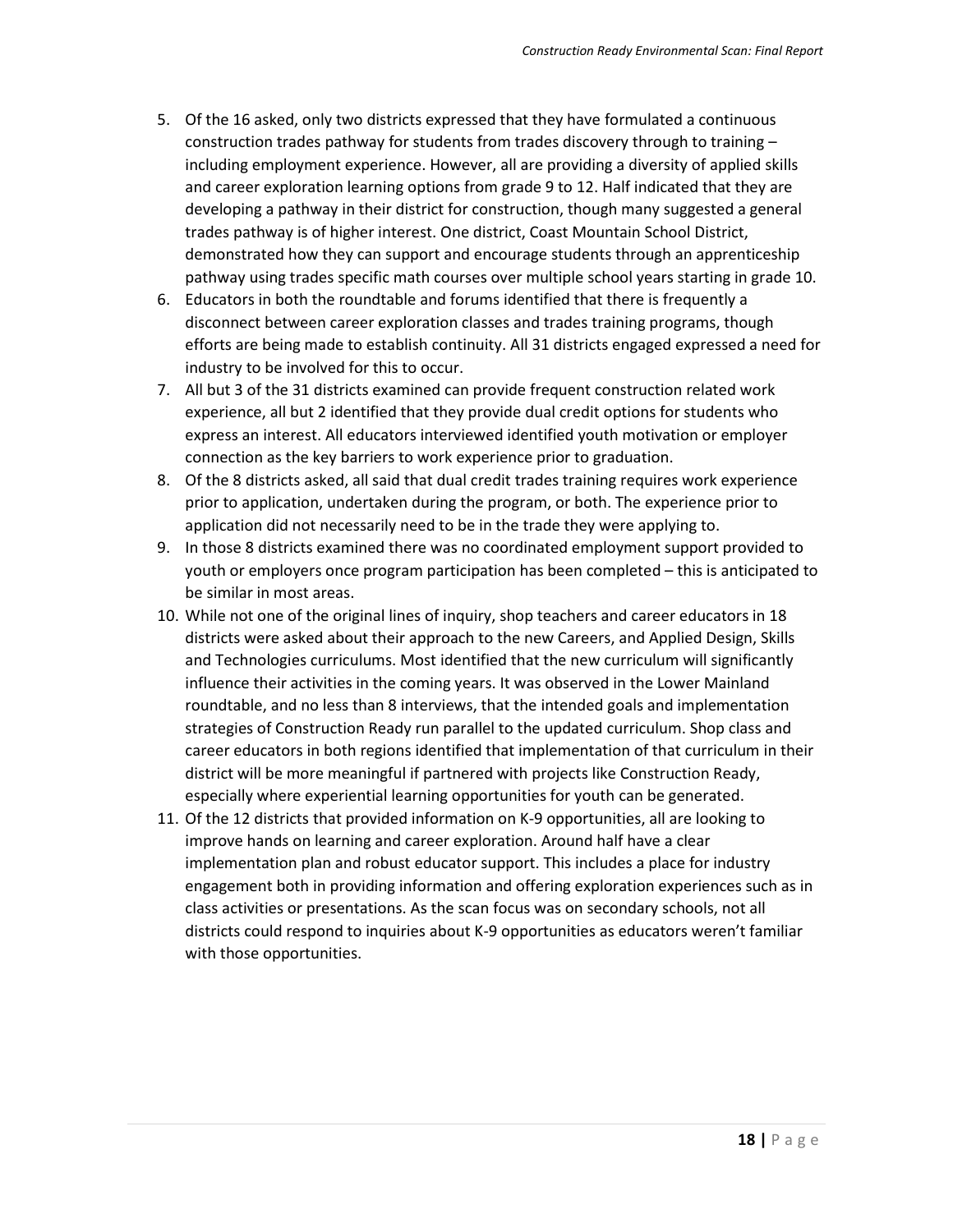- 5. Of the 16 asked, only two districts expressed that they have formulated a continuous construction trades pathway for students from trades discovery through to training – including employment experience. However, all are providing a diversity of applied skills and career exploration learning options from grade 9 to 12. Half indicated that they are developing a pathway in their district for construction, though many suggested a general trades pathway is of higher interest. One district, Coast Mountain School District, demonstrated how they can support and encourage students through an apprenticeship pathway using trades specific math courses over multiple school years starting in grade 10.
- 6. Educators in both the roundtable and forums identified that there is frequently a disconnect between career exploration classes and trades training programs, though efforts are being made to establish continuity. All 31 districts engaged expressed a need for industry to be involved for this to occur.
- 7. All but 3 of the 31 districts examined can provide frequent construction related work experience, all but 2 identified that they provide dual credit options for students who express an interest. All educators interviewed identified youth motivation or employer connection as the key barriers to work experience prior to graduation.
- 8. Of the 8 districts asked, all said that dual credit trades training requires work experience prior to application, undertaken during the program, or both. The experience prior to application did not necessarily need to be in the trade they were applying to.
- 9. In those 8 districts examined there was no coordinated employment support provided to youth or employers once program participation has been completed – this is anticipated to be similar in most areas.
- 10. While not one of the original lines of inquiry, shop teachers and career educators in 18 districts were asked about their approach to the new Careers, and Applied Design, Skills and Technologies curriculums. Most identified that the new curriculum will significantly influence their activities in the coming years. It was observed in the Lower Mainland roundtable, and no less than 8 interviews, that the intended goals and implementation strategies of Construction Ready run parallel to the updated curriculum. Shop class and career educators in both regions identified that implementation of that curriculum in their district will be more meaningful if partnered with projects like Construction Ready, especially where experiential learning opportunities for youth can be generated.
- 11. Of the 12 districts that provided information on K-9 opportunities, all are looking to improve hands on learning and career exploration. Around half have a clear implementation plan and robust educator support. This includes a place for industry engagement both in providing information and offering exploration experiences such as in class activities or presentations. As the scan focus was on secondary schools, not all districts could respond to inquiries about K-9 opportunities as educators weren't familiar with those opportunities.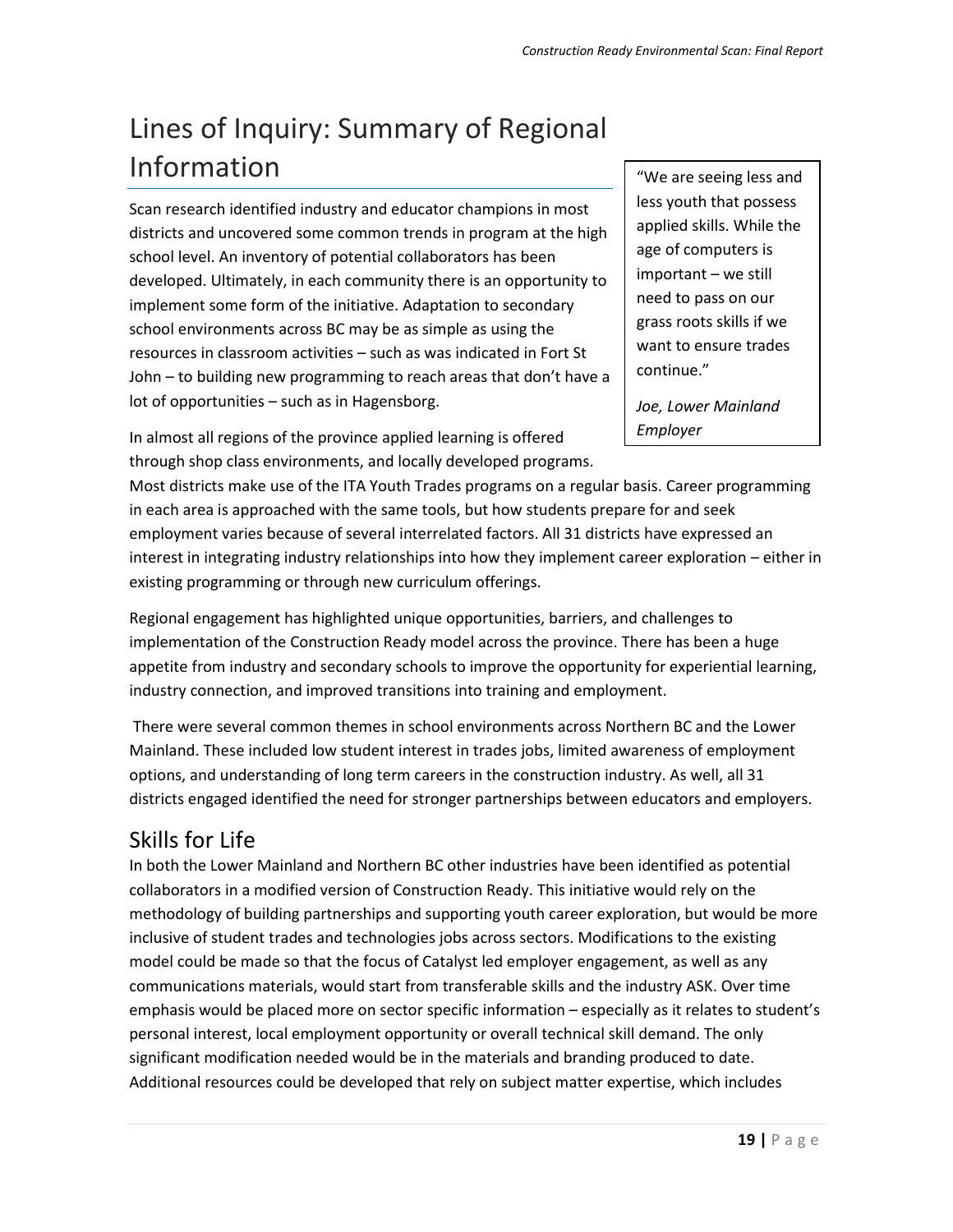# <span id="page-18-0"></span>Lines of Inquiry: Summary of Regional Information

Scan research identified industry and educator champions in most districts and uncovered some common trends in program at the high school level. An inventory of potential collaborators has been developed. Ultimately, in each community there is an opportunity to implement some form of the initiative. Adaptation to secondary school environments across BC may be as simple as using the resources in classroom activities – such as was indicated in Fort St John – to building new programming to reach areas that don't have a lot of opportunities – such as in Hagensborg.

"We are seeing less and less youth that possess applied skills. While the age of computers is important – we still need to pass on our grass roots skills if we want to ensure trades continue."

*Joe, Lower Mainland Employer*

In almost all regions of the province applied learning is offered through shop class environments, and locally developed programs.

Most districts make use of the ITA Youth Trades programs on a regular basis. Career programming in each area is approached with the same tools, but how students prepare for and seek employment varies because of several interrelated factors. All 31 districts have expressed an interest in integrating industry relationships into how they implement career exploration – either in existing programming or through new curriculum offerings.

Regional engagement has highlighted unique opportunities, barriers, and challenges to implementation of the Construction Ready model across the province. There has been a huge appetite from industry and secondary schools to improve the opportunity for experiential learning, industry connection, and improved transitions into training and employment.

There were several common themes in school environments across Northern BC and the Lower Mainland. These included low student interest in trades jobs, limited awareness of employment options, and understanding of long term careers in the construction industry. As well, all 31 districts engaged identified the need for stronger partnerships between educators and employers.

### Skills for Life

In both the Lower Mainland and Northern BC other industries have been identified as potential collaborators in a modified version of Construction Ready. This initiative would rely on the methodology of building partnerships and supporting youth career exploration, but would be more inclusive of student trades and technologies jobs across sectors. Modifications to the existing model could be made so that the focus of Catalyst led employer engagement, as well as any communications materials, would start from transferable skills and the industry ASK. Over time emphasis would be placed more on sector specific information – especially as it relates to student's personal interest, local employment opportunity or overall technical skill demand. The only significant modification needed would be in the materials and branding produced to date. Additional resources could be developed that rely on subject matter expertise, which includes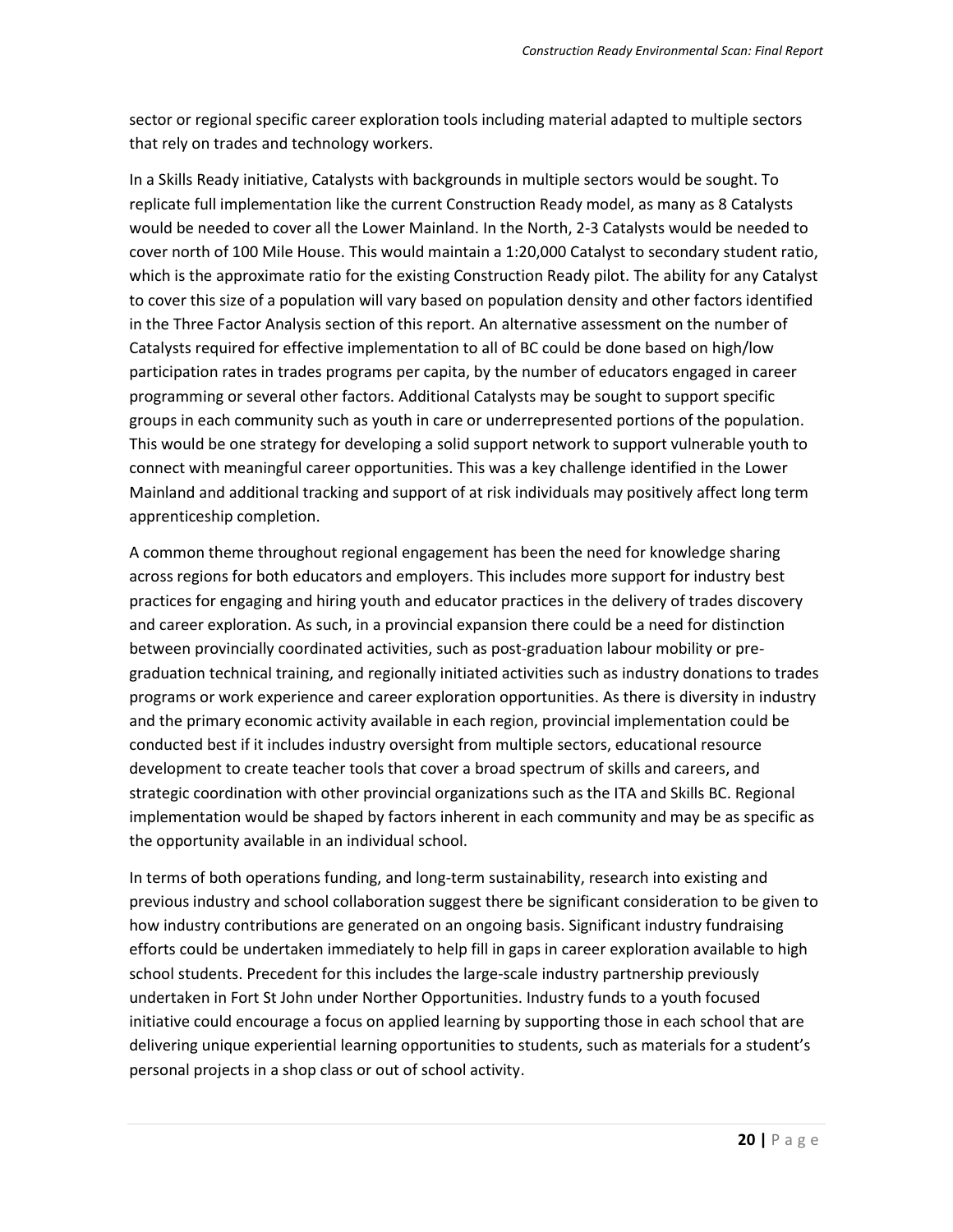sector or regional specific career exploration tools including material adapted to multiple sectors that rely on trades and technology workers.

In a Skills Ready initiative, Catalysts with backgrounds in multiple sectors would be sought. To replicate full implementation like the current Construction Ready model, as many as 8 Catalysts would be needed to cover all the Lower Mainland. In the North, 2-3 Catalysts would be needed to cover north of 100 Mile House. This would maintain a 1:20,000 Catalyst to secondary student ratio, which is the approximate ratio for the existing Construction Ready pilot. The ability for any Catalyst to cover this size of a population will vary based on population density and other factors identified in the Three Factor Analysis section of this report. An alternative assessment on the number of Catalysts required for effective implementation to all of BC could be done based on high/low participation rates in trades programs per capita, by the number of educators engaged in career programming or several other factors. Additional Catalysts may be sought to support specific groups in each community such as youth in care or underrepresented portions of the population. This would be one strategy for developing a solid support network to support vulnerable youth to connect with meaningful career opportunities. This was a key challenge identified in the Lower Mainland and additional tracking and support of at risk individuals may positively affect long term apprenticeship completion.

A common theme throughout regional engagement has been the need for knowledge sharing across regions for both educators and employers. This includes more support for industry best practices for engaging and hiring youth and educator practices in the delivery of trades discovery and career exploration. As such, in a provincial expansion there could be a need for distinction between provincially coordinated activities, such as post-graduation labour mobility or pregraduation technical training, and regionally initiated activities such as industry donations to trades programs or work experience and career exploration opportunities. As there is diversity in industry and the primary economic activity available in each region, provincial implementation could be conducted best if it includes industry oversight from multiple sectors, educational resource development to create teacher tools that cover a broad spectrum of skills and careers, and strategic coordination with other provincial organizations such as the ITA and Skills BC. Regional implementation would be shaped by factors inherent in each community and may be as specific as the opportunity available in an individual school.

In terms of both operations funding, and long-term sustainability, research into existing and previous industry and school collaboration suggest there be significant consideration to be given to how industry contributions are generated on an ongoing basis. Significant industry fundraising efforts could be undertaken immediately to help fill in gaps in career exploration available to high school students. Precedent for this includes the large-scale industry partnership previously undertaken in Fort St John under Norther Opportunities. Industry funds to a youth focused initiative could encourage a focus on applied learning by supporting those in each school that are delivering unique experiential learning opportunities to students, such as materials for a student's personal projects in a shop class or out of school activity.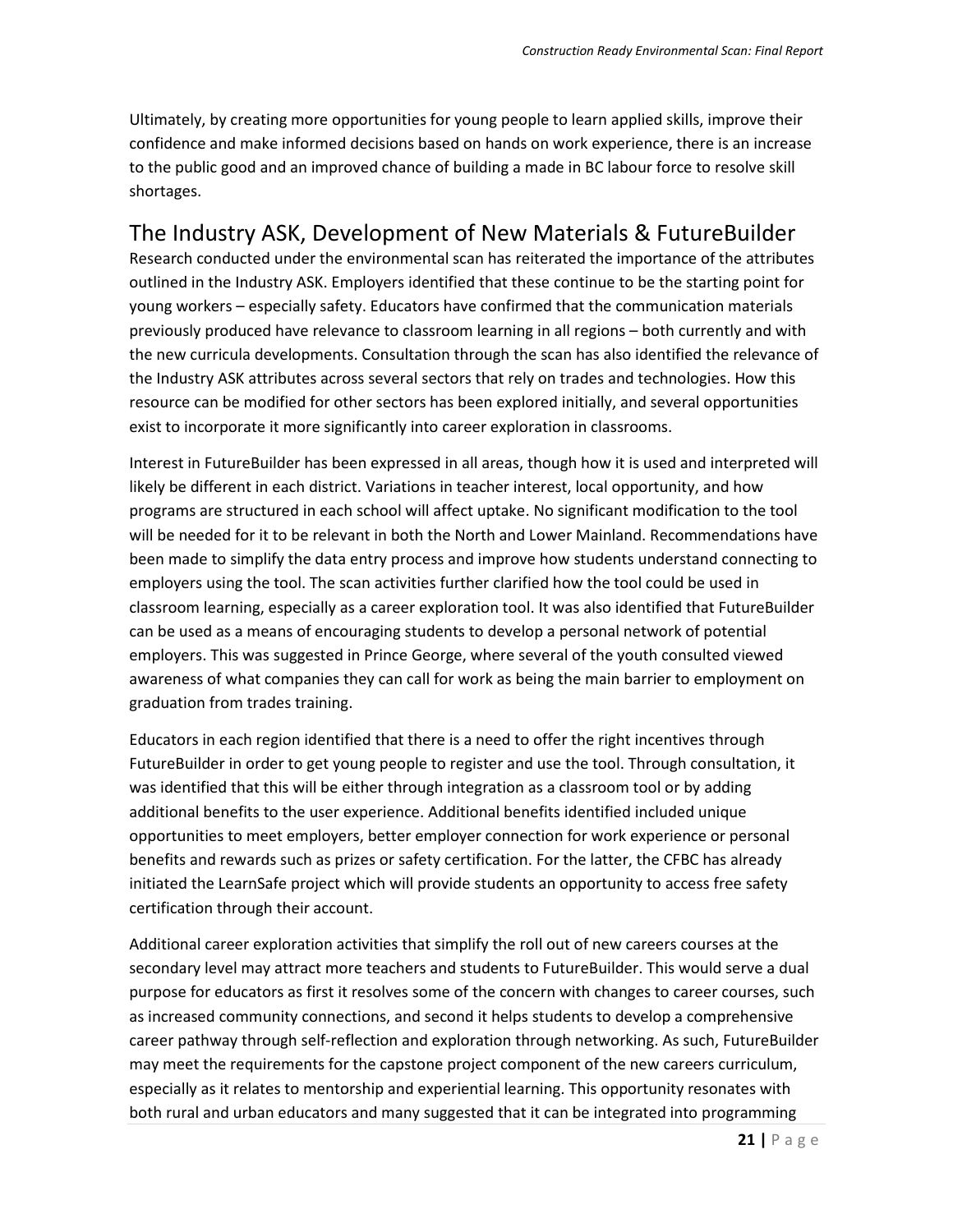Ultimately, by creating more opportunities for young people to learn applied skills, improve their confidence and make informed decisions based on hands on work experience, there is an increase to the public good and an improved chance of building a made in BC labour force to resolve skill shortages.

#### The Industry ASK, Development of New Materials & FutureBuilder

Research conducted under the environmental scan has reiterated the importance of the attributes outlined in the Industry ASK. Employers identified that these continue to be the starting point for young workers – especially safety. Educators have confirmed that the communication materials previously produced have relevance to classroom learning in all regions – both currently and with the new curricula developments. Consultation through the scan has also identified the relevance of the Industry ASK attributes across several sectors that rely on trades and technologies. How this resource can be modified for other sectors has been explored initially, and several opportunities exist to incorporate it more significantly into career exploration in classrooms.

Interest in FutureBuilder has been expressed in all areas, though how it is used and interpreted will likely be different in each district. Variations in teacher interest, local opportunity, and how programs are structured in each school will affect uptake. No significant modification to the tool will be needed for it to be relevant in both the North and Lower Mainland. Recommendations have been made to simplify the data entry process and improve how students understand connecting to employers using the tool. The scan activities further clarified how the tool could be used in classroom learning, especially as a career exploration tool. It was also identified that FutureBuilder can be used as a means of encouraging students to develop a personal network of potential employers. This was suggested in Prince George, where several of the youth consulted viewed awareness of what companies they can call for work as being the main barrier to employment on graduation from trades training.

Educators in each region identified that there is a need to offer the right incentives through FutureBuilder in order to get young people to register and use the tool. Through consultation, it was identified that this will be either through integration as a classroom tool or by adding additional benefits to the user experience. Additional benefits identified included unique opportunities to meet employers, better employer connection for work experience or personal benefits and rewards such as prizes or safety certification. For the latter, the CFBC has already initiated the LearnSafe project which will provide students an opportunity to access free safety certification through their account.

Additional career exploration activities that simplify the roll out of new careers courses at the secondary level may attract more teachers and students to FutureBuilder. This would serve a dual purpose for educators as first it resolves some of the concern with changes to career courses, such as increased community connections, and second it helps students to develop a comprehensive career pathway through self-reflection and exploration through networking. As such, FutureBuilder may meet the requirements for the capstone project component of the new careers curriculum, especially as it relates to mentorship and experiential learning. This opportunity resonates with both rural and urban educators and many suggested that it can be integrated into programming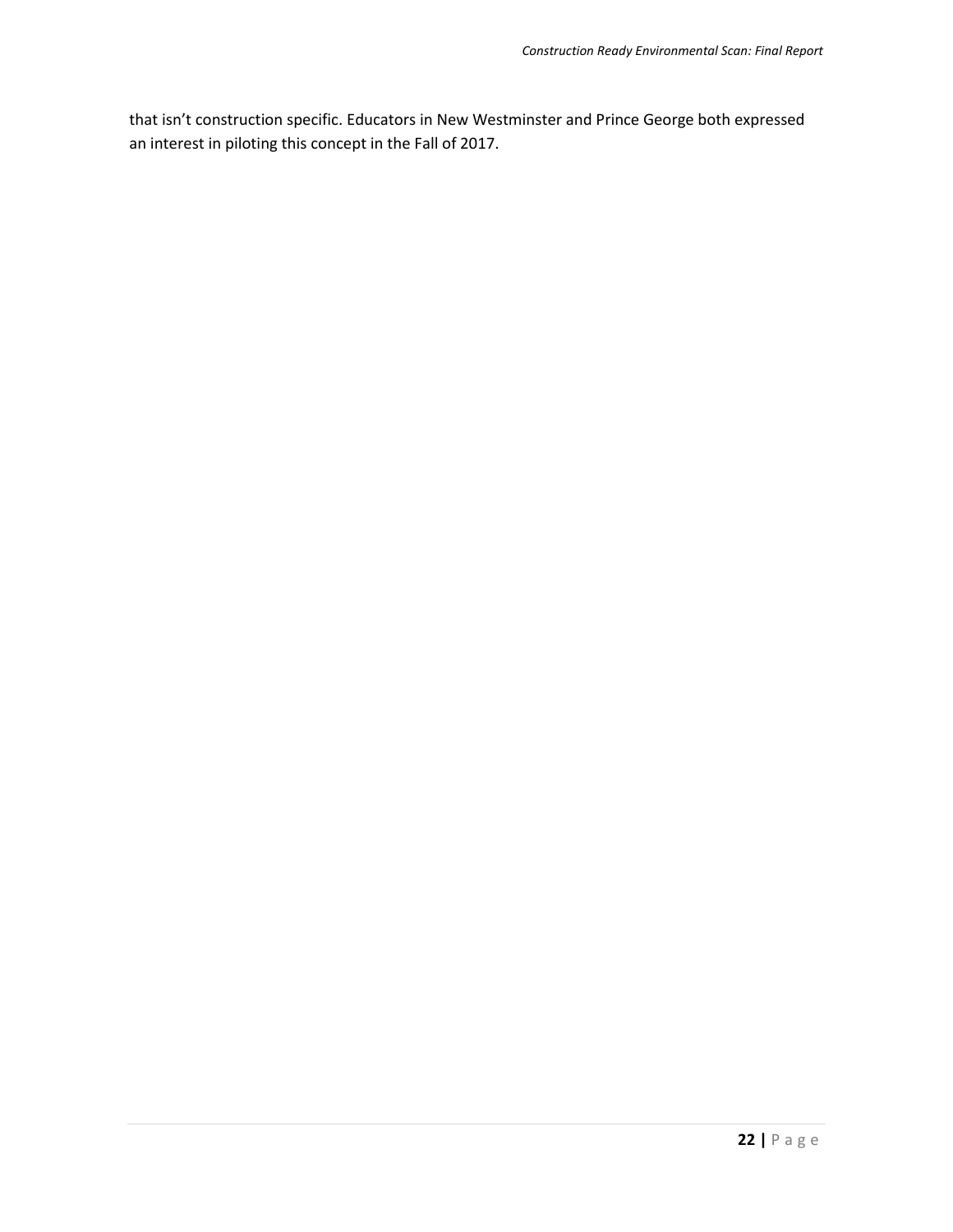that isn't construction specific. Educators in New Westminster and Prince George both expressed an interest in piloting this concept in the Fall of 2017.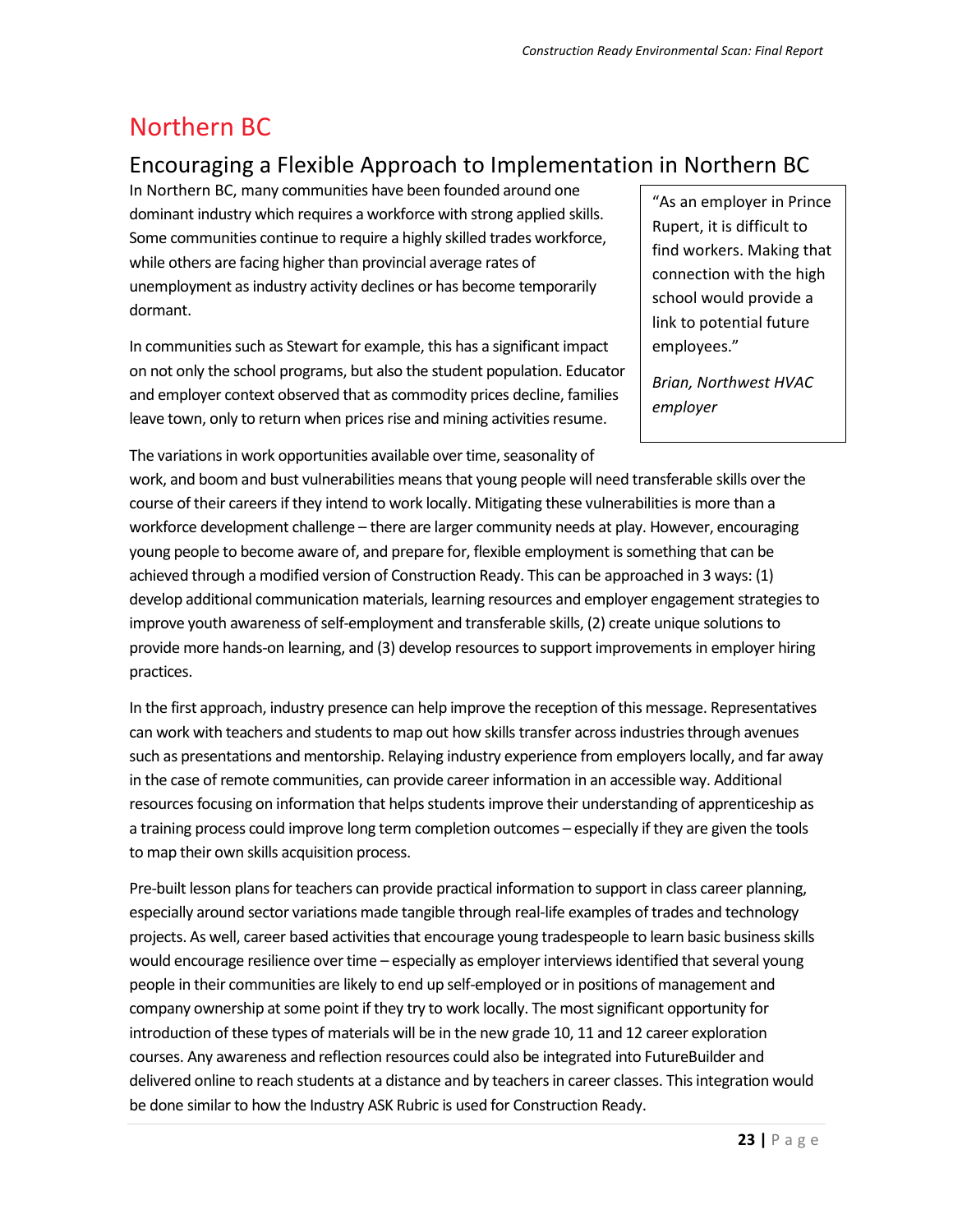## <span id="page-22-0"></span>Northern BC

### Encouraging a Flexible Approach to Implementation in Northern BC

In Northern BC, many communities have been founded around one dominant industry which requires a workforce with strong applied skills. Some communities continue to require a highly skilled trades workforce, while others are facing higher than provincial average rates of unemployment as industry activity declines or has become temporarily dormant.

In communities such as Stewart for example, this has a significant impact on not only the school programs, but also the student population. Educator and employer context observed that as commodity prices decline, families leave town, only to return when prices rise and mining activities resume.

The variations in work opportunities available over time, seasonality of

work, and boom and bust vulnerabilities means that young people will need transferable skills over the course of their careers if they intend to work locally. Mitigating these vulnerabilities is more than a workforce development challenge – there are larger community needs at play. However, encouraging young people to become aware of, and prepare for, flexible employment is something that can be achieved through a modified version of Construction Ready. This can be approached in 3 ways: (1) develop additional communication materials, learning resources and employer engagement strategies to improve youth awareness of self-employment and transferable skills, (2) create unique solutions to provide more hands-on learning, and (3) develop resources to support improvements in employer hiring practices.

In the first approach, industry presence can help improve the reception of this message. Representatives can work with teachers and students to map out how skills transfer across industries through avenues such as presentations and mentorship. Relaying industry experience from employers locally, and far away in the case of remote communities, can provide career information in an accessible way. Additional resources focusing on information that helps students improve their understanding of apprenticeship as a training process could improve long term completion outcomes – especially if they are given the tools to map their own skills acquisition process.

Pre-built lesson plans for teachers can provide practical information to support in class career planning, especially around sector variations made tangible through real-life examples of trades and technology projects. As well, career based activities that encourage young tradespeople to learn basic business skills would encourage resilience over time – especially as employer interviews identified that several young people in their communities are likely to end up self-employed or in positions of management and company ownership at some point if they try to work locally. The most significant opportunity for introduction of these types of materials will be in the new grade 10, 11 and 12 career exploration courses. Any awareness and reflection resources could also be integrated into FutureBuilder and delivered online to reach students at a distance and by teachers in career classes. This integration would be done similar to how the Industry ASK Rubric is used for Construction Ready.

"As an employer in Prince Rupert, it is difficult to find workers. Making that connection with the high school would provide a link to potential future employees."

*Brian, Northwest HVAC employer*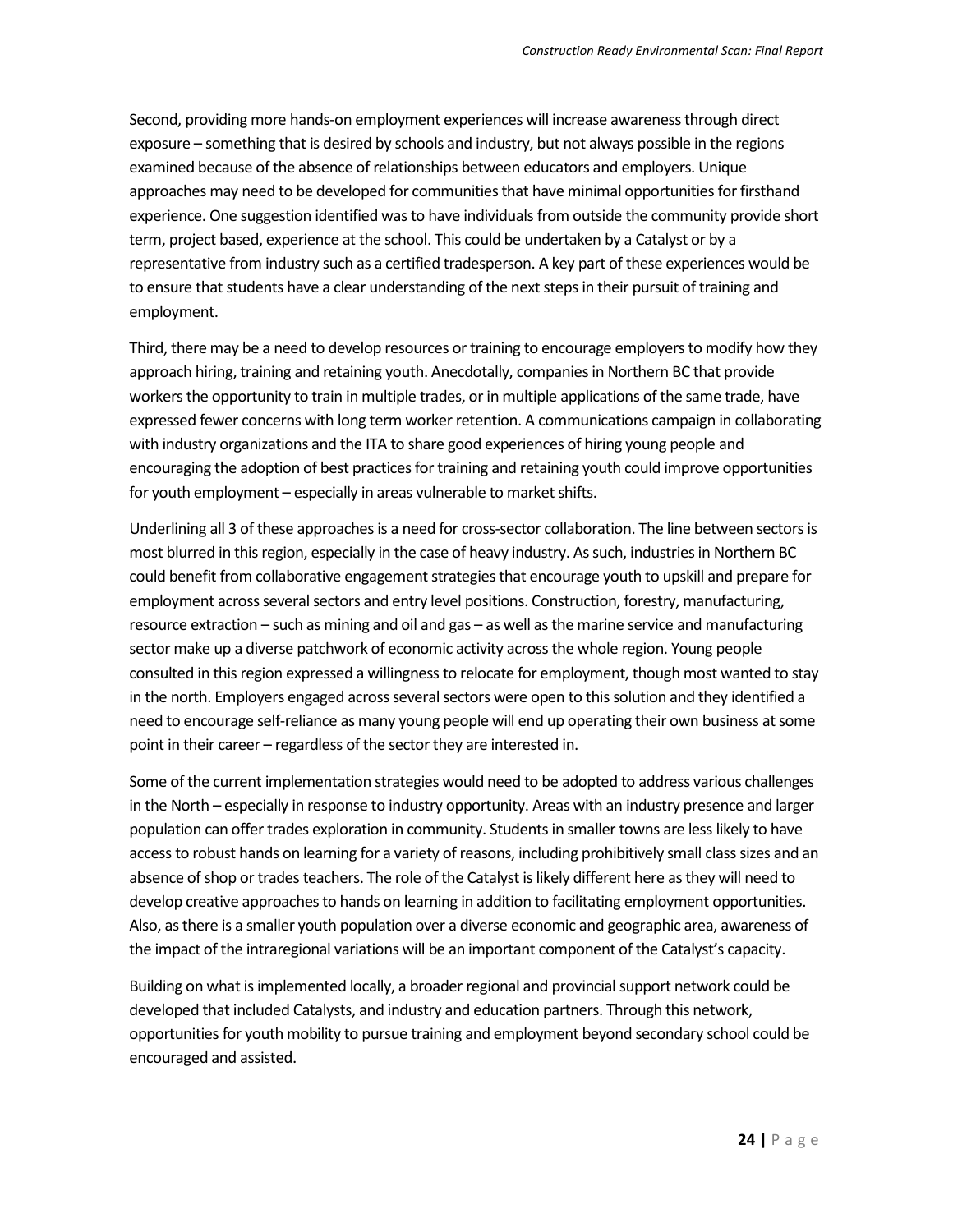Second, providing more hands-on employment experiences will increase awareness through direct exposure – something that is desired by schools and industry, but not always possible in the regions examined because of the absence of relationships between educators and employers. Unique approaches may need to be developed for communities that have minimal opportunities for firsthand experience. One suggestion identified was to have individuals from outside the community provide short term, project based, experience at the school. This could be undertaken by a Catalyst or by a representative from industry such as a certified tradesperson. A key part of these experiences would be to ensure that students have a clear understanding of the next steps in their pursuit of training and employment.

Third, there may be a need to develop resources or training to encourage employers to modify how they approach hiring, training and retaining youth. Anecdotally, companies in Northern BC that provide workers the opportunity to train in multiple trades, or in multiple applications of the same trade, have expressed fewer concerns with long term worker retention. A communications campaign in collaborating with industry organizations and the ITA to share good experiences of hiring young people and encouraging the adoption of best practices for training and retaining youth could improve opportunities for youth employment – especially in areas vulnerable to market shifts.

Underlining all 3 of these approaches is a need for cross-sector collaboration. The line between sectors is most blurred in this region, especially in the case of heavy industry. As such, industries in Northern BC could benefit from collaborative engagement strategies that encourage youth to upskill and prepare for employment across several sectors and entry level positions. Construction, forestry, manufacturing, resource extraction – such as mining and oil and gas – as well as the marine service and manufacturing sector make up a diverse patchwork of economic activity across the whole region. Young people consulted in this region expressed a willingness to relocate for employment, though most wanted to stay in the north. Employers engaged across several sectors were open to this solution and they identified a need to encourage self-reliance as many young people will end up operating their own business at some point in their career – regardless of the sector they are interested in.

Some of the current implementation strategies would need to be adopted to address various challenges in the North – especially in response to industry opportunity. Areas with an industry presence and larger population can offer trades exploration in community. Students in smaller towns are less likely to have access to robust hands on learning for a variety of reasons, including prohibitively small class sizes and an absence of shop or trades teachers. The role of the Catalyst is likely different here as they will need to develop creative approaches to hands on learning in addition to facilitating employment opportunities. Also, as there is a smaller youth population over a diverse economic and geographic area, awareness of the impact of the intraregional variations will be an important component of the Catalyst's capacity.

Building on what is implemented locally, a broader regional and provincial support network could be developed that included Catalysts, and industry and education partners. Through this network, opportunities for youth mobility to pursue training and employment beyond secondary school could be encouraged and assisted.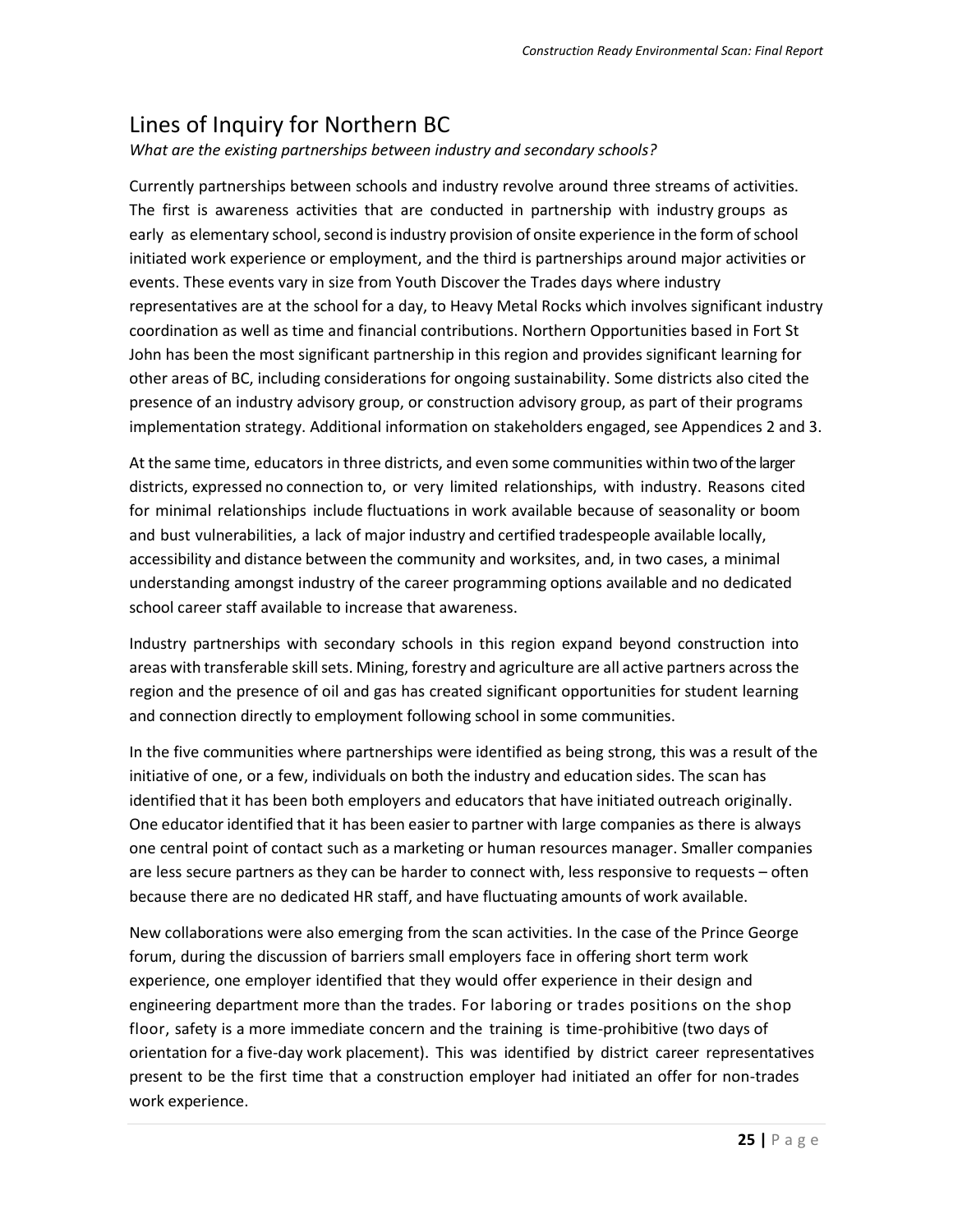### Lines of Inquiry for Northern BC

*What are the existing partnerships between industry and secondary schools?*

Currently partnerships between schools and industry revolve around three streams of activities. The first is awareness activities that are conducted in partnership with industry groups as early as elementary school, second is industry provision of onsite experience in the form of school initiated work experience or employment, and the third is partnerships around major activities or events. These events vary in size from Youth Discover the Trades days where industry representatives are at the school for a day, to Heavy Metal Rocks which involves significant industry coordination as well as time and financial contributions. Northern Opportunities based in Fort St John has been the most significant partnership in this region and provides significant learning for other areas of BC, including considerations for ongoing sustainability. Some districts also cited the presence of an industry advisory group, or construction advisory group, as part of their programs implementation strategy. Additional information on stakeholders engaged, see Appendices 2 and 3.

At the same time, educators in three districts, and even some communities within two of the larger districts, expressed no connection to, or very limited relationships, with industry. Reasons cited for minimal relationships include fluctuations in work available because of seasonality or boom and bust vulnerabilities, a lack of major industry and certified tradespeople available locally, accessibility and distance between the community and worksites, and, in two cases, a minimal understanding amongst industry of the career programming options available and no dedicated school career staff available to increase that awareness.

Industry partnerships with secondary schools in this region expand beyond construction into areas with transferable skill sets. Mining, forestry and agriculture are all active partners across the region and the presence of oil and gas has created significant opportunities for student learning and connection directly to employment following school in some communities.

In the five communities where partnerships were identified as being strong, this was a result of the initiative of one, or a few, individuals on both the industry and education sides. The scan has identified that it has been both employers and educators that have initiated outreach originally. One educator identified that it has been easier to partner with large companies as there is always one central point of contact such as a marketing or human resources manager. Smaller companies are less secure partners as they can be harder to connect with, less responsive to requests – often because there are no dedicated HR staff, and have fluctuating amounts of work available.

New collaborations were also emerging from the scan activities. In the case of the Prince George forum, during the discussion of barriers small employers face in offering short term work experience, one employer identified that they would offer experience in their design and engineering department more than the trades. For laboring or trades positions on the shop floor, safety is a more immediate concern and the training is time-prohibitive (two days of orientation for a five-day work placement). This was identified by district career representatives present to be the first time that a construction employer had initiated an offer for non-trades work experience.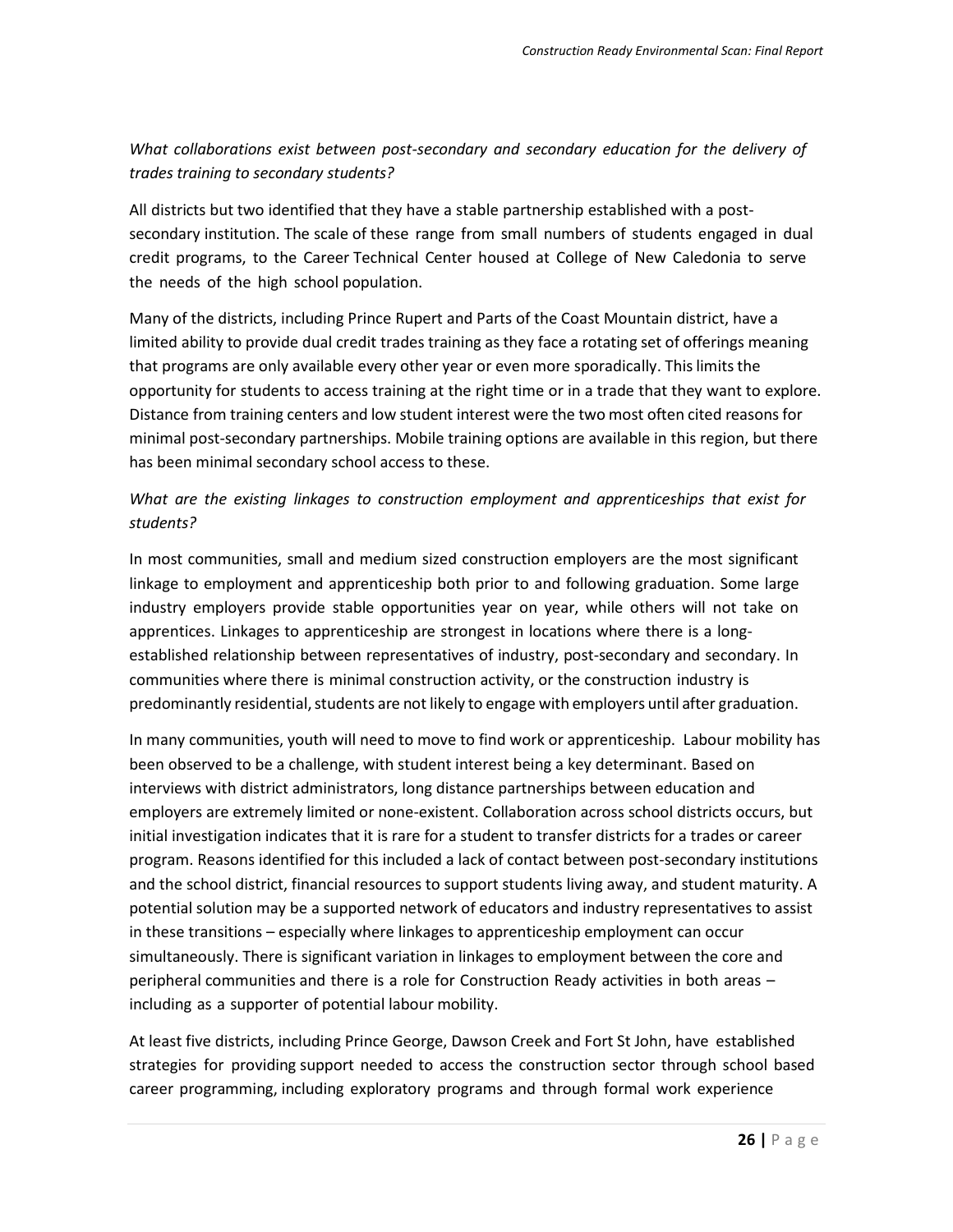#### *What collaborations exist between post-secondary and secondary education for the delivery of trades training to secondary students?*

All districts but two identified that they have a stable partnership established with a postsecondary institution. The scale of these range from small numbers of students engaged in dual credit programs, to the Career Technical Center housed at College of New Caledonia to serve the needs of the high school population.

Many of the districts, including Prince Rupert and Parts of the Coast Mountain district, have a limited ability to provide dual credit trades training as they face a rotating set of offerings meaning that programs are only available every other year or even more sporadically. Thislimitsthe opportunity for students to access training at the right time or in a trade that they want to explore. Distance from training centers and low student interest were the two most often cited reasons for minimal post-secondary partnerships. Mobile training options are available in this region, but there has been minimal secondary school access to these.

#### *What are the existing linkages to construction employment and apprenticeships that exist for students?*

In most communities, small and medium sized construction employers are the most significant linkage to employment and apprenticeship both prior to and following graduation. Some large industry employers provide stable opportunities year on year, while others will not take on apprentices. Linkages to apprenticeship are strongest in locations where there is a longestablished relationship between representatives of industry, post-secondary and secondary. In communities where there is minimal construction activity, or the construction industry is predominantly residential, students are not likely to engage with employers until after graduation.

In many communities, youth will need to move to find work or apprenticeship. Labour mobility has been observed to be a challenge, with student interest being a key determinant. Based on interviews with district administrators, long distance partnerships between education and employers are extremely limited or none-existent. Collaboration across school districts occurs, but initial investigation indicates that it is rare for a student to transfer districts for a trades or career program. Reasons identified for this included a lack of contact between post-secondary institutions and the school district, financial resources to support students living away, and student maturity. A potential solution may be a supported network of educators and industry representatives to assist in these transitions – especially where linkages to apprenticeship employment can occur simultaneously. There is significant variation in linkages to employment between the core and peripheral communities and there is a role for Construction Ready activities in both areas – including as a supporter of potential labour mobility.

At least five districts, including Prince George, Dawson Creek and Fort St John, have established strategies for providing support needed to access the construction sector through school based career programming, including exploratory programs and through formal work experience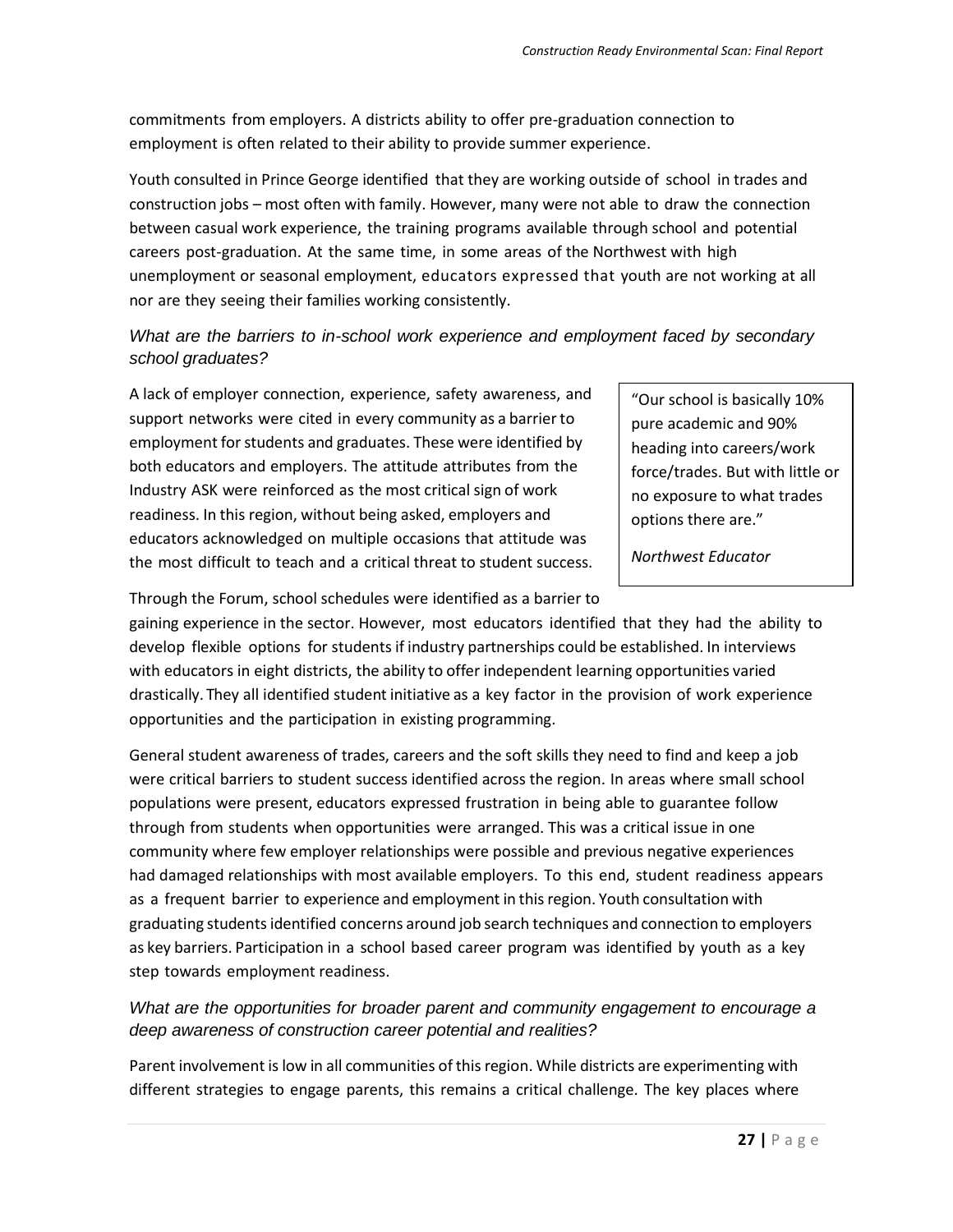commitments from employers. A districts ability to offer pre-graduation connection to employment is often related to their ability to provide summer experience.

Youth consulted in Prince George identified that they are working outside of school in trades and construction jobs – most often with family. However, many were not able to draw the connection between casual work experience, the training programs available through school and potential careers post-graduation. At the same time, in some areas of the Northwest with high unemployment or seasonal employment, educators expressed that youth are not working at all nor are they seeing their families working consistently.

#### *What are the barriers to in-school work experience and employment faced by secondary school graduates?*

A lack of employer connection, experience, safety awareness, and support networks were cited in every community as a barrier to employment for students and graduates. These were identified by both educators and employers. The attitude attributes from the Industry ASK were reinforced as the most critical sign of work readiness. In this region, without being asked, employers and educators acknowledged on multiple occasions that attitude was the most difficult to teach and a critical threat to student success.

"Our school is basically 10% pure academic and 90% heading into careers/work force/trades. But with little or no exposure to what trades options there are."

*Northwest Educator*

Through the Forum, school schedules were identified as a barrier to

gaining experience in the sector. However, most educators identified that they had the ability to develop flexible options for studentsif industry partnerships could be established. In interviews with educators in eight districts, the ability to offer independent learning opportunities varied drastically. They all identified student initiative as a key factor in the provision of work experience opportunities and the participation in existing programming.

General student awareness of trades, careers and the soft skills they need to find and keep a job were critical barriers to student success identified across the region. In areas where small school populations were present, educators expressed frustration in being able to guarantee follow through from students when opportunities were arranged. This was a critical issue in one community where few employer relationships were possible and previous negative experiences had damaged relationships with most available employers. To this end, student readiness appears as a frequent barrier to experience and employment in this region. Youth consultation with graduating studentsidentified concerns around job search techniques and connection to employers as key barriers. Participation in a school based career program was identified by youth as a key step towards employment readiness.

#### *What are the opportunities for broader parent and community engagement to encourage a deep awareness of construction career potential and realities?*

Parent involvement is low in all communities of this region. While districts are experimenting with different strategies to engage parents, this remains a critical challenge. The key places where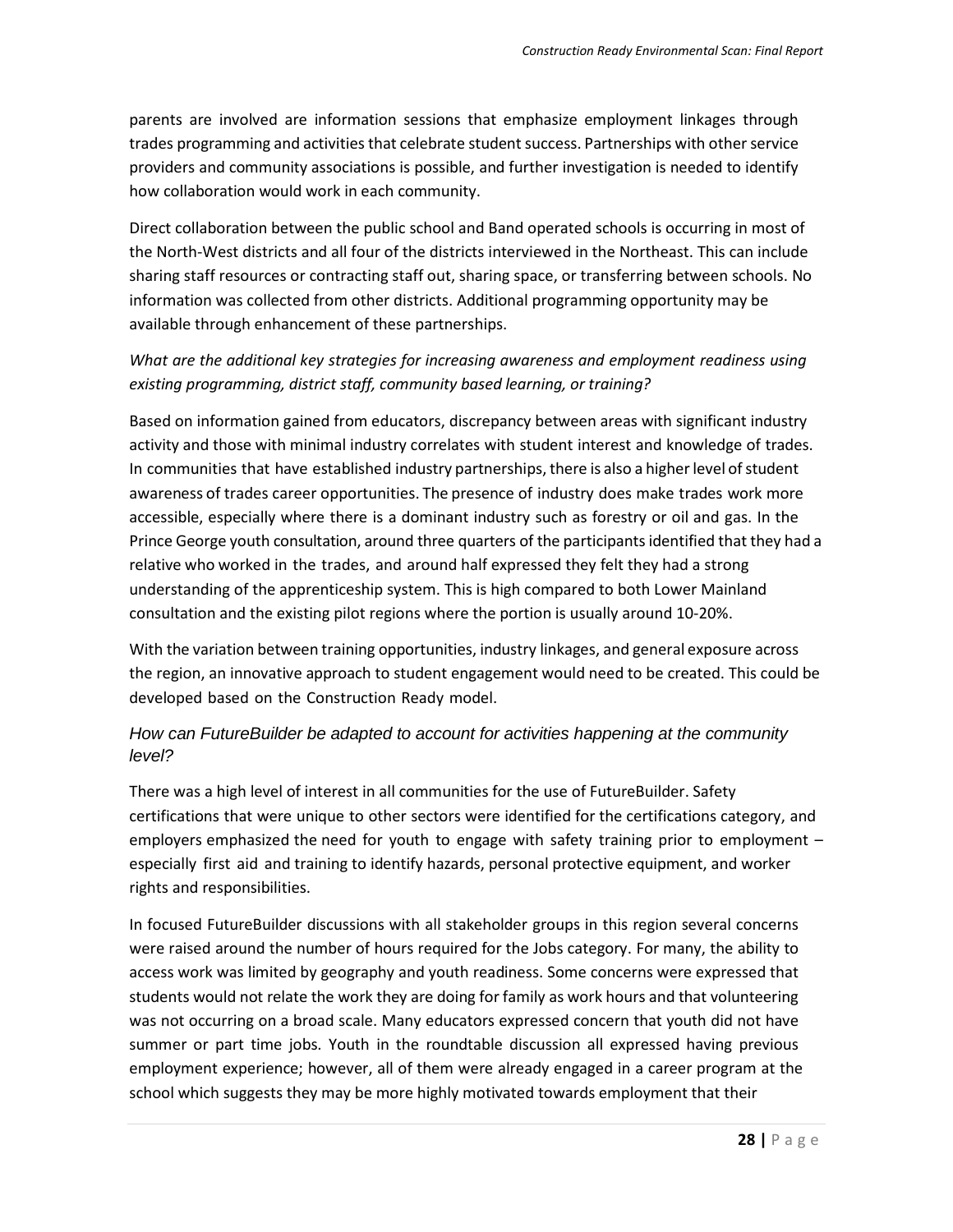parents are involved are information sessions that emphasize employment linkages through trades programming and activities that celebrate student success. Partnerships with other service providers and community associations is possible, and further investigation is needed to identify how collaboration would work in each community.

Direct collaboration between the public school and Band operated schools is occurring in most of the North-West districts and all four of the districts interviewed in the Northeast. This can include sharing staff resources or contracting staff out, sharing space, or transferring between schools. No information was collected from other districts. Additional programming opportunity may be available through enhancement of these partnerships.

#### *What are the additional key strategies for increasing awareness and employment readiness using existing programming, district staff, community based learning, or training?*

Based on information gained from educators, discrepancy between areas with significant industry activity and those with minimal industry correlates with student interest and knowledge of trades. In communities that have established industry partnerships, there is also a higher level of student awareness of trades career opportunities. The presence of industry does make trades work more accessible, especially where there is a dominant industry such as forestry or oil and gas. In the Prince George youth consultation, around three quarters of the participantsidentified that they had a relative who worked in the trades, and around half expressed they felt they had a strong understanding of the apprenticeship system. This is high compared to both Lower Mainland consultation and the existing pilot regions where the portion is usually around 10-20%.

With the variation between training opportunities, industry linkages, and general exposure across the region, an innovative approach to student engagement would need to be created. This could be developed based on the Construction Ready model.

#### *How can FutureBuilder be adapted to account for activities happening at the community level?*

There was a high level of interest in all communities for the use of FutureBuilder. Safety certifications that were unique to other sectors were identified for the certifications category, and employers emphasized the need for youth to engage with safety training prior to employment – especially first aid and training to identify hazards, personal protective equipment, and worker rights and responsibilities.

In focused FutureBuilder discussions with all stakeholder groups in this region several concerns were raised around the number of hours required for the Jobs category. For many, the ability to access work was limited by geography and youth readiness. Some concerns were expressed that students would not relate the work they are doing for family as work hours and that volunteering was not occurring on a broad scale. Many educators expressed concern that youth did not have summer or part time jobs. Youth in the roundtable discussion all expressed having previous employment experience; however, all of them were already engaged in a career program at the school which suggests they may be more highly motivated towards employment that their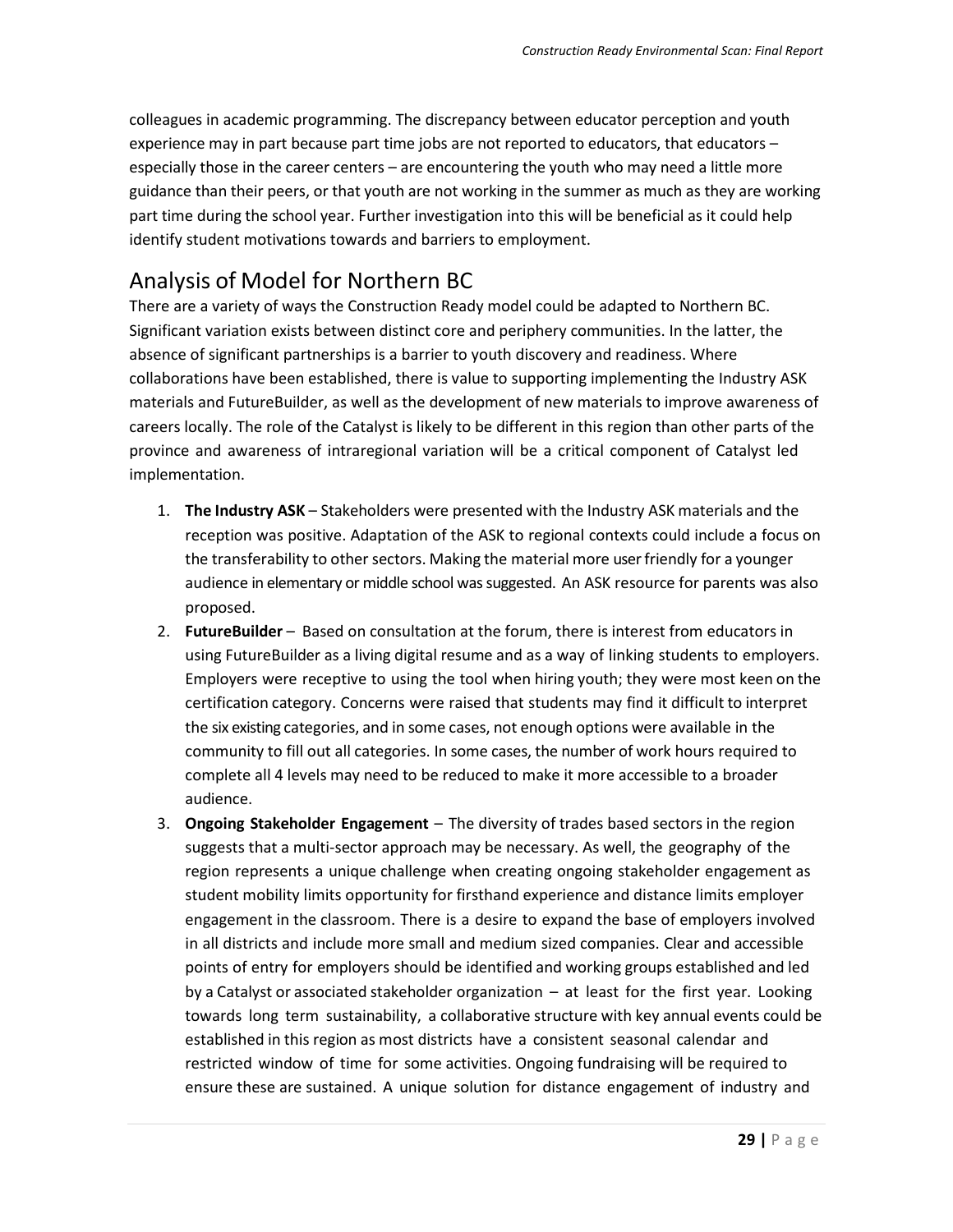colleagues in academic programming. The discrepancy between educator perception and youth experience may in part because part time jobs are not reported to educators, that educators – especially those in the career centers – are encountering the youth who may need a little more guidance than their peers, or that youth are not working in the summer as much as they are working part time during the school year. Further investigation into this will be beneficial as it could help identify student motivations towards and barriers to employment.

### Analysis of Model for Northern BC

There are a variety of ways the Construction Ready model could be adapted to Northern BC. Significant variation exists between distinct core and periphery communities. In the latter, the absence of significant partnerships is a barrier to youth discovery and readiness. Where collaborations have been established, there is value to supporting implementing the Industry ASK materials and FutureBuilder, as well as the development of new materials to improve awareness of careers locally. The role of the Catalyst is likely to be different in this region than other parts of the province and awareness of intraregional variation will be a critical component of Catalyst led implementation.

- 1. **The Industry ASK** Stakeholders were presented with the Industry ASK materials and the reception was positive. Adaptation of the ASK to regional contexts could include a focus on the transferability to other sectors. Making the material more user friendly for a younger audience in elementary or middle school was suggested. An ASK resource for parents was also proposed.
- 2. **FutureBuilder** Based on consultation at the forum, there is interest from educators in using FutureBuilder as a living digital resume and as a way of linking students to employers. Employers were receptive to using the tool when hiring youth; they were most keen on the certification category. Concerns were raised that students may find it difficult to interpret the six existing categories, and in some cases, not enough options were available in the community to fill out all categories. In some cases, the number of work hours required to complete all 4 levels may need to be reduced to make it more accessible to a broader audience.
- 3. **Ongoing Stakeholder Engagement** The diversity of trades based sectors in the region suggests that a multi-sector approach may be necessary. As well, the geography of the region represents a unique challenge when creating ongoing stakeholder engagement as student mobility limits opportunity for firsthand experience and distance limits employer engagement in the classroom. There is a desire to expand the base of employers involved in all districts and include more small and medium sized companies. Clear and accessible points of entry for employers should be identified and working groups established and led by a Catalyst or associated stakeholder organization – at least for the first year. Looking towards long term sustainability, a collaborative structure with key annual events could be established in this region as most districts have a consistent seasonal calendar and restricted window of time for some activities. Ongoing fundraising will be required to ensure these are sustained. A unique solution for distance engagement of industry and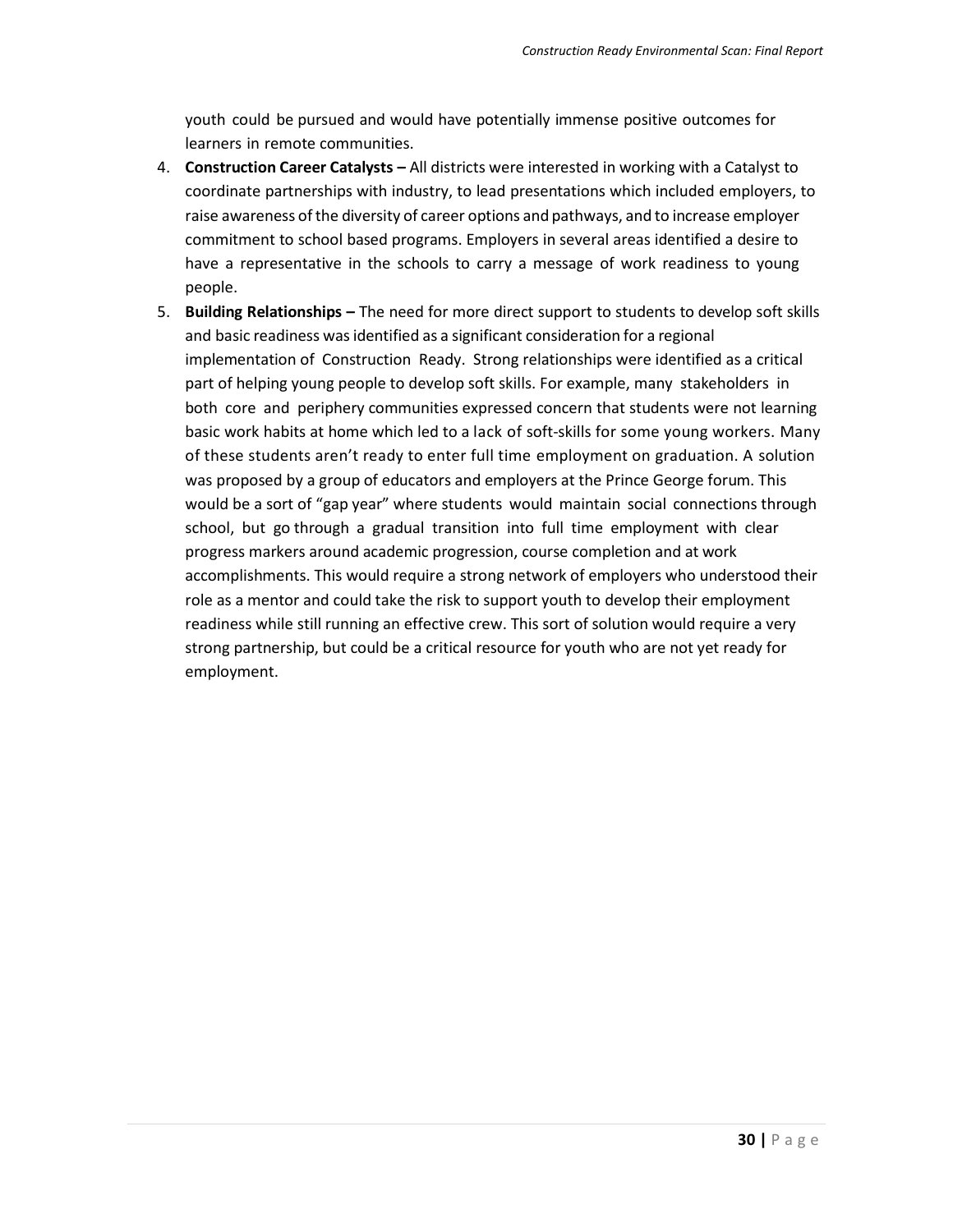youth could be pursued and would have potentially immense positive outcomes for learners in remote communities.

- 4. **Construction Career Catalysts –** All districts were interested in working with a Catalyst to coordinate partnerships with industry, to lead presentations which included employers, to raise awareness ofthe diversity of career options and pathways, and to increase employer commitment to school based programs. Employers in several areas identified a desire to have a representative in the schools to carry a message of work readiness to young people.
- 5. **Building Relationships –** The need for more direct support to students to develop soft skills and basic readiness wasidentified as a significant consideration for a regional implementation of Construction Ready. Strong relationships were identified as a critical part of helping young people to develop soft skills. For example, many stakeholders in both core and periphery communities expressed concern that students were not learning basic work habits at home which led to a lack of soft-skills for some young workers. Many of these students aren't ready to enter full time employment on graduation. A solution was proposed by a group of educators and employers at the Prince George forum. This would be a sort of "gap year" where students would maintain social connections through school, but go through a gradual transition into full time employment with clear progress markers around academic progression, course completion and at work accomplishments. This would require a strong network of employers who understood their role as a mentor and could take the risk to support youth to develop their employment readiness while still running an effective crew. This sort of solution would require a very strong partnership, but could be a critical resource for youth who are not yet ready for employment.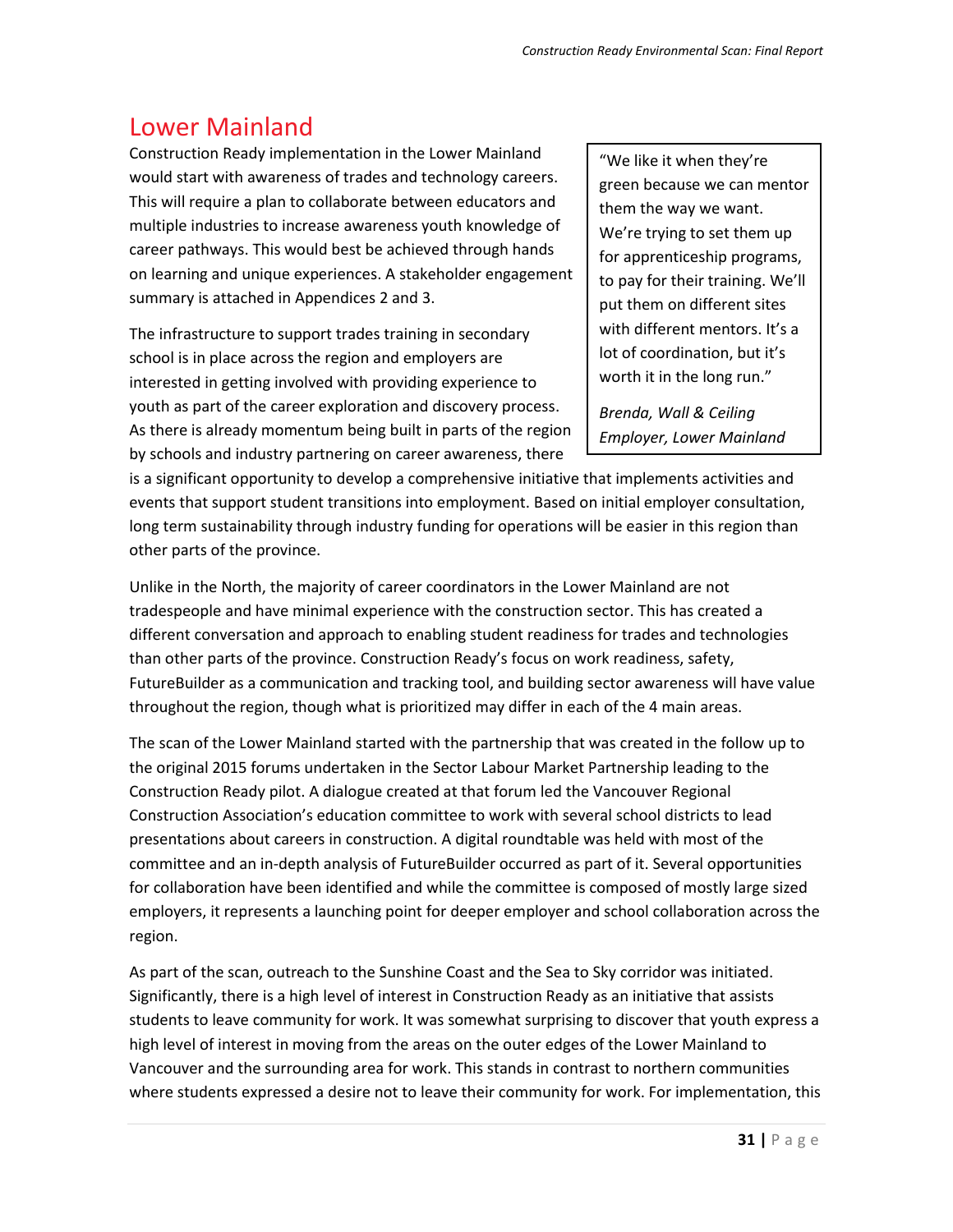### <span id="page-30-0"></span>Lower Mainland

Construction Ready implementation in the Lower Mainland would start with awareness of trades and technology careers. This will require a plan to collaborate between educators and multiple industries to increase awareness youth knowledge of career pathways. This would best be achieved through hands on learning and unique experiences. A stakeholder engagement summary is attached in Appendices 2 and 3.

The infrastructure to support trades training in secondary school is in place across the region and employers are interested in getting involved with providing experience to youth as part of the career exploration and discovery process. As there is already momentum being built in parts of the region by schools and industry partnering on career awareness, there

"We like it when they're green because we can mentor them the way we want. We're trying to set them up for apprenticeship programs, to pay for their training. We'll put them on different sites with different mentors. It's a lot of coordination, but it's worth it in the long run."

*Brenda, Wall & Ceiling Employer, Lower Mainland*

is a significant opportunity to develop a comprehensive initiative that implements activities and events that support student transitions into employment. Based on initial employer consultation, long term sustainability through industry funding for operations will be easier in this region than other parts of the province.

Unlike in the North, the majority of career coordinators in the Lower Mainland are not tradespeople and have minimal experience with the construction sector. This has created a different conversation and approach to enabling student readiness for trades and technologies than other parts of the province. Construction Ready's focus on work readiness, safety, FutureBuilder as a communication and tracking tool, and building sector awareness will have value throughout the region, though what is prioritized may differ in each of the 4 main areas.

The scan of the Lower Mainland started with the partnership that was created in the follow up to the original 2015 forums undertaken in the Sector Labour Market Partnership leading to the Construction Ready pilot. A dialogue created at that forum led the Vancouver Regional Construction Association's education committee to work with several school districts to lead presentations about careers in construction. A digital roundtable was held with most of the committee and an in-depth analysis of FutureBuilder occurred as part of it. Several opportunities for collaboration have been identified and while the committee is composed of mostly large sized employers, it represents a launching point for deeper employer and school collaboration across the region.

As part of the scan, outreach to the Sunshine Coast and the Sea to Sky corridor was initiated. Significantly, there is a high level of interest in Construction Ready as an initiative that assists students to leave community for work. It was somewhat surprising to discover that youth express a high level of interest in moving from the areas on the outer edges of the Lower Mainland to Vancouver and the surrounding area for work. This stands in contrast to northern communities where students expressed a desire not to leave their community for work. For implementation, this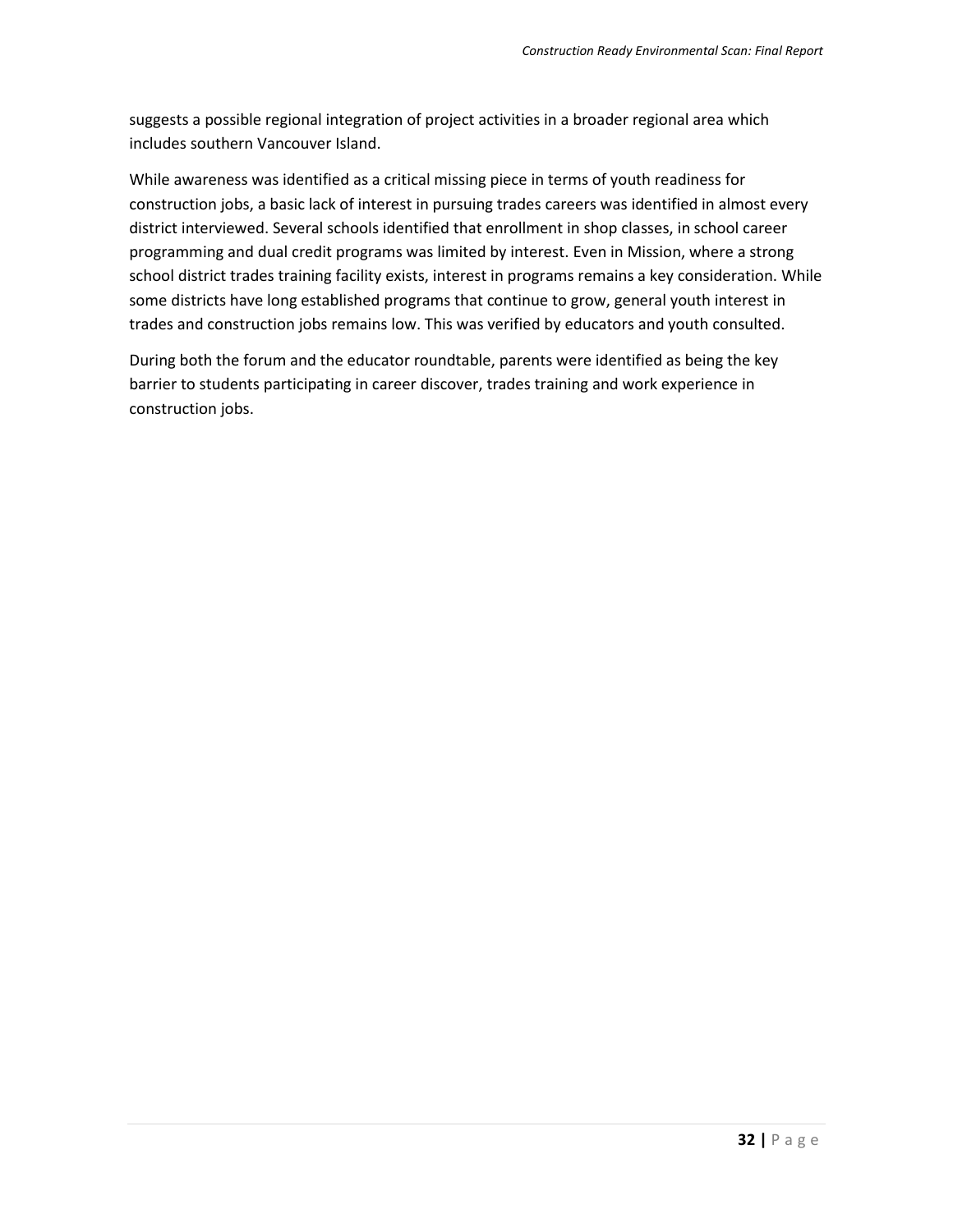suggests a possible regional integration of project activities in a broader regional area which includes southern Vancouver Island.

While awareness was identified as a critical missing piece in terms of youth readiness for construction jobs, a basic lack of interest in pursuing trades careers was identified in almost every district interviewed. Several schools identified that enrollment in shop classes, in school career programming and dual credit programs was limited by interest. Even in Mission, where a strong school district trades training facility exists, interest in programs remains a key consideration. While some districts have long established programs that continue to grow, general youth interest in trades and construction jobs remains low. This was verified by educators and youth consulted.

During both the forum and the educator roundtable, parents were identified as being the key barrier to students participating in career discover, trades training and work experience in construction jobs.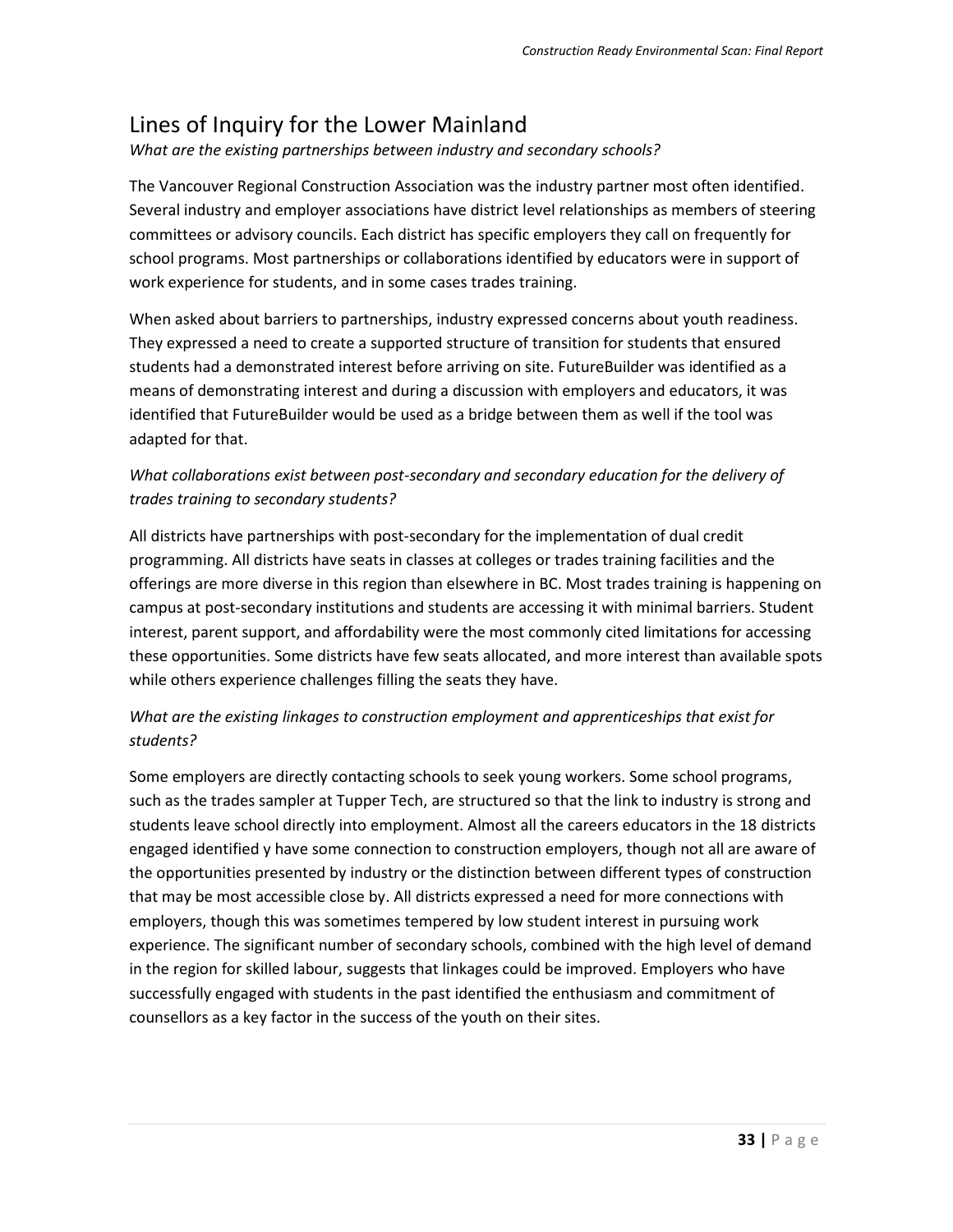### Lines of Inquiry for the Lower Mainland

*What are the existing partnerships between industry and secondary schools?* 

The Vancouver Regional Construction Association was the industry partner most often identified. Several industry and employer associations have district level relationships as members of steering committees or advisory councils. Each district has specific employers they call on frequently for school programs. Most partnerships or collaborations identified by educators were in support of work experience for students, and in some cases trades training.

When asked about barriers to partnerships, industry expressed concerns about youth readiness. They expressed a need to create a supported structure of transition for students that ensured students had a demonstrated interest before arriving on site. FutureBuilder was identified as a means of demonstrating interest and during a discussion with employers and educators, it was identified that FutureBuilder would be used as a bridge between them as well if the tool was adapted for that.

#### *What collaborations exist between post-secondary and secondary education for the delivery of trades training to secondary students?*

All districts have partnerships with post-secondary for the implementation of dual credit programming. All districts have seats in classes at colleges or trades training facilities and the offerings are more diverse in this region than elsewhere in BC. Most trades training is happening on campus at post-secondary institutions and students are accessing it with minimal barriers. Student interest, parent support, and affordability were the most commonly cited limitations for accessing these opportunities. Some districts have few seats allocated, and more interest than available spots while others experience challenges filling the seats they have.

#### *What are the existing linkages to construction employment and apprenticeships that exist for students?*

Some employers are directly contacting schools to seek young workers. Some school programs, such as the trades sampler at Tupper Tech, are structured so that the link to industry is strong and students leave school directly into employment. Almost all the careers educators in the 18 districts engaged identified y have some connection to construction employers, though not all are aware of the opportunities presented by industry or the distinction between different types of construction that may be most accessible close by. All districts expressed a need for more connections with employers, though this was sometimes tempered by low student interest in pursuing work experience. The significant number of secondary schools, combined with the high level of demand in the region for skilled labour, suggests that linkages could be improved. Employers who have successfully engaged with students in the past identified the enthusiasm and commitment of counsellors as a key factor in the success of the youth on their sites.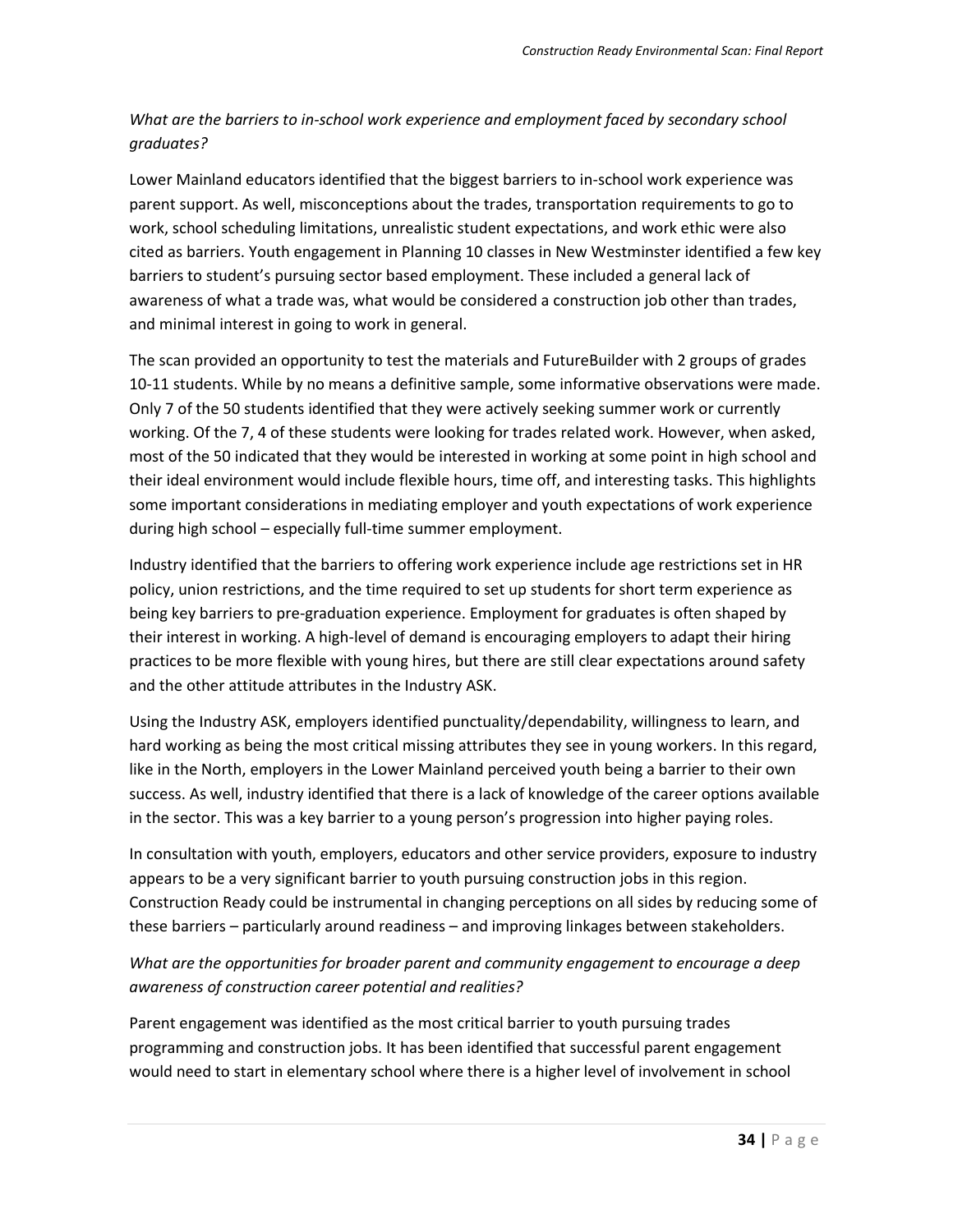#### *What are the barriers to in-school work experience and employment faced by secondary school graduates?*

Lower Mainland educators identified that the biggest barriers to in-school work experience was parent support. As well, misconceptions about the trades, transportation requirements to go to work, school scheduling limitations, unrealistic student expectations, and work ethic were also cited as barriers. Youth engagement in Planning 10 classes in New Westminster identified a few key barriers to student's pursuing sector based employment. These included a general lack of awareness of what a trade was, what would be considered a construction job other than trades, and minimal interest in going to work in general.

The scan provided an opportunity to test the materials and FutureBuilder with 2 groups of grades 10-11 students. While by no means a definitive sample, some informative observations were made. Only 7 of the 50 students identified that they were actively seeking summer work or currently working. Of the 7, 4 of these students were looking for trades related work. However, when asked, most of the 50 indicated that they would be interested in working at some point in high school and their ideal environment would include flexible hours, time off, and interesting tasks. This highlights some important considerations in mediating employer and youth expectations of work experience during high school – especially full-time summer employment.

Industry identified that the barriers to offering work experience include age restrictions set in HR policy, union restrictions, and the time required to set up students for short term experience as being key barriers to pre-graduation experience. Employment for graduates is often shaped by their interest in working. A high-level of demand is encouraging employers to adapt their hiring practices to be more flexible with young hires, but there are still clear expectations around safety and the other attitude attributes in the Industry ASK.

Using the Industry ASK, employers identified punctuality/dependability, willingness to learn, and hard working as being the most critical missing attributes they see in young workers. In this regard, like in the North, employers in the Lower Mainland perceived youth being a barrier to their own success. As well, industry identified that there is a lack of knowledge of the career options available in the sector. This was a key barrier to a young person's progression into higher paying roles.

In consultation with youth, employers, educators and other service providers, exposure to industry appears to be a very significant barrier to youth pursuing construction jobs in this region. Construction Ready could be instrumental in changing perceptions on all sides by reducing some of these barriers – particularly around readiness – and improving linkages between stakeholders.

#### *What are the opportunities for broader parent and community engagement to encourage a deep awareness of construction career potential and realities?*

Parent engagement was identified as the most critical barrier to youth pursuing trades programming and construction jobs. It has been identified that successful parent engagement would need to start in elementary school where there is a higher level of involvement in school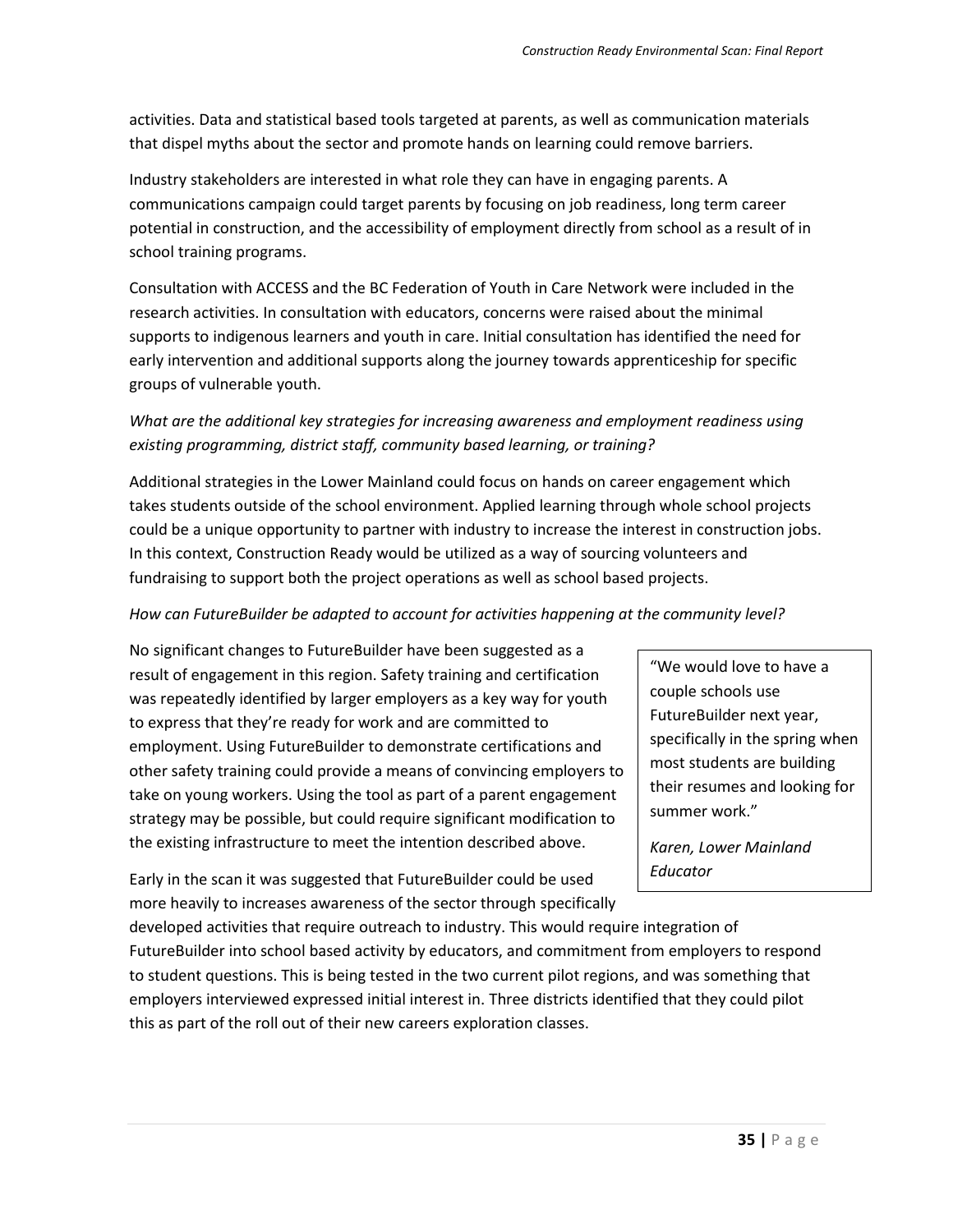activities. Data and statistical based tools targeted at parents, as well as communication materials that dispel myths about the sector and promote hands on learning could remove barriers.

Industry stakeholders are interested in what role they can have in engaging parents. A communications campaign could target parents by focusing on job readiness, long term career potential in construction, and the accessibility of employment directly from school as a result of in school training programs.

Consultation with ACCESS and the BC Federation of Youth in Care Network were included in the research activities. In consultation with educators, concerns were raised about the minimal supports to indigenous learners and youth in care. Initial consultation has identified the need for early intervention and additional supports along the journey towards apprenticeship for specific groups of vulnerable youth.

#### *What are the additional key strategies for increasing awareness and employment readiness using existing programming, district staff, community based learning, or training?*

Additional strategies in the Lower Mainland could focus on hands on career engagement which takes students outside of the school environment. Applied learning through whole school projects could be a unique opportunity to partner with industry to increase the interest in construction jobs. In this context, Construction Ready would be utilized as a way of sourcing volunteers and fundraising to support both the project operations as well as school based projects.

#### *How can FutureBuilder be adapted to account for activities happening at the community level?*

No significant changes to FutureBuilder have been suggested as a result of engagement in this region. Safety training and certification was repeatedly identified by larger employers as a key way for youth to express that they're ready for work and are committed to employment. Using FutureBuilder to demonstrate certifications and other safety training could provide a means of convincing employers to take on young workers. Using the tool as part of a parent engagement strategy may be possible, but could require significant modification to the existing infrastructure to meet the intention described above.

Early in the scan it was suggested that FutureBuilder could be used more heavily to increases awareness of the sector through specifically

developed activities that require outreach to industry. This would require integration of FutureBuilder into school based activity by educators, and commitment from employers to respond to student questions. This is being tested in the two current pilot regions, and was something that employers interviewed expressed initial interest in. Three districts identified that they could pilot this as part of the roll out of their new careers exploration classes.

"We would love to have a couple schools use FutureBuilder next year, specifically in the spring when most students are building their resumes and looking for summer work."

*Karen, Lower Mainland Educator*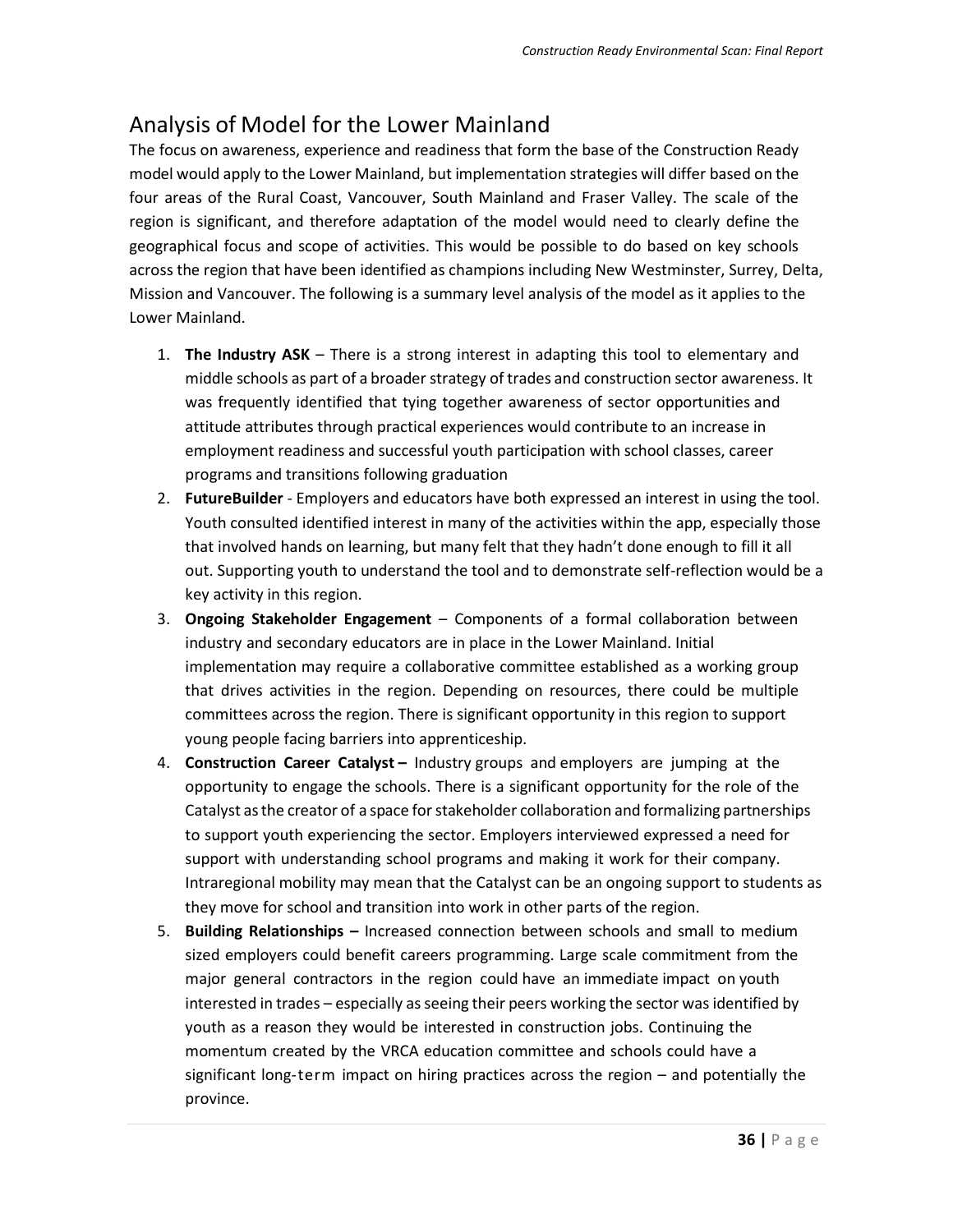### Analysis of Model for the Lower Mainland

The focus on awareness, experience and readiness that form the base of the Construction Ready model would apply to the Lower Mainland, but implementation strategies will differ based on the four areas of the Rural Coast, Vancouver, South Mainland and Fraser Valley. The scale of the region is significant, and therefore adaptation of the model would need to clearly define the geographical focus and scope of activities. This would be possible to do based on key schools across the region that have been identified as champions including New Westminster, Surrey, Delta, Mission and Vancouver. The following is a summary level analysis of the model as it applies to the Lower Mainland.

- 1. **The Industry ASK** There is a strong interest in adapting this tool to elementary and middle schools as part of a broader strategy of trades and construction sector awareness. It was frequently identified that tying together awareness of sector opportunities and attitude attributes through practical experiences would contribute to an increase in employment readiness and successful youth participation with school classes, career programs and transitions following graduation
- 2. **FutureBuilder** Employers and educators have both expressed an interest in using the tool. Youth consulted identified interest in many of the activities within the app, especially those that involved hands on learning, but many felt that they hadn't done enough to fill it all out. Supporting youth to understand the tool and to demonstrate self-reflection would be a key activity in this region.
- 3. **Ongoing Stakeholder Engagement** Components of a formal collaboration between industry and secondary educators are in place in the Lower Mainland. Initial implementation may require a collaborative committee established as a working group that drives activities in the region. Depending on resources, there could be multiple committees across the region. There is significant opportunity in this region to support young people facing barriers into apprenticeship.
- 4. **Construction Career Catalyst –** Industry groups and employers are jumping at the opportunity to engage the schools. There is a significant opportunity for the role of the Catalyst as the creator of a space for stakeholder collaboration and formalizing partnerships to support youth experiencing the sector. Employers interviewed expressed a need for support with understanding school programs and making it work for their company. Intraregional mobility may mean that the Catalyst can be an ongoing support to students as they move for school and transition into work in other parts of the region.
- 5. **Building Relationships –** Increased connection between schools and small to medium sized employers could benefit careers programming. Large scale commitment from the major general contractors in the region could have an immediate impact on youth interested in trades – especially as seeing their peers working the sector was identified by youth as a reason they would be interested in construction jobs. Continuing the momentum created by the VRCA education committee and schools could have a significant long-term impact on hiring practices across the region – and potentially the province.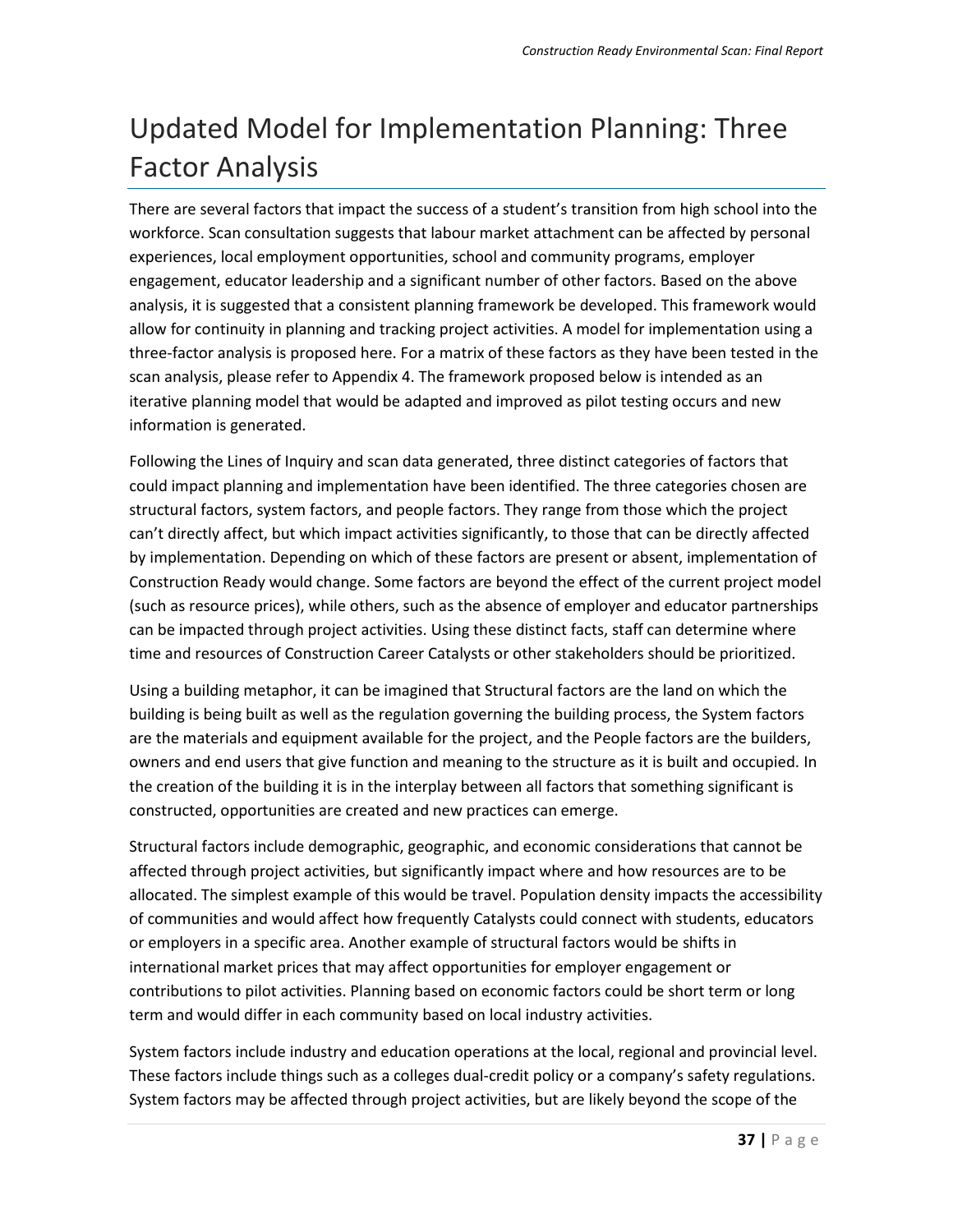# Updated Model for Implementation Planning: Three Factor Analysis

There are several factors that impact the success of a student's transition from high school into the workforce. Scan consultation suggests that labour market attachment can be affected by personal experiences, local employment opportunities, school and community programs, employer engagement, educator leadership and a significant number of other factors. Based on the above analysis, it is suggested that a consistent planning framework be developed. This framework would allow for continuity in planning and tracking project activities. A model for implementation using a three-factor analysis is proposed here. For a matrix of these factors as they have been tested in the scan analysis, please refer to Appendix 4. The framework proposed below is intended as an iterative planning model that would be adapted and improved as pilot testing occurs and new information is generated.

Following the Lines of Inquiry and scan data generated, three distinct categories of factors that could impact planning and implementation have been identified. The three categories chosen are structural factors, system factors, and people factors. They range from those which the project can't directly affect, but which impact activities significantly, to those that can be directly affected by implementation. Depending on which of these factors are present or absent, implementation of Construction Ready would change. Some factors are beyond the effect of the current project model (such as resource prices), while others, such as the absence of employer and educator partnerships can be impacted through project activities. Using these distinct facts, staff can determine where time and resources of Construction Career Catalysts or other stakeholders should be prioritized.

Using a building metaphor, it can be imagined that Structural factors are the land on which the building is being built as well as the regulation governing the building process, the System factors are the materials and equipment available for the project, and the People factors are the builders, owners and end users that give function and meaning to the structure as it is built and occupied. In the creation of the building it is in the interplay between all factors that something significant is constructed, opportunities are created and new practices can emerge.

Structural factors include demographic, geographic, and economic considerations that cannot be affected through project activities, but significantly impact where and how resources are to be allocated. The simplest example of this would be travel. Population density impacts the accessibility of communities and would affect how frequently Catalysts could connect with students, educators or employers in a specific area. Another example of structural factors would be shifts in international market prices that may affect opportunities for employer engagement or contributions to pilot activities. Planning based on economic factors could be short term or long term and would differ in each community based on local industry activities.

System factors include industry and education operations at the local, regional and provincial level. These factors include things such as a colleges dual-credit policy or a company's safety regulations. System factors may be affected through project activities, but are likely beyond the scope of the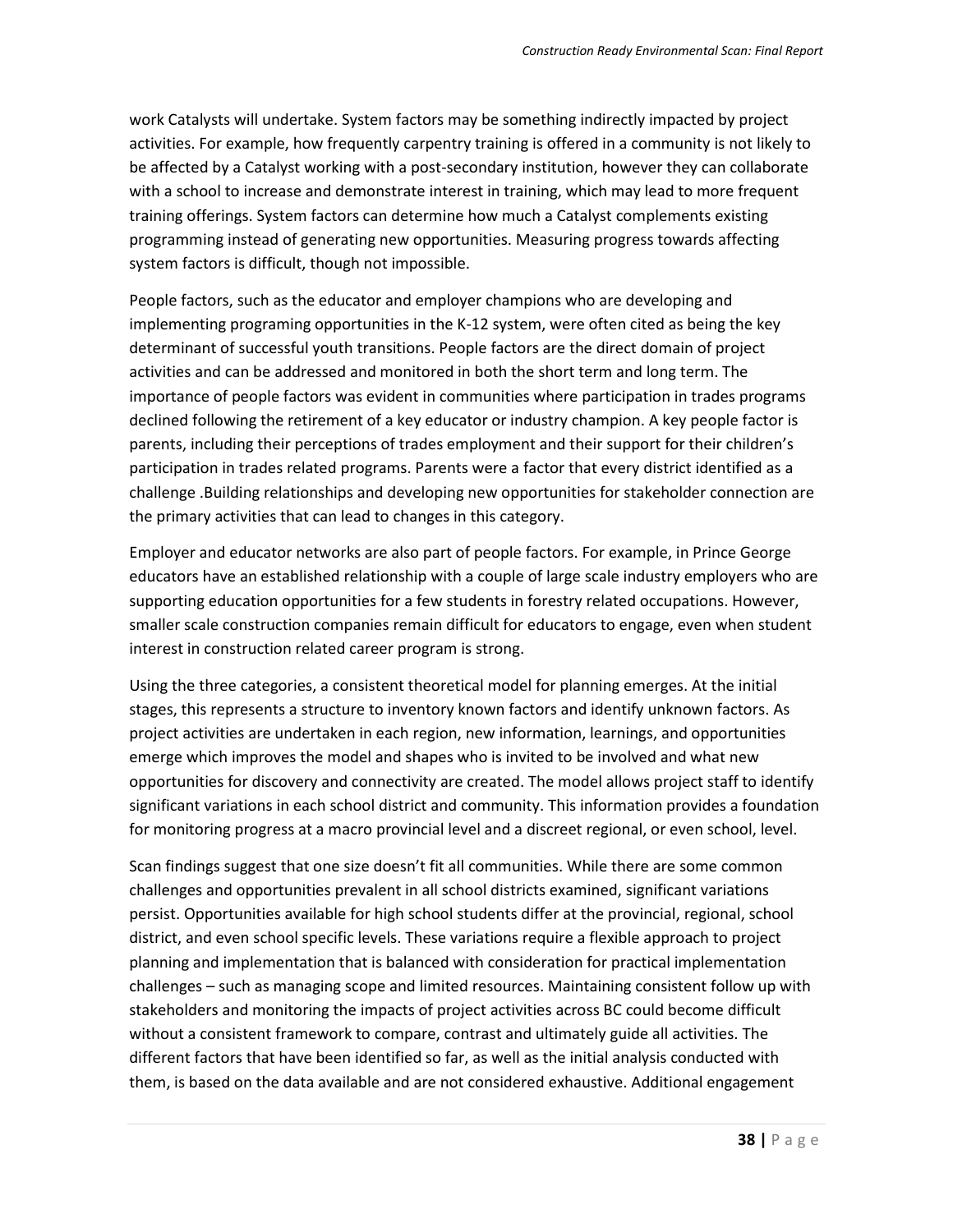work Catalysts will undertake. System factors may be something indirectly impacted by project activities. For example, how frequently carpentry training is offered in a community is not likely to be affected by a Catalyst working with a post-secondary institution, however they can collaborate with a school to increase and demonstrate interest in training, which may lead to more frequent training offerings. System factors can determine how much a Catalyst complements existing programming instead of generating new opportunities. Measuring progress towards affecting system factors is difficult, though not impossible.

People factors, such as the educator and employer champions who are developing and implementing programing opportunities in the K-12 system, were often cited as being the key determinant of successful youth transitions. People factors are the direct domain of project activities and can be addressed and monitored in both the short term and long term. The importance of people factors was evident in communities where participation in trades programs declined following the retirement of a key educator or industry champion. A key people factor is parents, including their perceptions of trades employment and their support for their children's participation in trades related programs. Parents were a factor that every district identified as a challenge .Building relationships and developing new opportunities for stakeholder connection are the primary activities that can lead to changes in this category.

Employer and educator networks are also part of people factors. For example, in Prince George educators have an established relationship with a couple of large scale industry employers who are supporting education opportunities for a few students in forestry related occupations. However, smaller scale construction companies remain difficult for educators to engage, even when student interest in construction related career program is strong.

Using the three categories, a consistent theoretical model for planning emerges. At the initial stages, this represents a structure to inventory known factors and identify unknown factors. As project activities are undertaken in each region, new information, learnings, and opportunities emerge which improves the model and shapes who is invited to be involved and what new opportunities for discovery and connectivity are created. The model allows project staff to identify significant variations in each school district and community. This information provides a foundation for monitoring progress at a macro provincial level and a discreet regional, or even school, level.

Scan findings suggest that one size doesn't fit all communities. While there are some common challenges and opportunities prevalent in all school districts examined, significant variations persist. Opportunities available for high school students differ at the provincial, regional, school district, and even school specific levels. These variations require a flexible approach to project planning and implementation that is balanced with consideration for practical implementation challenges – such as managing scope and limited resources. Maintaining consistent follow up with stakeholders and monitoring the impacts of project activities across BC could become difficult without a consistent framework to compare, contrast and ultimately guide all activities. The different factors that have been identified so far, as well as the initial analysis conducted with them, is based on the data available and are not considered exhaustive. Additional engagement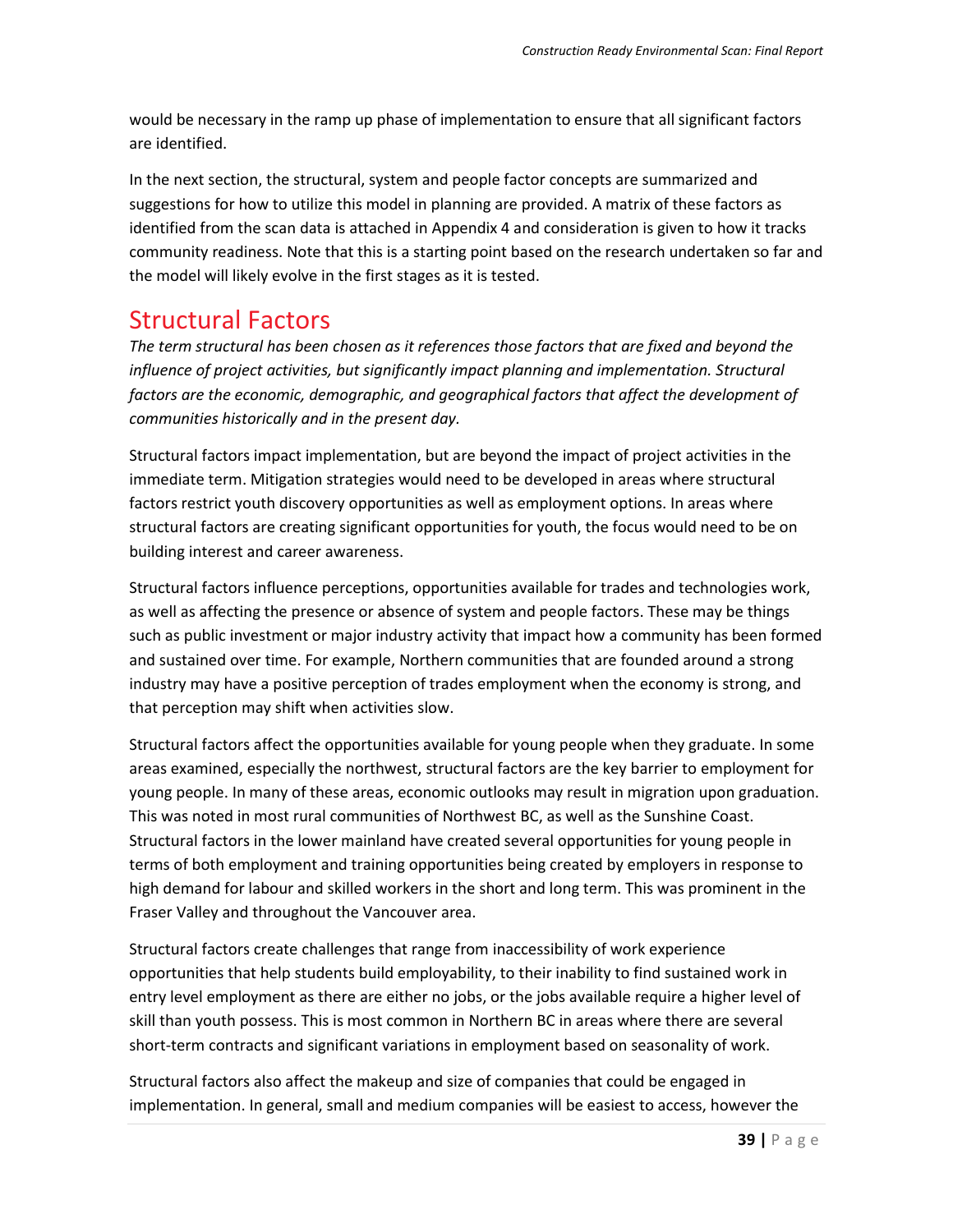would be necessary in the ramp up phase of implementation to ensure that all significant factors are identified.

In the next section, the structural, system and people factor concepts are summarized and suggestions for how to utilize this model in planning are provided. A matrix of these factors as identified from the scan data is attached in Appendix 4 and consideration is given to how it tracks community readiness. Note that this is a starting point based on the research undertaken so far and the model will likely evolve in the first stages as it is tested.

### Structural Factors

*The term structural has been chosen as it references those factors that are fixed and beyond the influence of project activities, but significantly impact planning and implementation. Structural factors are the economic, demographic, and geographical factors that affect the development of communities historically and in the present day.* 

Structural factors impact implementation, but are beyond the impact of project activities in the immediate term. Mitigation strategies would need to be developed in areas where structural factors restrict youth discovery opportunities as well as employment options. In areas where structural factors are creating significant opportunities for youth, the focus would need to be on building interest and career awareness.

Structural factors influence perceptions, opportunities available for trades and technologies work, as well as affecting the presence or absence of system and people factors. These may be things such as public investment or major industry activity that impact how a community has been formed and sustained over time. For example, Northern communities that are founded around a strong industry may have a positive perception of trades employment when the economy is strong, and that perception may shift when activities slow.

Structural factors affect the opportunities available for young people when they graduate. In some areas examined, especially the northwest, structural factors are the key barrier to employment for young people. In many of these areas, economic outlooks may result in migration upon graduation. This was noted in most rural communities of Northwest BC, as well as the Sunshine Coast. Structural factors in the lower mainland have created several opportunities for young people in terms of both employment and training opportunities being created by employers in response to high demand for labour and skilled workers in the short and long term. This was prominent in the Fraser Valley and throughout the Vancouver area.

Structural factors create challenges that range from inaccessibility of work experience opportunities that help students build employability, to their inability to find sustained work in entry level employment as there are either no jobs, or the jobs available require a higher level of skill than youth possess. This is most common in Northern BC in areas where there are several short-term contracts and significant variations in employment based on seasonality of work.

Structural factors also affect the makeup and size of companies that could be engaged in implementation. In general, small and medium companies will be easiest to access, however the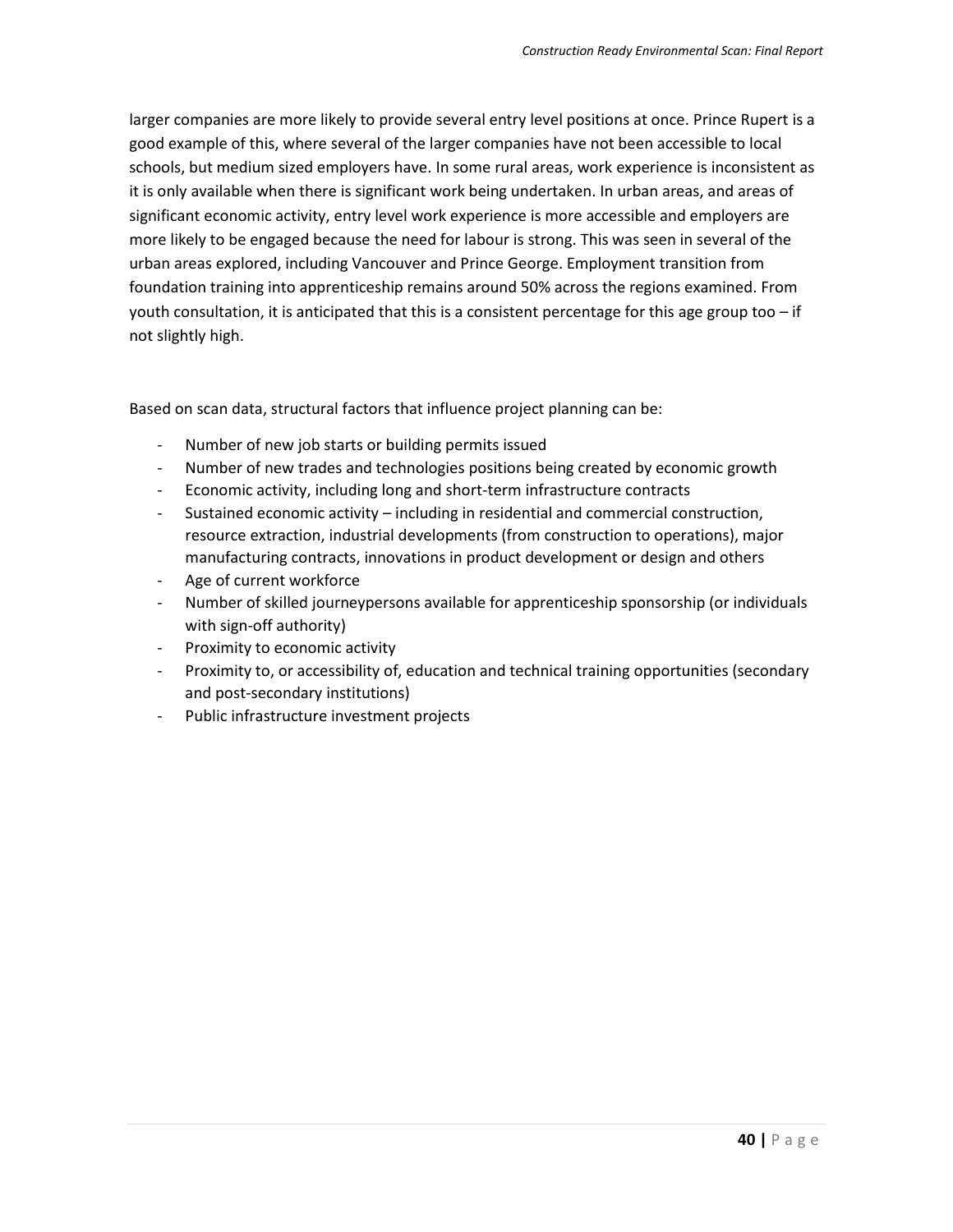larger companies are more likely to provide several entry level positions at once. Prince Rupert is a good example of this, where several of the larger companies have not been accessible to local schools, but medium sized employers have. In some rural areas, work experience is inconsistent as it is only available when there is significant work being undertaken. In urban areas, and areas of significant economic activity, entry level work experience is more accessible and employers are more likely to be engaged because the need for labour is strong. This was seen in several of the urban areas explored, including Vancouver and Prince George. Employment transition from foundation training into apprenticeship remains around 50% across the regions examined. From youth consultation, it is anticipated that this is a consistent percentage for this age group too – if not slightly high.

Based on scan data, structural factors that influence project planning can be:

- Number of new job starts or building permits issued
- Number of new trades and technologies positions being created by economic growth
- Economic activity, including long and short-term infrastructure contracts
- Sustained economic activity including in residential and commercial construction, resource extraction, industrial developments (from construction to operations), major manufacturing contracts, innovations in product development or design and others
- Age of current workforce
- Number of skilled journeypersons available for apprenticeship sponsorship (or individuals with sign-off authority)
- Proximity to economic activity
- Proximity to, or accessibility of, education and technical training opportunities (secondary and post-secondary institutions)
- Public infrastructure investment projects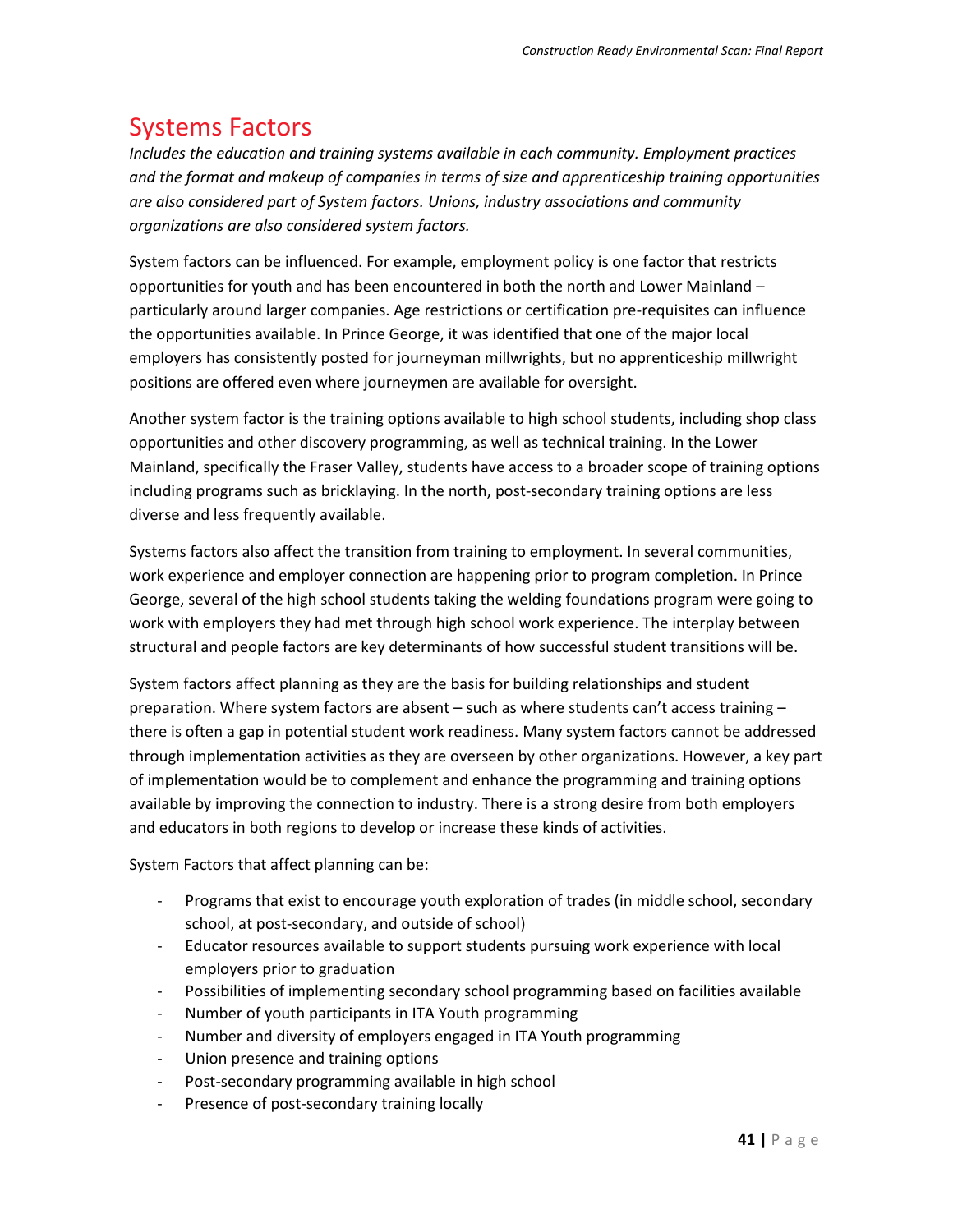### Systems Factors

*Includes the education and training systems available in each community. Employment practices and the format and makeup of companies in terms of size and apprenticeship training opportunities are also considered part of System factors. Unions, industry associations and community organizations are also considered system factors.*

System factors can be influenced. For example, employment policy is one factor that restricts opportunities for youth and has been encountered in both the north and Lower Mainland – particularly around larger companies. Age restrictions or certification pre-requisites can influence the opportunities available. In Prince George, it was identified that one of the major local employers has consistently posted for journeyman millwrights, but no apprenticeship millwright positions are offered even where journeymen are available for oversight.

Another system factor is the training options available to high school students, including shop class opportunities and other discovery programming, as well as technical training. In the Lower Mainland, specifically the Fraser Valley, students have access to a broader scope of training options including programs such as bricklaying. In the north, post-secondary training options are less diverse and less frequently available.

Systems factors also affect the transition from training to employment. In several communities, work experience and employer connection are happening prior to program completion. In Prince George, several of the high school students taking the welding foundations program were going to work with employers they had met through high school work experience. The interplay between structural and people factors are key determinants of how successful student transitions will be.

System factors affect planning as they are the basis for building relationships and student preparation. Where system factors are absent – such as where students can't access training – there is often a gap in potential student work readiness. Many system factors cannot be addressed through implementation activities as they are overseen by other organizations. However, a key part of implementation would be to complement and enhance the programming and training options available by improving the connection to industry. There is a strong desire from both employers and educators in both regions to develop or increase these kinds of activities.

System Factors that affect planning can be:

- Programs that exist to encourage youth exploration of trades (in middle school, secondary school, at post-secondary, and outside of school)
- Educator resources available to support students pursuing work experience with local employers prior to graduation
- Possibilities of implementing secondary school programming based on facilities available
- Number of youth participants in ITA Youth programming
- Number and diversity of employers engaged in ITA Youth programming
- Union presence and training options
- Post-secondary programming available in high school
- Presence of post-secondary training locally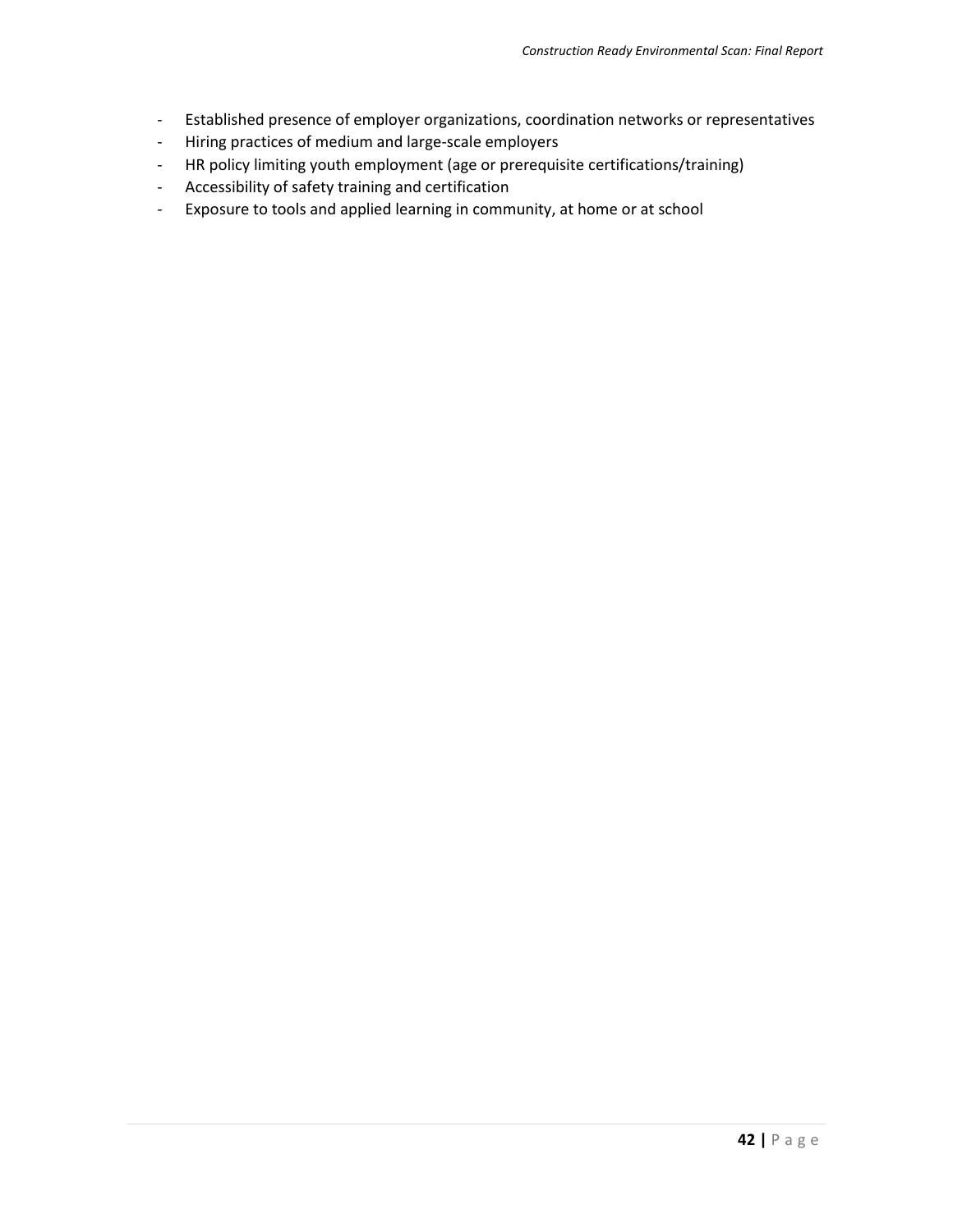- Established presence of employer organizations, coordination networks or representatives
- Hiring practices of medium and large-scale employers
- HR policy limiting youth employment (age or prerequisite certifications/training)
- Accessibility of safety training and certification
- Exposure to tools and applied learning in community, at home or at school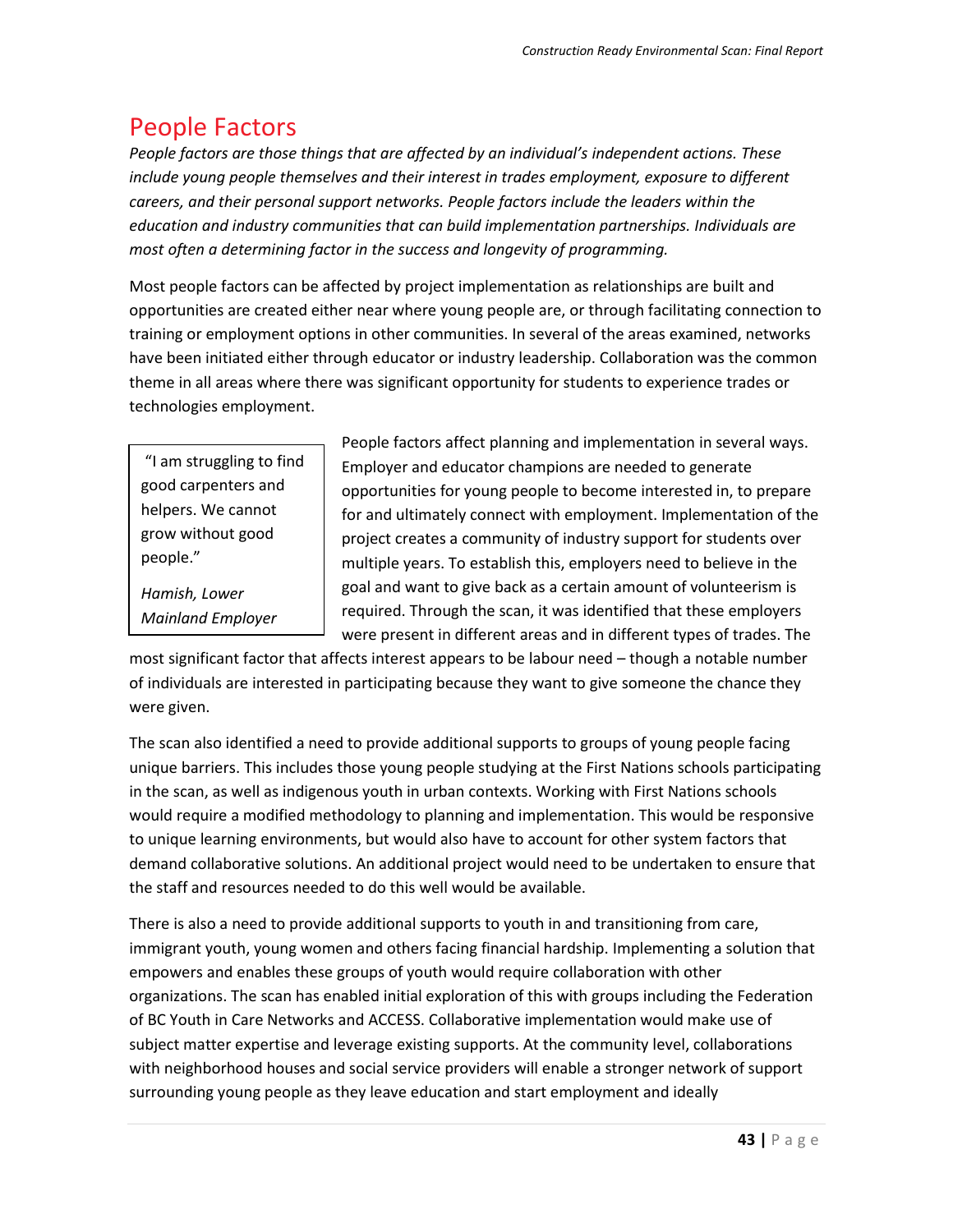### People Factors

*People factors are those things that are affected by an individual's independent actions. These include young people themselves and their interest in trades employment, exposure to different careers, and their personal support networks. People factors include the leaders within the education and industry communities that can build implementation partnerships. Individuals are most often a determining factor in the success and longevity of programming.*

Most people factors can be affected by project implementation as relationships are built and opportunities are created either near where young people are, or through facilitating connection to training or employment options in other communities. In several of the areas examined, networks have been initiated either through educator or industry leadership. Collaboration was the common theme in all areas where there was significant opportunity for students to experience trades or technologies employment.

"I am struggling to find good carpenters and helpers. We cannot grow without good people."

*Hamish, Lower Mainland Employer* People factors affect planning and implementation in several ways. Employer and educator champions are needed to generate opportunities for young people to become interested in, to prepare for and ultimately connect with employment. Implementation of the project creates a community of industry support for students over multiple years. To establish this, employers need to believe in the goal and want to give back as a certain amount of volunteerism is required. Through the scan, it was identified that these employers were present in different areas and in different types of trades. The

most significant factor that affects interest appears to be labour need – though a notable number of individuals are interested in participating because they want to give someone the chance they were given.

The scan also identified a need to provide additional supports to groups of young people facing unique barriers. This includes those young people studying at the First Nations schools participating in the scan, as well as indigenous youth in urban contexts. Working with First Nations schools would require a modified methodology to planning and implementation. This would be responsive to unique learning environments, but would also have to account for other system factors that demand collaborative solutions. An additional project would need to be undertaken to ensure that the staff and resources needed to do this well would be available.

There is also a need to provide additional supports to youth in and transitioning from care, immigrant youth, young women and others facing financial hardship. Implementing a solution that empowers and enables these groups of youth would require collaboration with other organizations. The scan has enabled initial exploration of this with groups including the Federation of BC Youth in Care Networks and ACCESS. Collaborative implementation would make use of subject matter expertise and leverage existing supports. At the community level, collaborations with neighborhood houses and social service providers will enable a stronger network of support surrounding young people as they leave education and start employment and ideally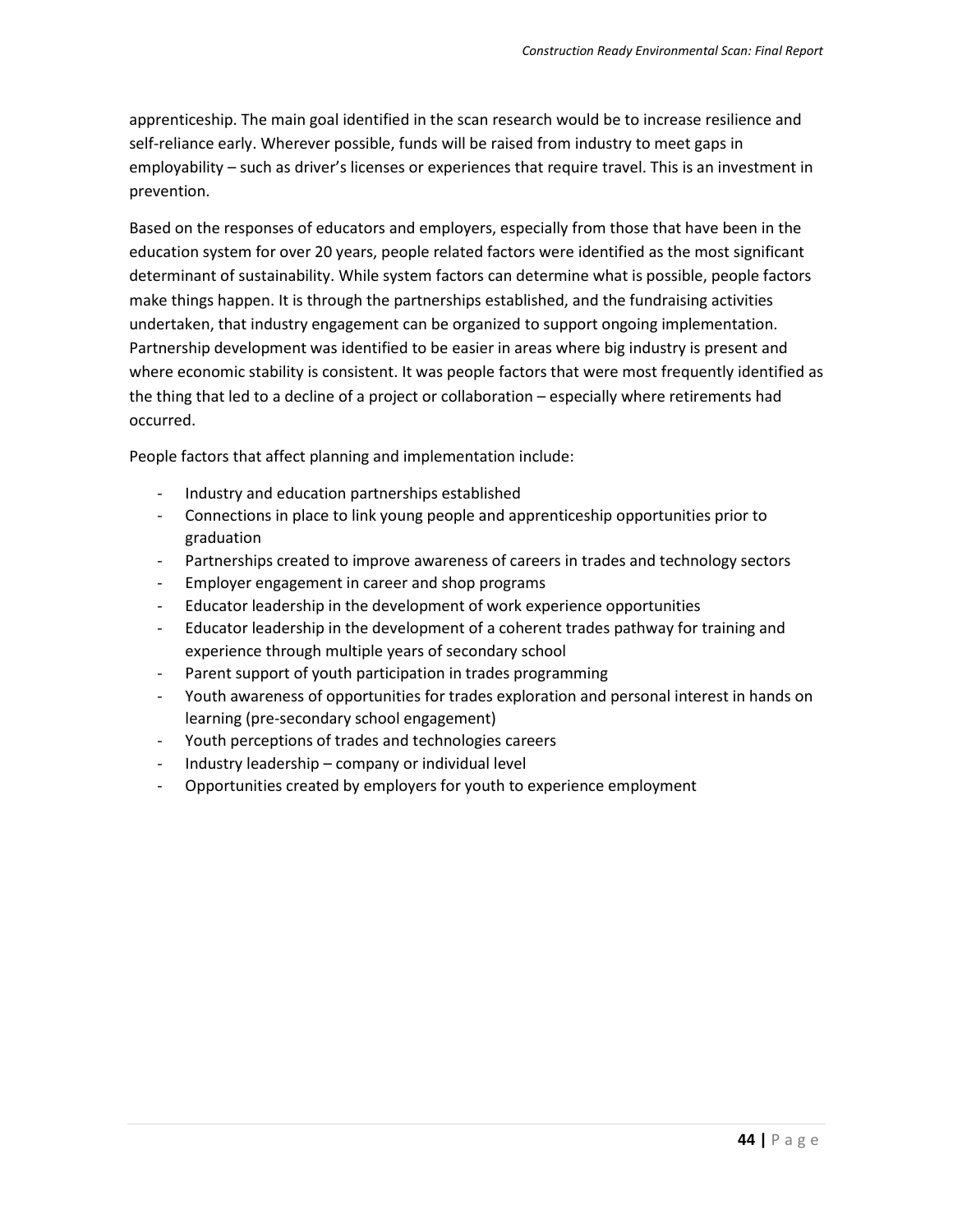apprenticeship. The main goal identified in the scan research would be to increase resilience and self-reliance early. Wherever possible, funds will be raised from industry to meet gaps in employability – such as driver's licenses or experiences that require travel. This is an investment in prevention.

Based on the responses of educators and employers, especially from those that have been in the education system for over 20 years, people related factors were identified as the most significant determinant of sustainability. While system factors can determine what is possible, people factors make things happen. It is through the partnerships established, and the fundraising activities undertaken, that industry engagement can be organized to support ongoing implementation. Partnership development was identified to be easier in areas where big industry is present and where economic stability is consistent. It was people factors that were most frequently identified as the thing that led to a decline of a project or collaboration – especially where retirements had occurred.

People factors that affect planning and implementation include:

- Industry and education partnerships established
- Connections in place to link young people and apprenticeship opportunities prior to graduation
- Partnerships created to improve awareness of careers in trades and technology sectors
- Employer engagement in career and shop programs
- Educator leadership in the development of work experience opportunities
- Educator leadership in the development of a coherent trades pathway for training and experience through multiple years of secondary school
- Parent support of youth participation in trades programming
- Youth awareness of opportunities for trades exploration and personal interest in hands on learning (pre-secondary school engagement)
- Youth perceptions of trades and technologies careers
- Industry leadership company or individual level
- Opportunities created by employers for youth to experience employment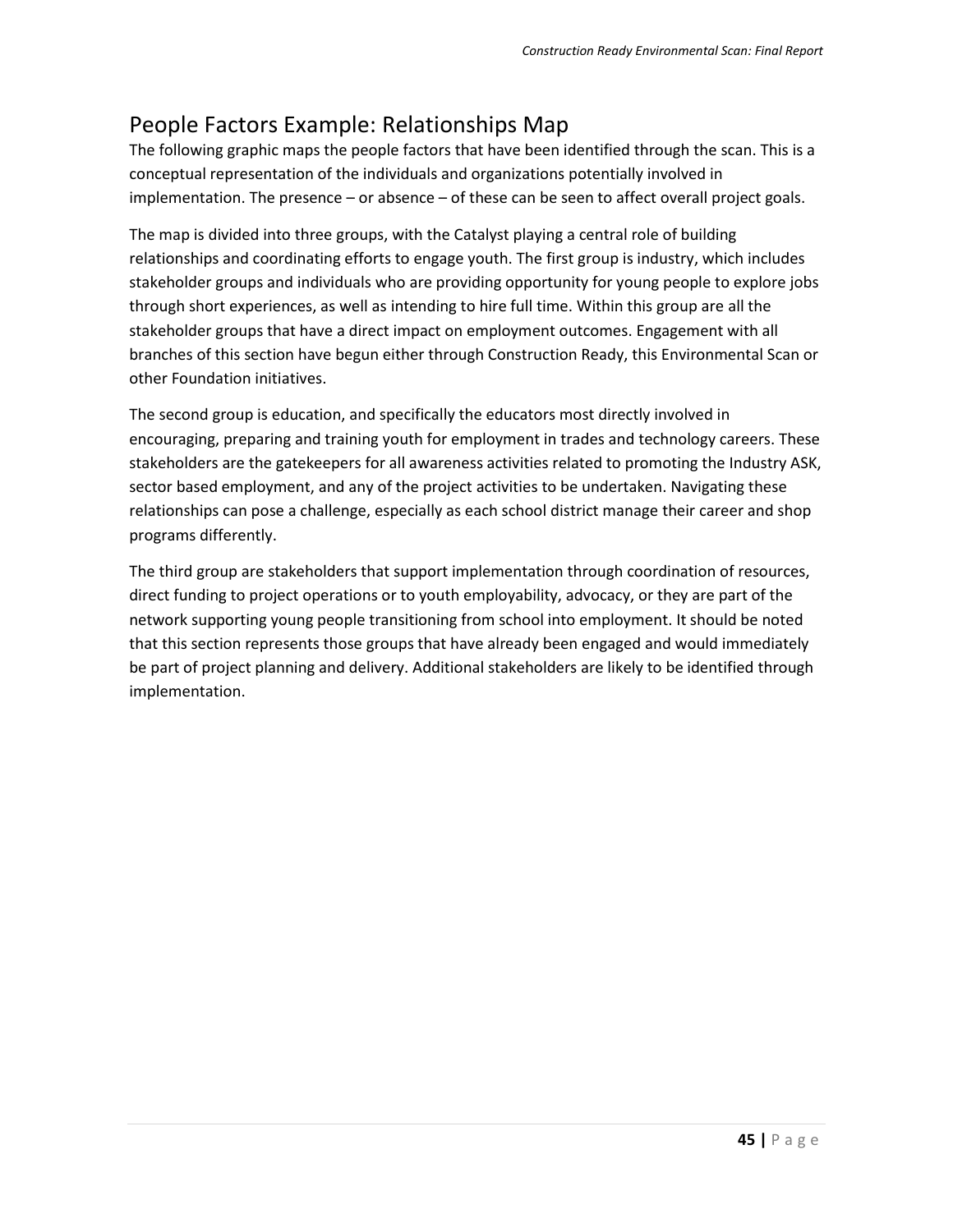### People Factors Example: Relationships Map

The following graphic maps the people factors that have been identified through the scan. This is a conceptual representation of the individuals and organizations potentially involved in implementation. The presence – or absence – of these can be seen to affect overall project goals.

The map is divided into three groups, with the Catalyst playing a central role of building relationships and coordinating efforts to engage youth. The first group is industry, which includes stakeholder groups and individuals who are providing opportunity for young people to explore jobs through short experiences, as well as intending to hire full time. Within this group are all the stakeholder groups that have a direct impact on employment outcomes. Engagement with all branches of this section have begun either through Construction Ready, this Environmental Scan or other Foundation initiatives.

The second group is education, and specifically the educators most directly involved in encouraging, preparing and training youth for employment in trades and technology careers. These stakeholders are the gatekeepers for all awareness activities related to promoting the Industry ASK, sector based employment, and any of the project activities to be undertaken. Navigating these relationships can pose a challenge, especially as each school district manage their career and shop programs differently.

The third group are stakeholders that support implementation through coordination of resources, direct funding to project operations or to youth employability, advocacy, or they are part of the network supporting young people transitioning from school into employment. It should be noted that this section represents those groups that have already been engaged and would immediately be part of project planning and delivery. Additional stakeholders are likely to be identified through implementation.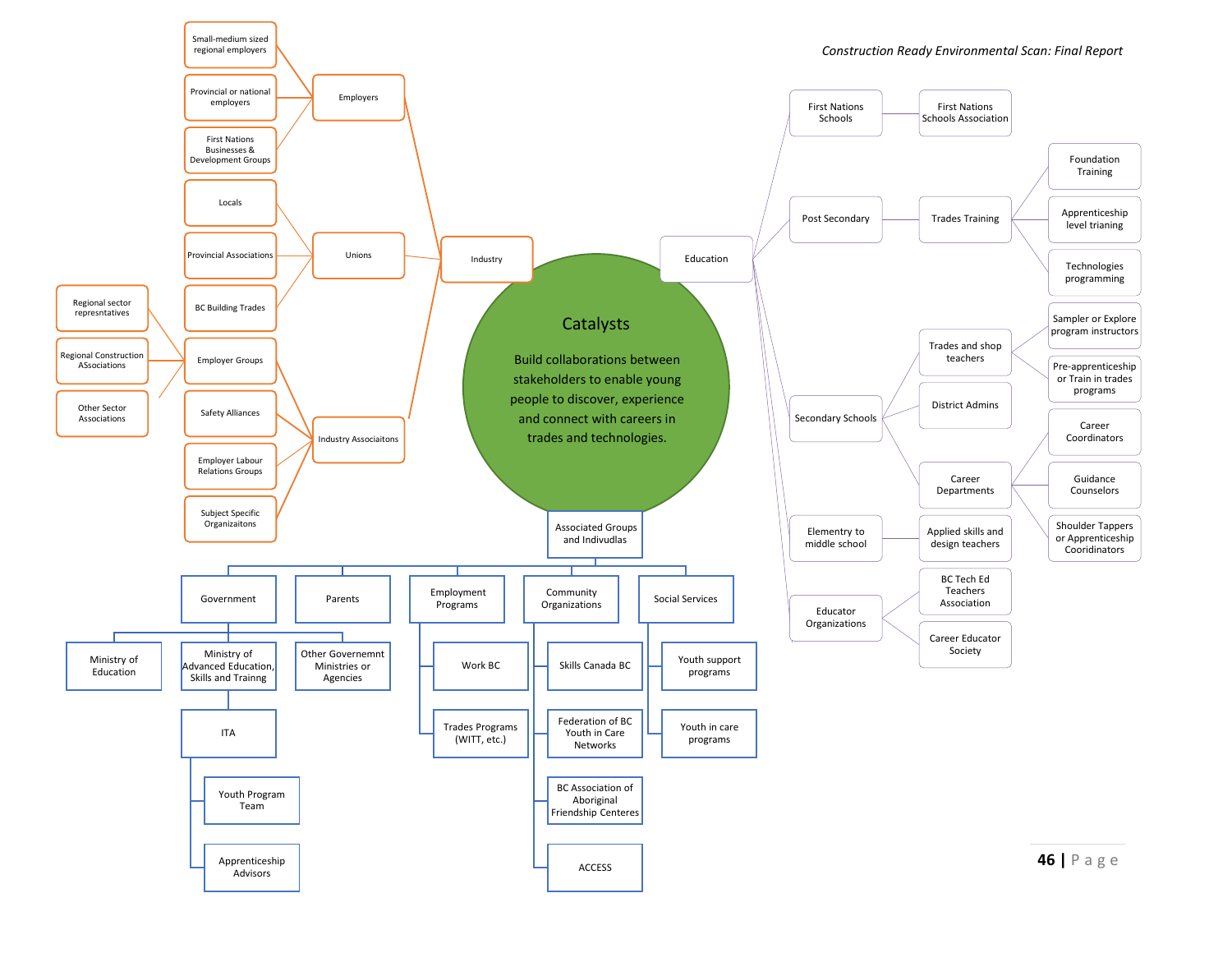*Construction Ready Environmental Scan: Final Report* **46 |** P a g e **Catalysts** Build collaborations between stakeholders to enable young people to discover, experience and connect with careers in trades and technologies. Associated Groups and Indivudlas Government Ministry of Education Ministry of Advanced Education, Skills and Trainng ITA Youth Program Team Apprenticeship Advisors Other Governemnt Ministries or Agencies Parents | Employment Programs Work BC Trades Programs (WITT, etc.) Community Organizations Skills Canada BC Federation of BC Youth in Care Networks BC Association of Aboriginal Friendship Centeres ACCESS Social Services Youth support programs Youth in care programs Industry Employers Small-medium sized regional employers Provincial or national employers First Nations Businesses & Development Groups Unions Locals Provincial Associations BC Building Trades Industry Associaitons Employer Groups Regional sector represntatives Regional Construction ASsociations Other Sector<br>Associations Safety Alliances Employer Labour Relations Groups Subject Specific Organizaitons Education First Nations Schools First Nations Schools Association Post Secondary **Trades Training** Foundation Training Apprenticeship level trianing Technologies programming Secondary Schools Trades and shop teachers Sampler or Explore program instructors Pre-apprenticeship or Train in trades programs District Admins Career Departments Career Coordinators Guidance Counselors Shoulder Tappers or Apprenticeship Cooridinators Elementry to middle school Applied skills and design teachers Educator Organizations BC Tech Ed Teachers Association Career Educator Society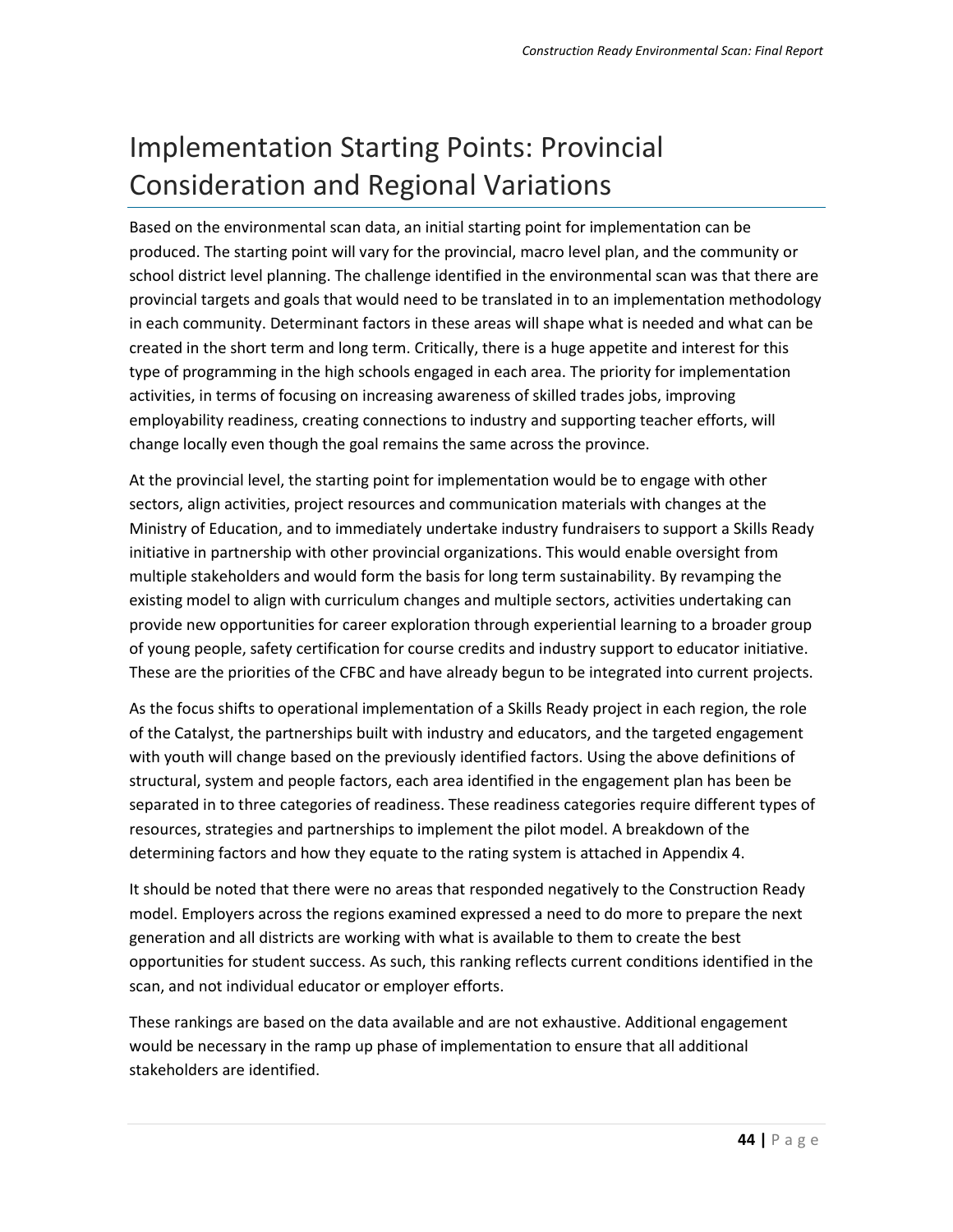# Implementation Starting Points: Provincial Consideration and Regional Variations

Based on the environmental scan data, an initial starting point for implementation can be produced. The starting point will vary for the provincial, macro level plan, and the community or school district level planning. The challenge identified in the environmental scan was that there are provincial targets and goals that would need to be translated in to an implementation methodology in each community. Determinant factors in these areas will shape what is needed and what can be created in the short term and long term. Critically, there is a huge appetite and interest for this type of programming in the high schools engaged in each area. The priority for implementation activities, in terms of focusing on increasing awareness of skilled trades jobs, improving employability readiness, creating connections to industry and supporting teacher efforts, will change locally even though the goal remains the same across the province.

At the provincial level, the starting point for implementation would be to engage with other sectors, align activities, project resources and communication materials with changes at the Ministry of Education, and to immediately undertake industry fundraisers to support a Skills Ready initiative in partnership with other provincial organizations. This would enable oversight from multiple stakeholders and would form the basis for long term sustainability. By revamping the existing model to align with curriculum changes and multiple sectors, activities undertaking can provide new opportunities for career exploration through experiential learning to a broader group of young people, safety certification for course credits and industry support to educator initiative. These are the priorities of the CFBC and have already begun to be integrated into current projects.

As the focus shifts to operational implementation of a Skills Ready project in each region, the role of the Catalyst, the partnerships built with industry and educators, and the targeted engagement with youth will change based on the previously identified factors. Using the above definitions of structural, system and people factors, each area identified in the engagement plan has been be separated in to three categories of readiness. These readiness categories require different types of resources, strategies and partnerships to implement the pilot model. A breakdown of the determining factors and how they equate to the rating system is attached in Appendix 4.

It should be noted that there were no areas that responded negatively to the Construction Ready model. Employers across the regions examined expressed a need to do more to prepare the next generation and all districts are working with what is available to them to create the best opportunities for student success. As such, this ranking reflects current conditions identified in the scan, and not individual educator or employer efforts.

These rankings are based on the data available and are not exhaustive. Additional engagement would be necessary in the ramp up phase of implementation to ensure that all additional stakeholders are identified.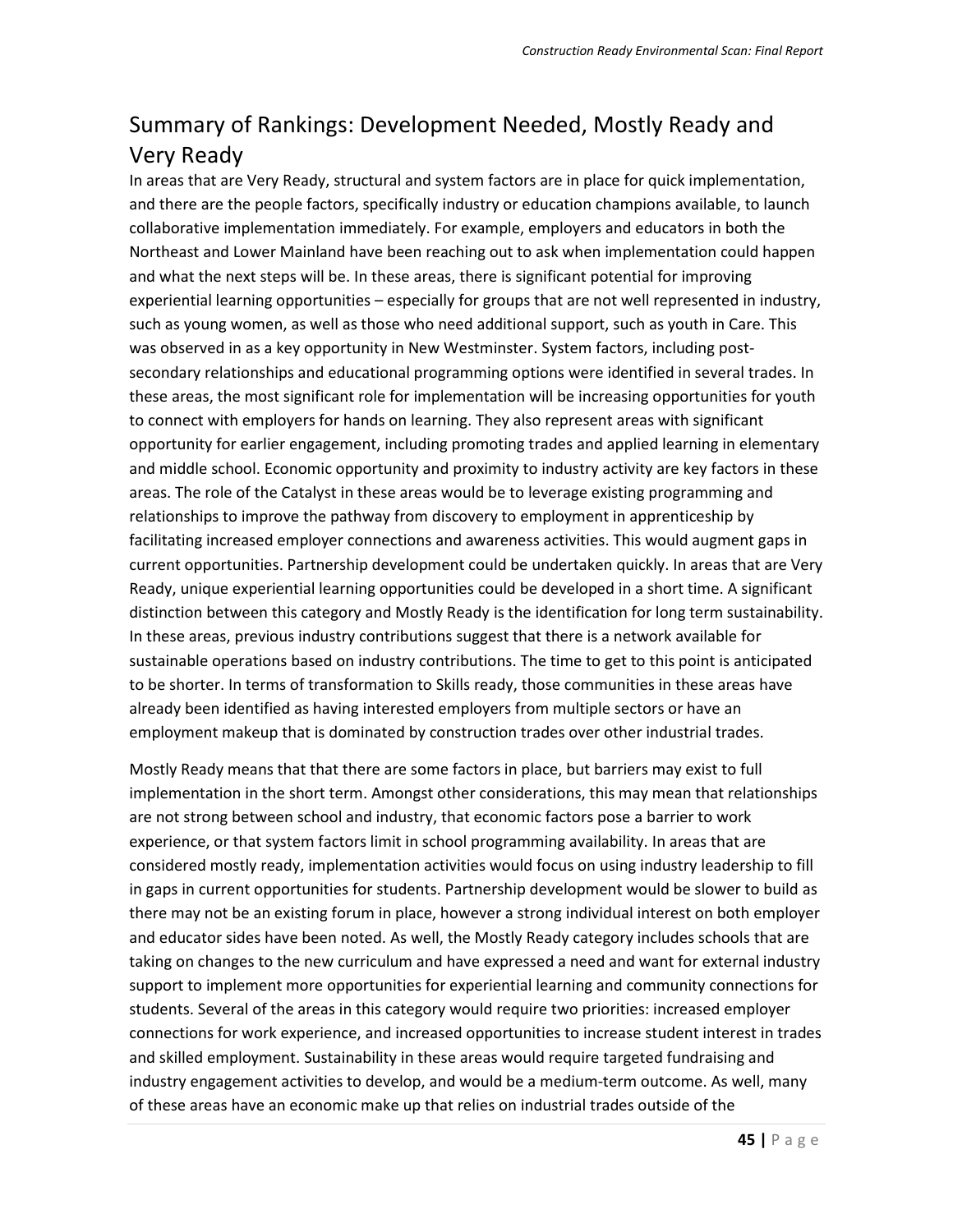### Summary of Rankings: Development Needed, Mostly Ready and Very Ready

In areas that are Very Ready, structural and system factors are in place for quick implementation, and there are the people factors, specifically industry or education champions available, to launch collaborative implementation immediately. For example, employers and educators in both the Northeast and Lower Mainland have been reaching out to ask when implementation could happen and what the next steps will be. In these areas, there is significant potential for improving experiential learning opportunities – especially for groups that are not well represented in industry, such as young women, as well as those who need additional support, such as youth in Care. This was observed in as a key opportunity in New Westminster. System factors, including postsecondary relationships and educational programming options were identified in several trades. In these areas, the most significant role for implementation will be increasing opportunities for youth to connect with employers for hands on learning. They also represent areas with significant opportunity for earlier engagement, including promoting trades and applied learning in elementary and middle school. Economic opportunity and proximity to industry activity are key factors in these areas. The role of the Catalyst in these areas would be to leverage existing programming and relationships to improve the pathway from discovery to employment in apprenticeship by facilitating increased employer connections and awareness activities. This would augment gaps in current opportunities. Partnership development could be undertaken quickly. In areas that are Very Ready, unique experiential learning opportunities could be developed in a short time. A significant distinction between this category and Mostly Ready is the identification for long term sustainability. In these areas, previous industry contributions suggest that there is a network available for sustainable operations based on industry contributions. The time to get to this point is anticipated to be shorter. In terms of transformation to Skills ready, those communities in these areas have already been identified as having interested employers from multiple sectors or have an employment makeup that is dominated by construction trades over other industrial trades.

Mostly Ready means that that there are some factors in place, but barriers may exist to full implementation in the short term. Amongst other considerations, this may mean that relationships are not strong between school and industry, that economic factors pose a barrier to work experience, or that system factors limit in school programming availability. In areas that are considered mostly ready, implementation activities would focus on using industry leadership to fill in gaps in current opportunities for students. Partnership development would be slower to build as there may not be an existing forum in place, however a strong individual interest on both employer and educator sides have been noted. As well, the Mostly Ready category includes schools that are taking on changes to the new curriculum and have expressed a need and want for external industry support to implement more opportunities for experiential learning and community connections for students. Several of the areas in this category would require two priorities: increased employer connections for work experience, and increased opportunities to increase student interest in trades and skilled employment. Sustainability in these areas would require targeted fundraising and industry engagement activities to develop, and would be a medium-term outcome. As well, many of these areas have an economic make up that relies on industrial trades outside of the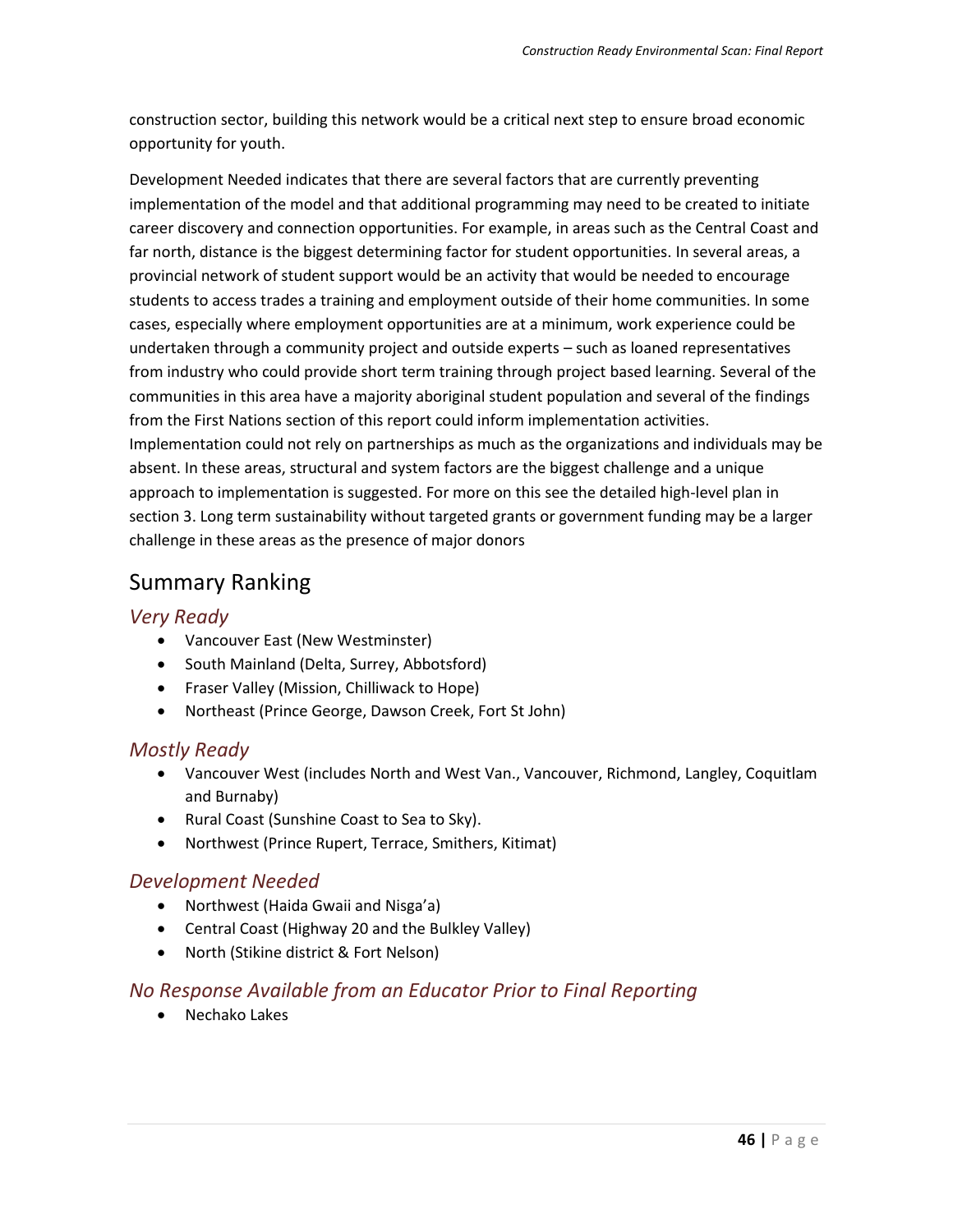construction sector, building this network would be a critical next step to ensure broad economic opportunity for youth.

Development Needed indicates that there are several factors that are currently preventing implementation of the model and that additional programming may need to be created to initiate career discovery and connection opportunities. For example, in areas such as the Central Coast and far north, distance is the biggest determining factor for student opportunities. In several areas, a provincial network of student support would be an activity that would be needed to encourage students to access trades a training and employment outside of their home communities. In some cases, especially where employment opportunities are at a minimum, work experience could be undertaken through a community project and outside experts – such as loaned representatives from industry who could provide short term training through project based learning. Several of the communities in this area have a majority aboriginal student population and several of the findings from the First Nations section of this report could inform implementation activities. Implementation could not rely on partnerships as much as the organizations and individuals may be absent. In these areas, structural and system factors are the biggest challenge and a unique approach to implementation is suggested. For more on this see the detailed high-level plan in section 3. Long term sustainability without targeted grants or government funding may be a larger challenge in these areas as the presence of major donors

### Summary Ranking

#### *Very Ready*

- Vancouver East (New Westminster)
- South Mainland (Delta, Surrey, Abbotsford)
- **•** Fraser Valley (Mission, Chilliwack to Hope)
- Northeast (Prince George, Dawson Creek, Fort St John)

#### *Mostly Ready*

- Vancouver West (includes North and West Van., Vancouver, Richmond, Langley, Coquitlam and Burnaby)
- Rural Coast (Sunshine Coast to Sea to Sky).
- Northwest (Prince Rupert, Terrace, Smithers, Kitimat)

#### *Development Needed*

- Northwest (Haida Gwaii and Nisga'a)
- Central Coast (Highway 20 and the Bulkley Valley)
- North (Stikine district & Fort Nelson)

#### *No Response Available from an Educator Prior to Final Reporting*

Nechako Lakes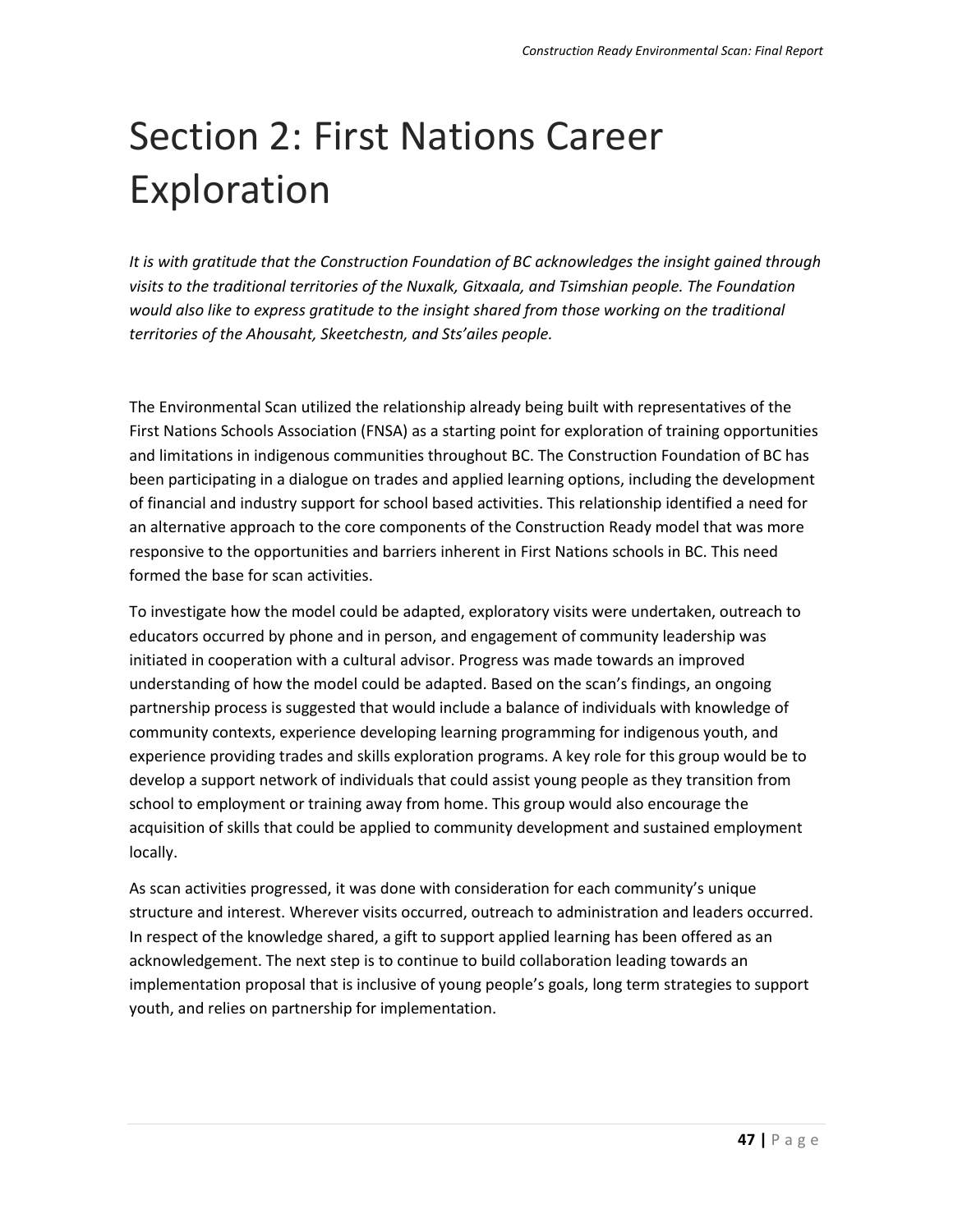# Section 2: First Nations Career Exploration

*It is with gratitude that the Construction Foundation of BC acknowledges the insight gained through visits to the traditional territories of the Nuxalk, Gitxaala, and Tsimshian people. The Foundation would also like to express gratitude to the insight shared from those working on the traditional territories of the Ahousaht, Skeetchestn, and Sts'ailes people.*

The Environmental Scan utilized the relationship already being built with representatives of the First Nations Schools Association (FNSA) as a starting point for exploration of training opportunities and limitations in indigenous communities throughout BC. The Construction Foundation of BC has been participating in a dialogue on trades and applied learning options, including the development of financial and industry support for school based activities. This relationship identified a need for an alternative approach to the core components of the Construction Ready model that was more responsive to the opportunities and barriers inherent in First Nations schools in BC. This need formed the base for scan activities.

To investigate how the model could be adapted, exploratory visits were undertaken, outreach to educators occurred by phone and in person, and engagement of community leadership was initiated in cooperation with a cultural advisor. Progress was made towards an improved understanding of how the model could be adapted. Based on the scan's findings, an ongoing partnership process is suggested that would include a balance of individuals with knowledge of community contexts, experience developing learning programming for indigenous youth, and experience providing trades and skills exploration programs. A key role for this group would be to develop a support network of individuals that could assist young people as they transition from school to employment or training away from home. This group would also encourage the acquisition of skills that could be applied to community development and sustained employment locally.

As scan activities progressed, it was done with consideration for each community's unique structure and interest. Wherever visits occurred, outreach to administration and leaders occurred. In respect of the knowledge shared, a gift to support applied learning has been offered as an acknowledgement. The next step is to continue to build collaboration leading towards an implementation proposal that is inclusive of young people's goals, long term strategies to support youth, and relies on partnership for implementation.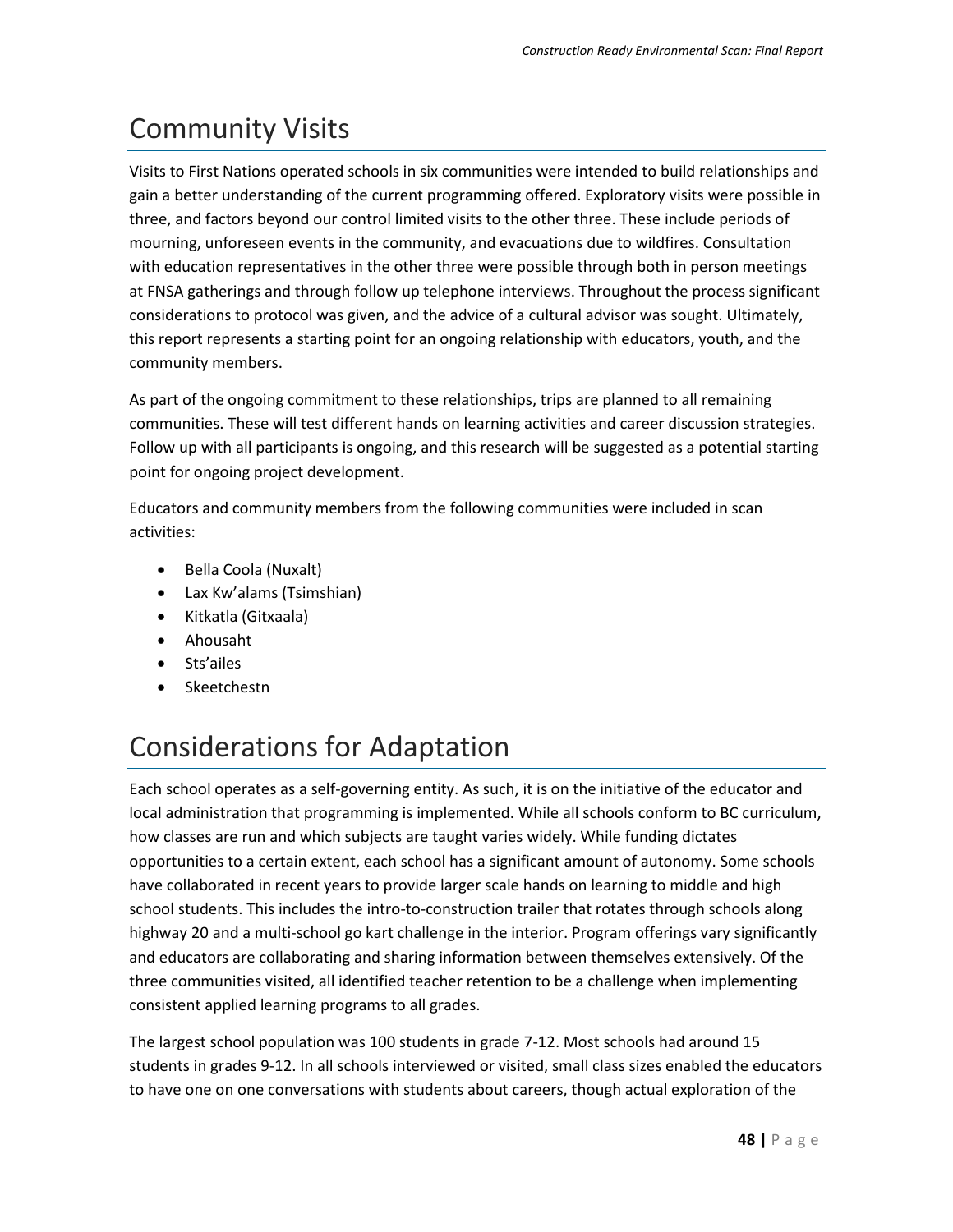# Community Visits

Visits to First Nations operated schools in six communities were intended to build relationships and gain a better understanding of the current programming offered. Exploratory visits were possible in three, and factors beyond our control limited visits to the other three. These include periods of mourning, unforeseen events in the community, and evacuations due to wildfires. Consultation with education representatives in the other three were possible through both in person meetings at FNSA gatherings and through follow up telephone interviews. Throughout the process significant considerations to protocol was given, and the advice of a cultural advisor was sought. Ultimately, this report represents a starting point for an ongoing relationship with educators, youth, and the community members.

As part of the ongoing commitment to these relationships, trips are planned to all remaining communities. These will test different hands on learning activities and career discussion strategies. Follow up with all participants is ongoing, and this research will be suggested as a potential starting point for ongoing project development.

Educators and community members from the following communities were included in scan activities:

- Bella Coola (Nuxalt)
- Lax Kw'alams (Tsimshian)
- Kitkatla (Gitxaala)
- Ahousaht
- Sts'ailes
- Skeetchestn

# Considerations for Adaptation

Each school operates as a self-governing entity. As such, it is on the initiative of the educator and local administration that programming is implemented. While all schools conform to BC curriculum, how classes are run and which subjects are taught varies widely. While funding dictates opportunities to a certain extent, each school has a significant amount of autonomy. Some schools have collaborated in recent years to provide larger scale hands on learning to middle and high school students. This includes the intro-to-construction trailer that rotates through schools along highway 20 and a multi-school go kart challenge in the interior. Program offerings vary significantly and educators are collaborating and sharing information between themselves extensively. Of the three communities visited, all identified teacher retention to be a challenge when implementing consistent applied learning programs to all grades.

The largest school population was 100 students in grade 7-12. Most schools had around 15 students in grades 9-12. In all schools interviewed or visited, small class sizes enabled the educators to have one on one conversations with students about careers, though actual exploration of the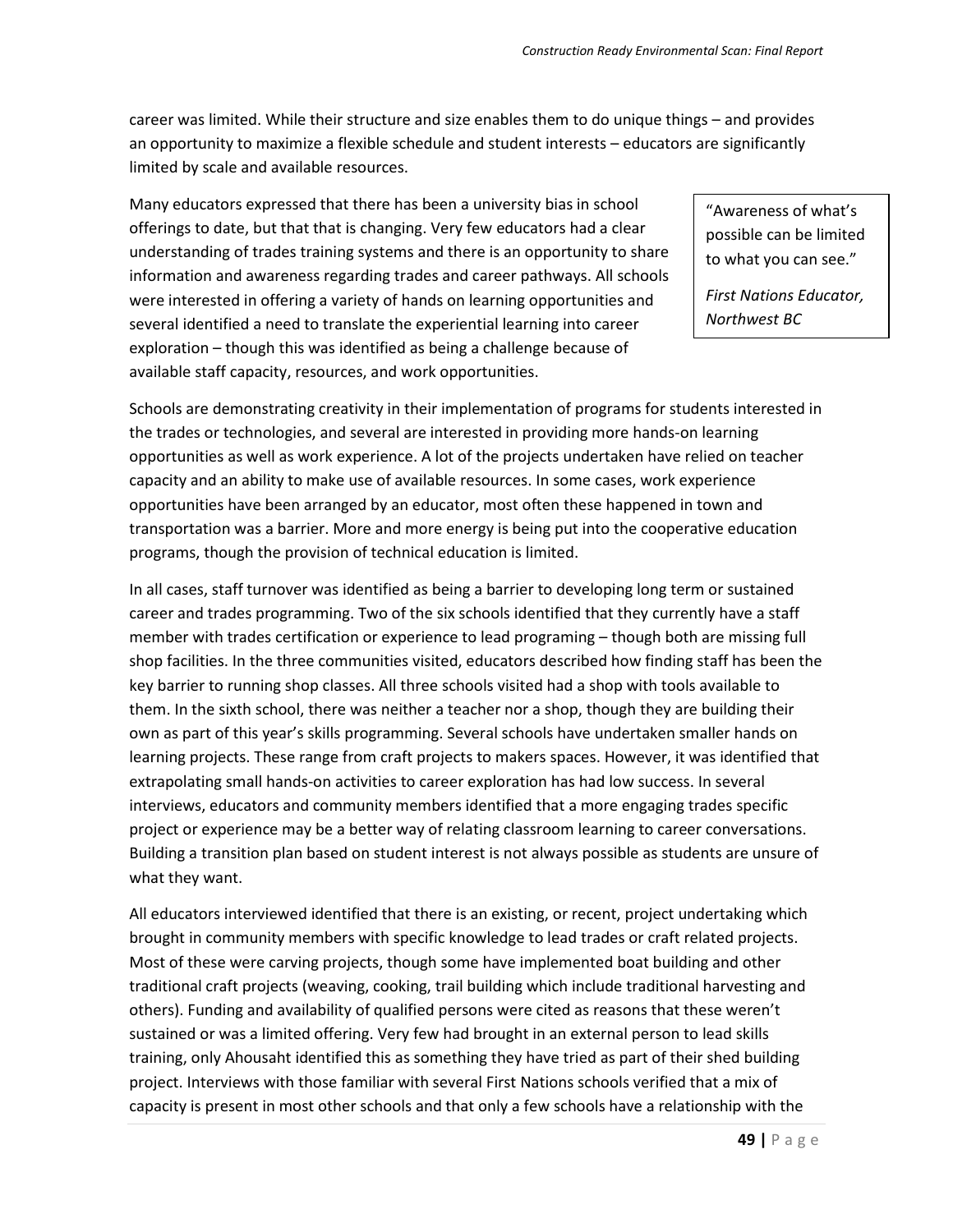career was limited. While their structure and size enables them to do unique things – and provides an opportunity to maximize a flexible schedule and student interests – educators are significantly limited by scale and available resources.

Many educators expressed that there has been a university bias in school offerings to date, but that that is changing. Very few educators had a clear understanding of trades training systems and there is an opportunity to share information and awareness regarding trades and career pathways. All schools were interested in offering a variety of hands on learning opportunities and several identified a need to translate the experiential learning into career exploration – though this was identified as being a challenge because of available staff capacity, resources, and work opportunities.

"Awareness of what's possible can be limited to what you can see."

*First Nations Educator, Northwest BC*

Schools are demonstrating creativity in their implementation of programs for students interested in the trades or technologies, and several are interested in providing more hands-on learning opportunities as well as work experience. A lot of the projects undertaken have relied on teacher capacity and an ability to make use of available resources. In some cases, work experience opportunities have been arranged by an educator, most often these happened in town and transportation was a barrier. More and more energy is being put into the cooperative education programs, though the provision of technical education is limited.

In all cases, staff turnover was identified as being a barrier to developing long term or sustained career and trades programming. Two of the six schools identified that they currently have a staff member with trades certification or experience to lead programing – though both are missing full shop facilities. In the three communities visited, educators described how finding staff has been the key barrier to running shop classes. All three schools visited had a shop with tools available to them. In the sixth school, there was neither a teacher nor a shop, though they are building their own as part of this year's skills programming. Several schools have undertaken smaller hands on learning projects. These range from craft projects to makers spaces. However, it was identified that extrapolating small hands-on activities to career exploration has had low success. In several interviews, educators and community members identified that a more engaging trades specific project or experience may be a better way of relating classroom learning to career conversations. Building a transition plan based on student interest is not always possible as students are unsure of what they want.

All educators interviewed identified that there is an existing, or recent, project undertaking which brought in community members with specific knowledge to lead trades or craft related projects. Most of these were carving projects, though some have implemented boat building and other traditional craft projects (weaving, cooking, trail building which include traditional harvesting and others). Funding and availability of qualified persons were cited as reasons that these weren't sustained or was a limited offering. Very few had brought in an external person to lead skills training, only Ahousaht identified this as something they have tried as part of their shed building project. Interviews with those familiar with several First Nations schools verified that a mix of capacity is present in most other schools and that only a few schools have a relationship with the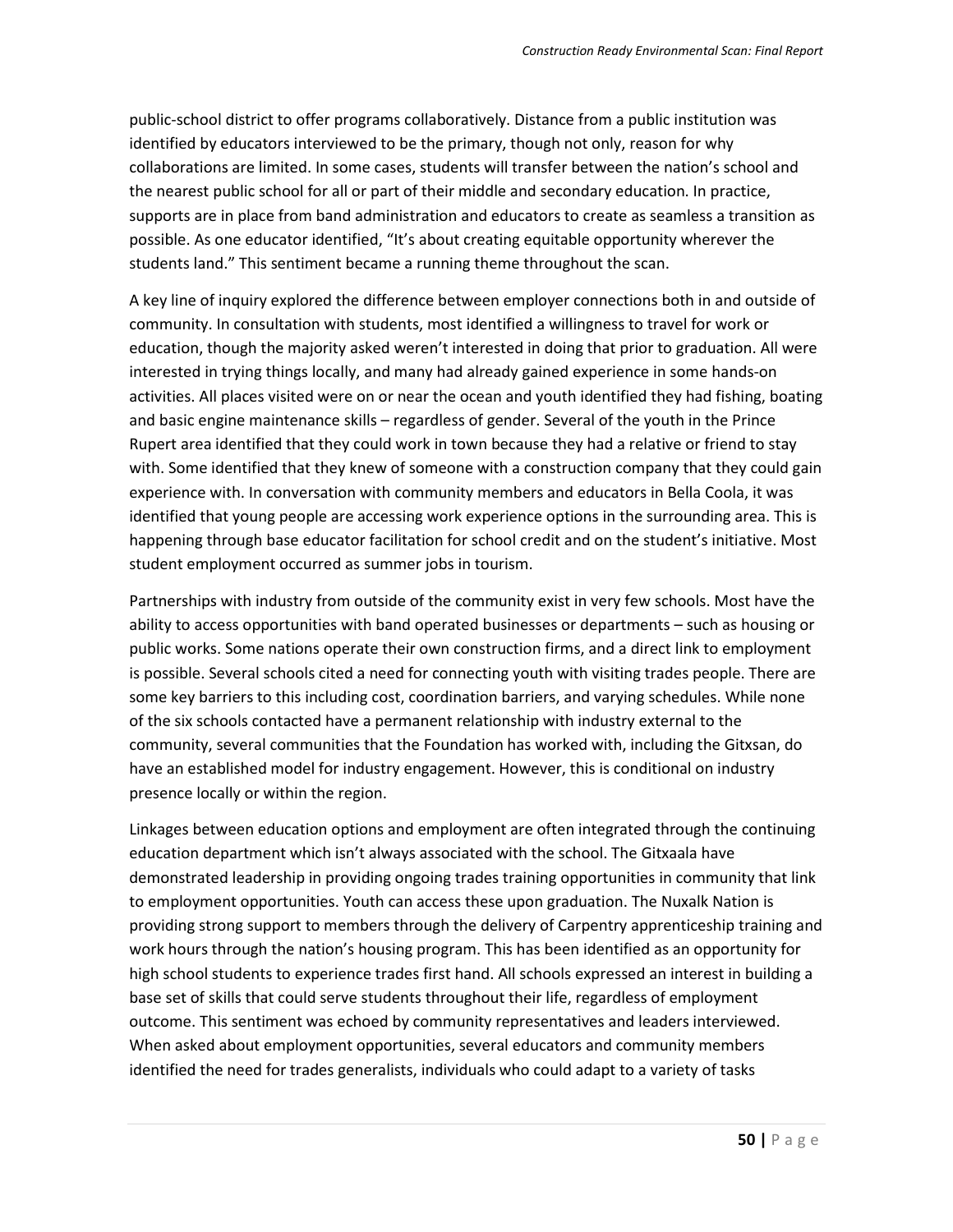public-school district to offer programs collaboratively. Distance from a public institution was identified by educators interviewed to be the primary, though not only, reason for why collaborations are limited. In some cases, students will transfer between the nation's school and the nearest public school for all or part of their middle and secondary education. In practice, supports are in place from band administration and educators to create as seamless a transition as possible. As one educator identified, "It's about creating equitable opportunity wherever the students land." This sentiment became a running theme throughout the scan.

A key line of inquiry explored the difference between employer connections both in and outside of community. In consultation with students, most identified a willingness to travel for work or education, though the majority asked weren't interested in doing that prior to graduation. All were interested in trying things locally, and many had already gained experience in some hands-on activities. All places visited were on or near the ocean and youth identified they had fishing, boating and basic engine maintenance skills – regardless of gender. Several of the youth in the Prince Rupert area identified that they could work in town because they had a relative or friend to stay with. Some identified that they knew of someone with a construction company that they could gain experience with. In conversation with community members and educators in Bella Coola, it was identified that young people are accessing work experience options in the surrounding area. This is happening through base educator facilitation for school credit and on the student's initiative. Most student employment occurred as summer jobs in tourism.

Partnerships with industry from outside of the community exist in very few schools. Most have the ability to access opportunities with band operated businesses or departments – such as housing or public works. Some nations operate their own construction firms, and a direct link to employment is possible. Several schools cited a need for connecting youth with visiting trades people. There are some key barriers to this including cost, coordination barriers, and varying schedules. While none of the six schools contacted have a permanent relationship with industry external to the community, several communities that the Foundation has worked with, including the Gitxsan, do have an established model for industry engagement. However, this is conditional on industry presence locally or within the region.

Linkages between education options and employment are often integrated through the continuing education department which isn't always associated with the school. The Gitxaala have demonstrated leadership in providing ongoing trades training opportunities in community that link to employment opportunities. Youth can access these upon graduation. The Nuxalk Nation is providing strong support to members through the delivery of Carpentry apprenticeship training and work hours through the nation's housing program. This has been identified as an opportunity for high school students to experience trades first hand. All schools expressed an interest in building a base set of skills that could serve students throughout their life, regardless of employment outcome. This sentiment was echoed by community representatives and leaders interviewed. When asked about employment opportunities, several educators and community members identified the need for trades generalists, individuals who could adapt to a variety of tasks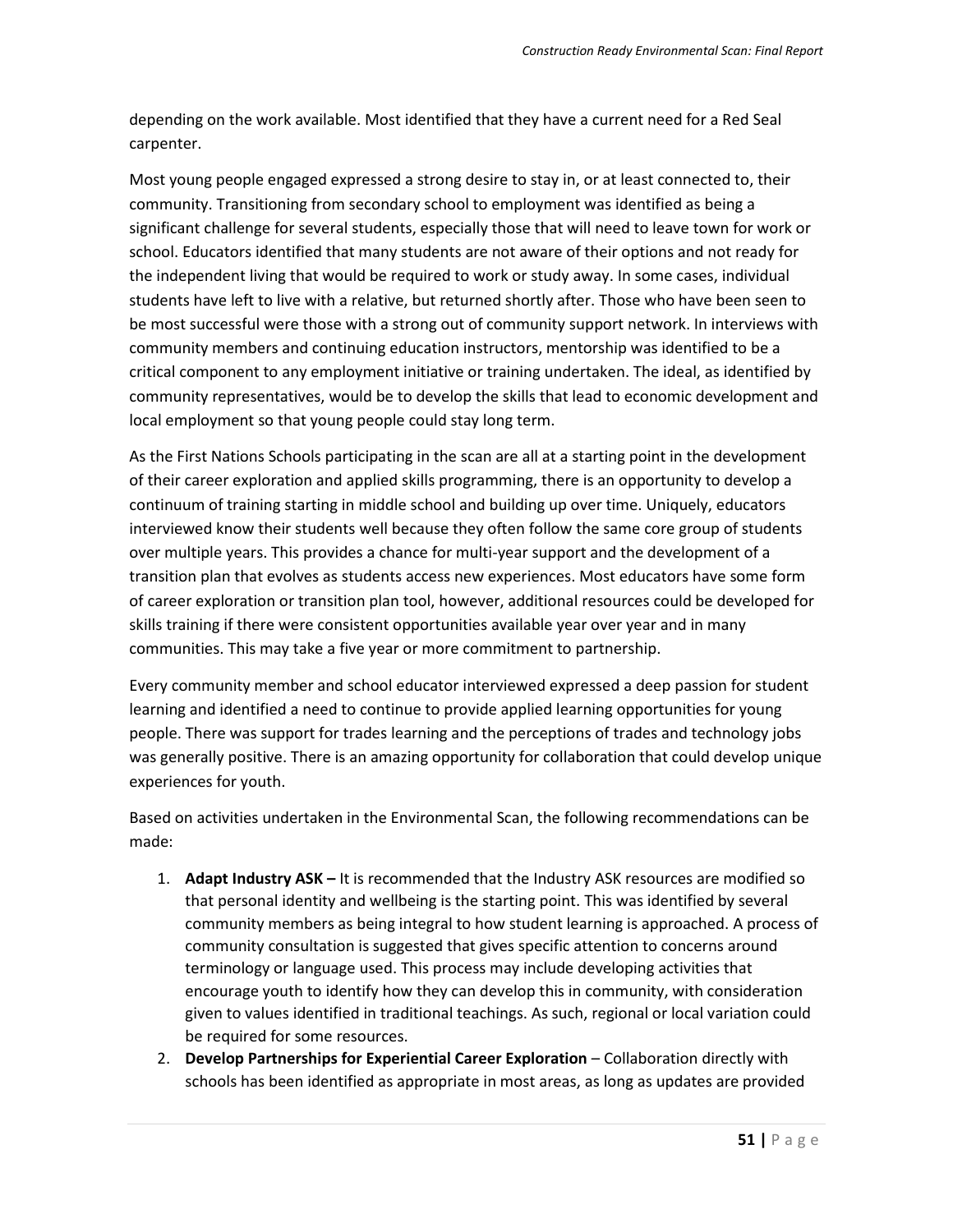depending on the work available. Most identified that they have a current need for a Red Seal carpenter.

Most young people engaged expressed a strong desire to stay in, or at least connected to, their community. Transitioning from secondary school to employment was identified as being a significant challenge for several students, especially those that will need to leave town for work or school. Educators identified that many students are not aware of their options and not ready for the independent living that would be required to work or study away. In some cases, individual students have left to live with a relative, but returned shortly after. Those who have been seen to be most successful were those with a strong out of community support network. In interviews with community members and continuing education instructors, mentorship was identified to be a critical component to any employment initiative or training undertaken. The ideal, as identified by community representatives, would be to develop the skills that lead to economic development and local employment so that young people could stay long term.

As the First Nations Schools participating in the scan are all at a starting point in the development of their career exploration and applied skills programming, there is an opportunity to develop a continuum of training starting in middle school and building up over time. Uniquely, educators interviewed know their students well because they often follow the same core group of students over multiple years. This provides a chance for multi-year support and the development of a transition plan that evolves as students access new experiences. Most educators have some form of career exploration or transition plan tool, however, additional resources could be developed for skills training if there were consistent opportunities available year over year and in many communities. This may take a five year or more commitment to partnership.

Every community member and school educator interviewed expressed a deep passion for student learning and identified a need to continue to provide applied learning opportunities for young people. There was support for trades learning and the perceptions of trades and technology jobs was generally positive. There is an amazing opportunity for collaboration that could develop unique experiences for youth.

Based on activities undertaken in the Environmental Scan, the following recommendations can be made:

- 1. **Adapt Industry ASK –** It is recommended that the Industry ASK resources are modified so that personal identity and wellbeing is the starting point. This was identified by several community members as being integral to how student learning is approached. A process of community consultation is suggested that gives specific attention to concerns around terminology or language used. This process may include developing activities that encourage youth to identify how they can develop this in community, with consideration given to values identified in traditional teachings. As such, regional or local variation could be required for some resources.
- 2. **Develop Partnerships for Experiential Career Exploration** Collaboration directly with schools has been identified as appropriate in most areas, as long as updates are provided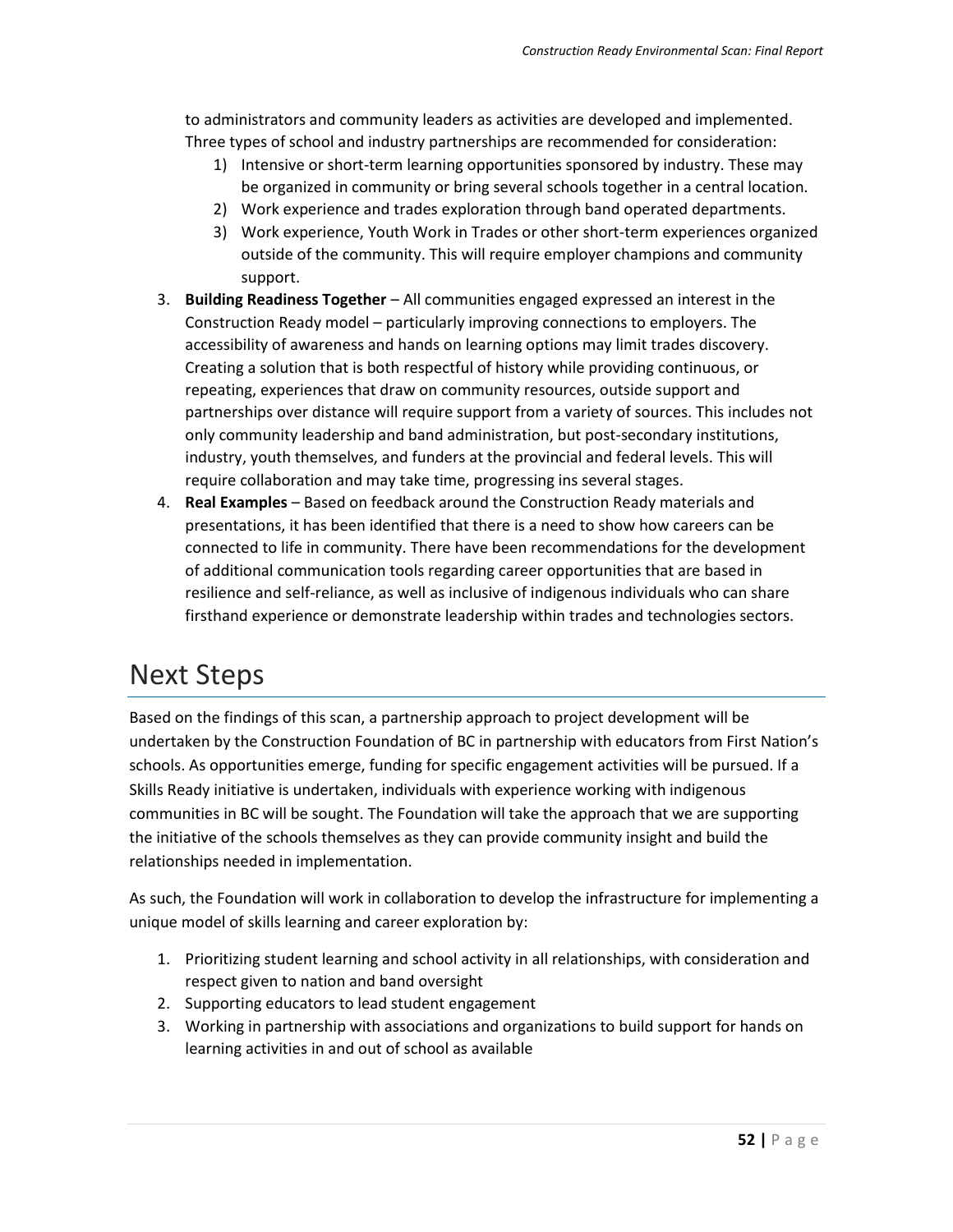to administrators and community leaders as activities are developed and implemented. Three types of school and industry partnerships are recommended for consideration:

- 1) Intensive or short-term learning opportunities sponsored by industry. These may be organized in community or bring several schools together in a central location.
- 2) Work experience and trades exploration through band operated departments.
- 3) Work experience, Youth Work in Trades or other short-term experiences organized outside of the community. This will require employer champions and community support.
- 3. **Building Readiness Together** All communities engaged expressed an interest in the Construction Ready model – particularly improving connections to employers. The accessibility of awareness and hands on learning options may limit trades discovery. Creating a solution that is both respectful of history while providing continuous, or repeating, experiences that draw on community resources, outside support and partnerships over distance will require support from a variety of sources. This includes not only community leadership and band administration, but post-secondary institutions, industry, youth themselves, and funders at the provincial and federal levels. This will require collaboration and may take time, progressing ins several stages.
- 4. **Real Examples** Based on feedback around the Construction Ready materials and presentations, it has been identified that there is a need to show how careers can be connected to life in community. There have been recommendations for the development of additional communication tools regarding career opportunities that are based in resilience and self-reliance, as well as inclusive of indigenous individuals who can share firsthand experience or demonstrate leadership within trades and technologies sectors.

# Next Steps

Based on the findings of this scan, a partnership approach to project development will be undertaken by the Construction Foundation of BC in partnership with educators from First Nation's schools. As opportunities emerge, funding for specific engagement activities will be pursued. If a Skills Ready initiative is undertaken, individuals with experience working with indigenous communities in BC will be sought. The Foundation will take the approach that we are supporting the initiative of the schools themselves as they can provide community insight and build the relationships needed in implementation.

As such, the Foundation will work in collaboration to develop the infrastructure for implementing a unique model of skills learning and career exploration by:

- 1. Prioritizing student learning and school activity in all relationships, with consideration and respect given to nation and band oversight
- 2. Supporting educators to lead student engagement
- 3. Working in partnership with associations and organizations to build support for hands on learning activities in and out of school as available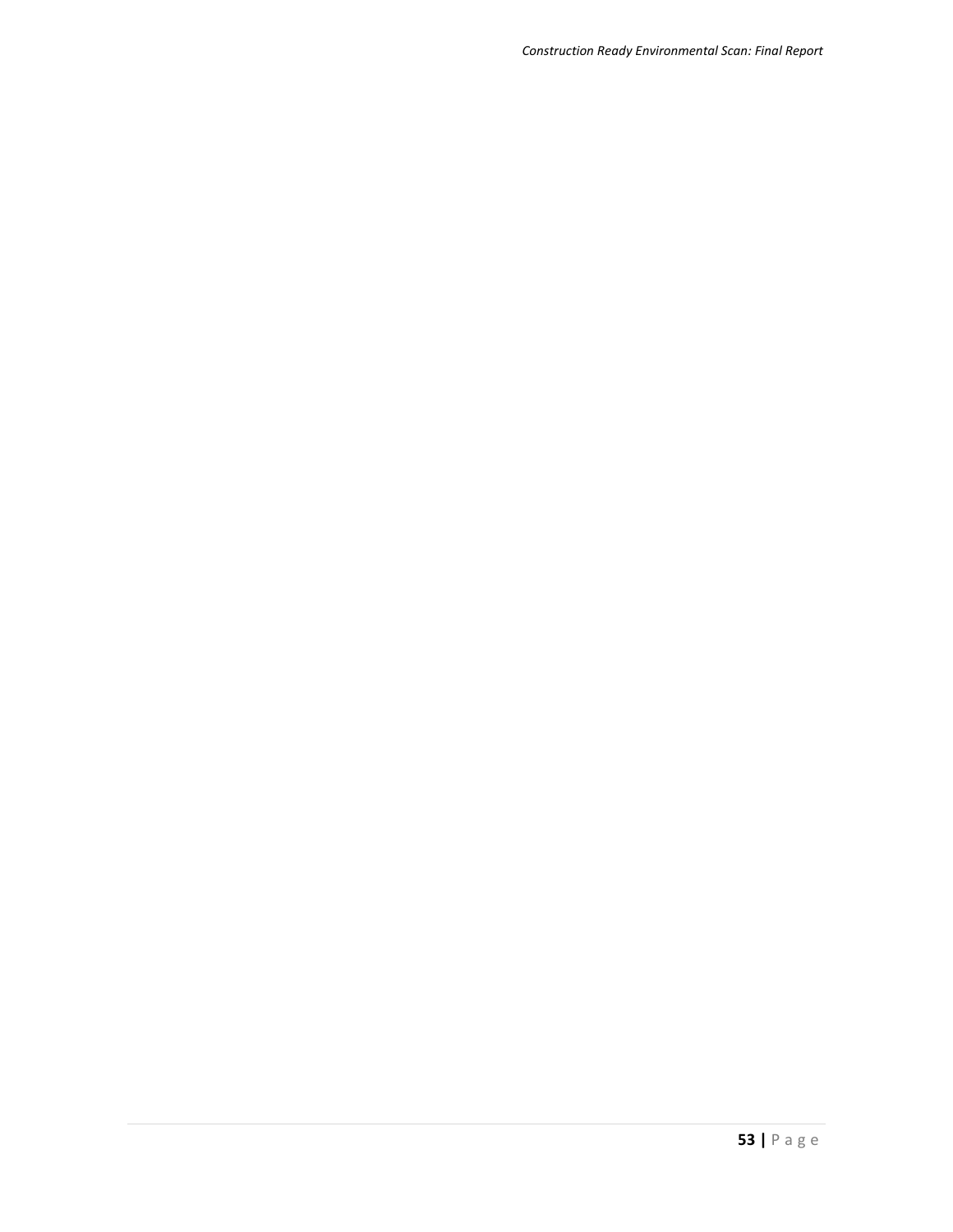*Construction Ready Environmental Scan: Final Report*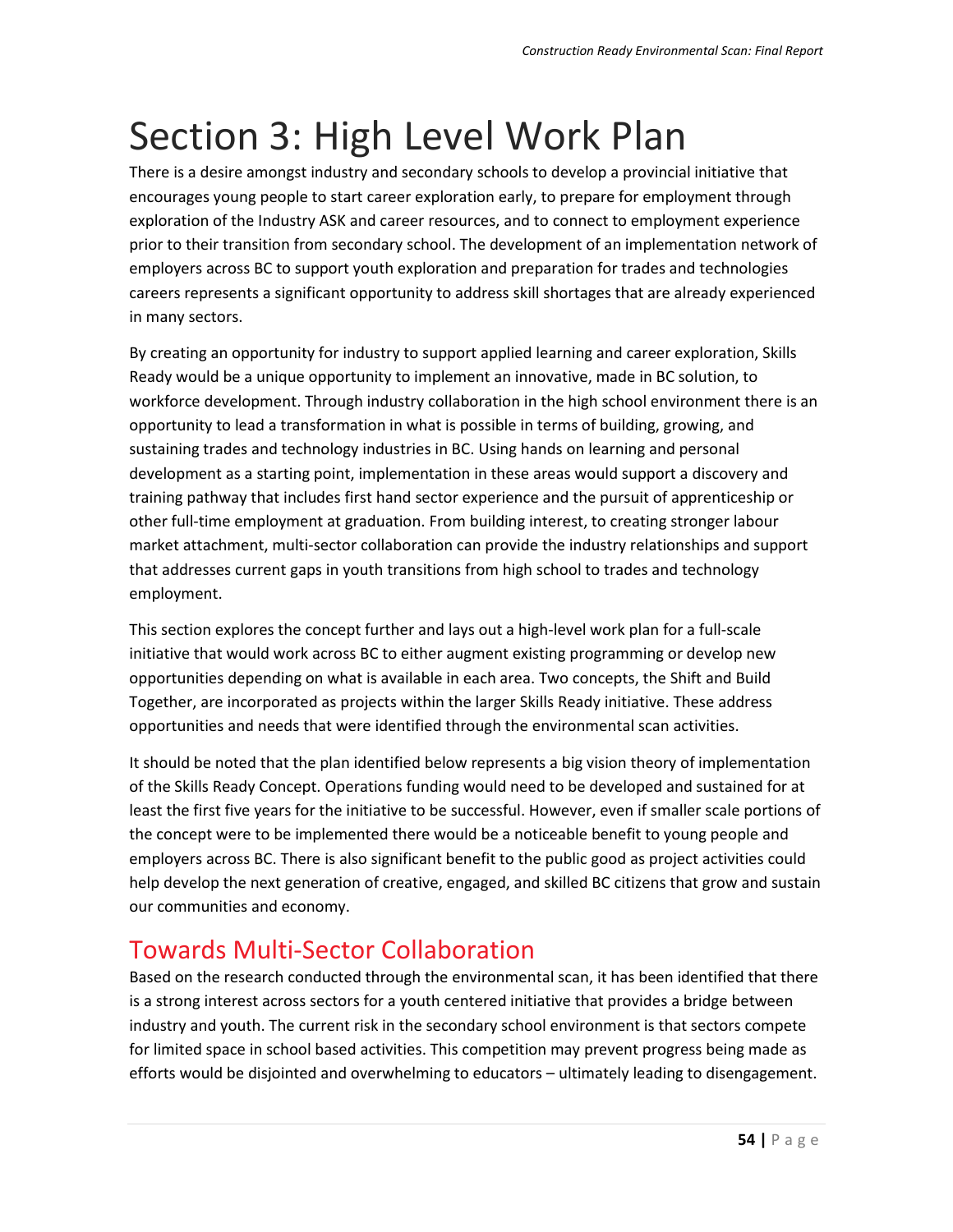# Section 3: High Level Work Plan

There is a desire amongst industry and secondary schools to develop a provincial initiative that encourages young people to start career exploration early, to prepare for employment through exploration of the Industry ASK and career resources, and to connect to employment experience prior to their transition from secondary school. The development of an implementation network of employers across BC to support youth exploration and preparation for trades and technologies careers represents a significant opportunity to address skill shortages that are already experienced in many sectors.

By creating an opportunity for industry to support applied learning and career exploration, Skills Ready would be a unique opportunity to implement an innovative, made in BC solution, to workforce development. Through industry collaboration in the high school environment there is an opportunity to lead a transformation in what is possible in terms of building, growing, and sustaining trades and technology industries in BC. Using hands on learning and personal development as a starting point, implementation in these areas would support a discovery and training pathway that includes first hand sector experience and the pursuit of apprenticeship or other full-time employment at graduation. From building interest, to creating stronger labour market attachment, multi-sector collaboration can provide the industry relationships and support that addresses current gaps in youth transitions from high school to trades and technology employment.

This section explores the concept further and lays out a high-level work plan for a full-scale initiative that would work across BC to either augment existing programming or develop new opportunities depending on what is available in each area. Two concepts, the Shift and Build Together, are incorporated as projects within the larger Skills Ready initiative. These address opportunities and needs that were identified through the environmental scan activities.

It should be noted that the plan identified below represents a big vision theory of implementation of the Skills Ready Concept. Operations funding would need to be developed and sustained for at least the first five years for the initiative to be successful. However, even if smaller scale portions of the concept were to be implemented there would be a noticeable benefit to young people and employers across BC. There is also significant benefit to the public good as project activities could help develop the next generation of creative, engaged, and skilled BC citizens that grow and sustain our communities and economy.

## Towards Multi-Sector Collaboration

Based on the research conducted through the environmental scan, it has been identified that there is a strong interest across sectors for a youth centered initiative that provides a bridge between industry and youth. The current risk in the secondary school environment is that sectors compete for limited space in school based activities. This competition may prevent progress being made as efforts would be disjointed and overwhelming to educators – ultimately leading to disengagement.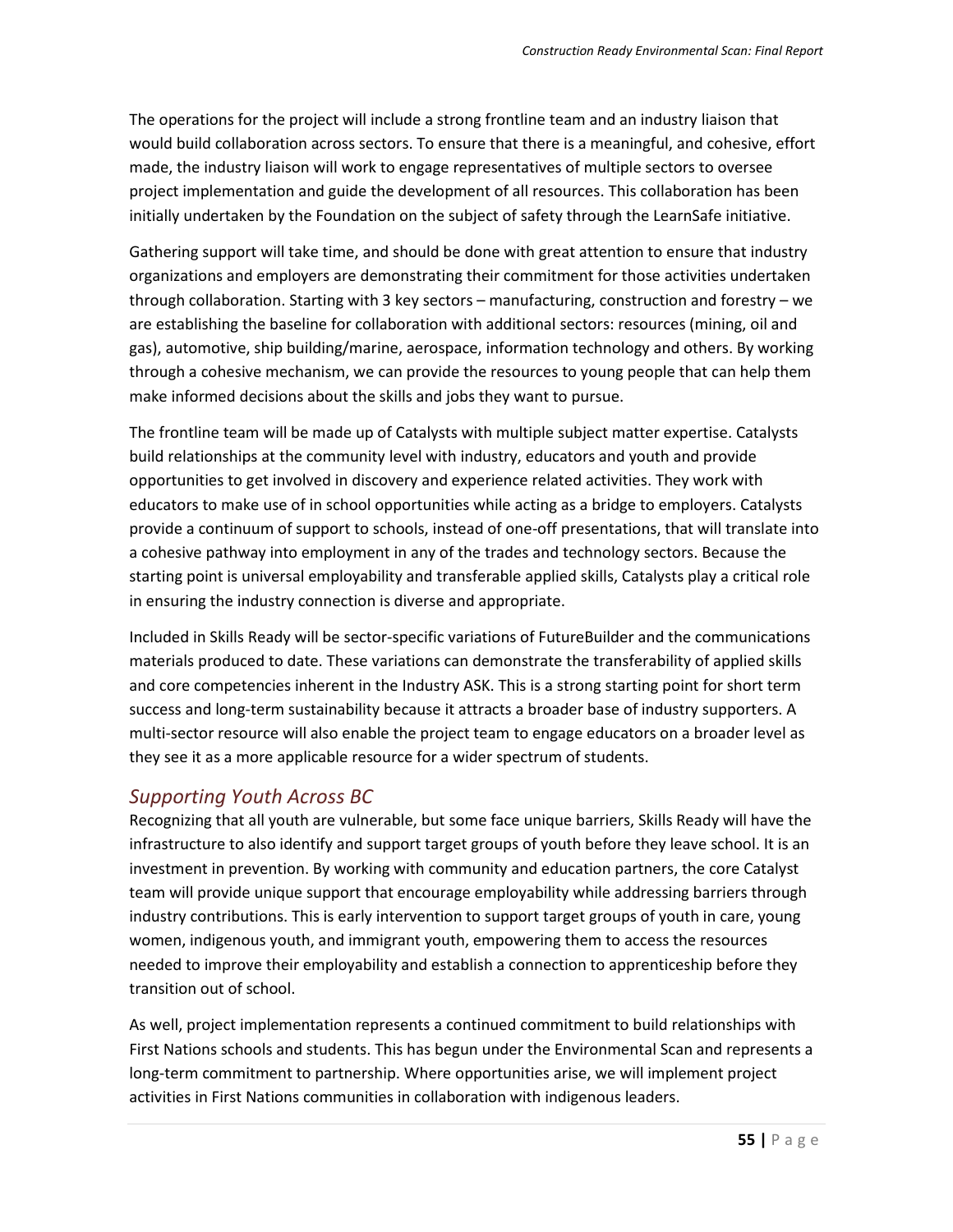The operations for the project will include a strong frontline team and an industry liaison that would build collaboration across sectors. To ensure that there is a meaningful, and cohesive, effort made, the industry liaison will work to engage representatives of multiple sectors to oversee project implementation and guide the development of all resources. This collaboration has been initially undertaken by the Foundation on the subject of safety through the LearnSafe initiative.

Gathering support will take time, and should be done with great attention to ensure that industry organizations and employers are demonstrating their commitment for those activities undertaken through collaboration. Starting with 3 key sectors – manufacturing, construction and forestry – we are establishing the baseline for collaboration with additional sectors: resources (mining, oil and gas), automotive, ship building/marine, aerospace, information technology and others. By working through a cohesive mechanism, we can provide the resources to young people that can help them make informed decisions about the skills and jobs they want to pursue.

The frontline team will be made up of Catalysts with multiple subject matter expertise. Catalysts build relationships at the community level with industry, educators and youth and provide opportunities to get involved in discovery and experience related activities. They work with educators to make use of in school opportunities while acting as a bridge to employers. Catalysts provide a continuum of support to schools, instead of one-off presentations, that will translate into a cohesive pathway into employment in any of the trades and technology sectors. Because the starting point is universal employability and transferable applied skills, Catalysts play a critical role in ensuring the industry connection is diverse and appropriate.

Included in Skills Ready will be sector-specific variations of FutureBuilder and the communications materials produced to date. These variations can demonstrate the transferability of applied skills and core competencies inherent in the Industry ASK. This is a strong starting point for short term success and long-term sustainability because it attracts a broader base of industry supporters. A multi-sector resource will also enable the project team to engage educators on a broader level as they see it as a more applicable resource for a wider spectrum of students.

#### *Supporting Youth Across BC*

Recognizing that all youth are vulnerable, but some face unique barriers, Skills Ready will have the infrastructure to also identify and support target groups of youth before they leave school. It is an investment in prevention. By working with community and education partners, the core Catalyst team will provide unique support that encourage employability while addressing barriers through industry contributions. This is early intervention to support target groups of youth in care, young women, indigenous youth, and immigrant youth, empowering them to access the resources needed to improve their employability and establish a connection to apprenticeship before they transition out of school.

As well, project implementation represents a continued commitment to build relationships with First Nations schools and students. This has begun under the Environmental Scan and represents a long-term commitment to partnership. Where opportunities arise, we will implement project activities in First Nations communities in collaboration with indigenous leaders.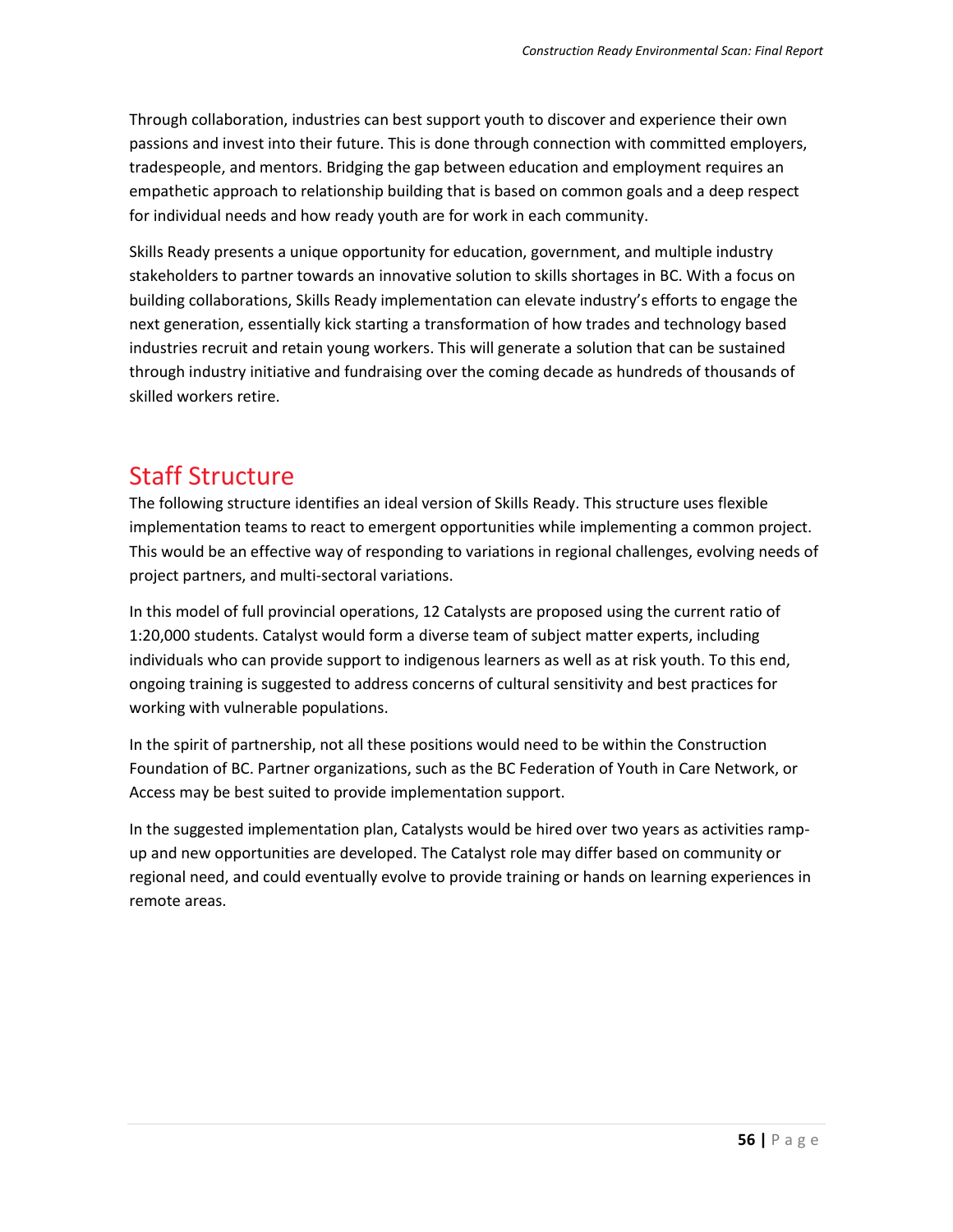Through collaboration, industries can best support youth to discover and experience their own passions and invest into their future. This is done through connection with committed employers, tradespeople, and mentors. Bridging the gap between education and employment requires an empathetic approach to relationship building that is based on common goals and a deep respect for individual needs and how ready youth are for work in each community.

Skills Ready presents a unique opportunity for education, government, and multiple industry stakeholders to partner towards an innovative solution to skills shortages in BC. With a focus on building collaborations, Skills Ready implementation can elevate industry's efforts to engage the next generation, essentially kick starting a transformation of how trades and technology based industries recruit and retain young workers. This will generate a solution that can be sustained through industry initiative and fundraising over the coming decade as hundreds of thousands of skilled workers retire.

### Staff Structure

The following structure identifies an ideal version of Skills Ready. This structure uses flexible implementation teams to react to emergent opportunities while implementing a common project. This would be an effective way of responding to variations in regional challenges, evolving needs of project partners, and multi-sectoral variations.

In this model of full provincial operations, 12 Catalysts are proposed using the current ratio of 1:20,000 students. Catalyst would form a diverse team of subject matter experts, including individuals who can provide support to indigenous learners as well as at risk youth. To this end, ongoing training is suggested to address concerns of cultural sensitivity and best practices for working with vulnerable populations.

In the spirit of partnership, not all these positions would need to be within the Construction Foundation of BC. Partner organizations, such as the BC Federation of Youth in Care Network, or Access may be best suited to provide implementation support.

In the suggested implementation plan, Catalysts would be hired over two years as activities rampup and new opportunities are developed. The Catalyst role may differ based on community or regional need, and could eventually evolve to provide training or hands on learning experiences in remote areas.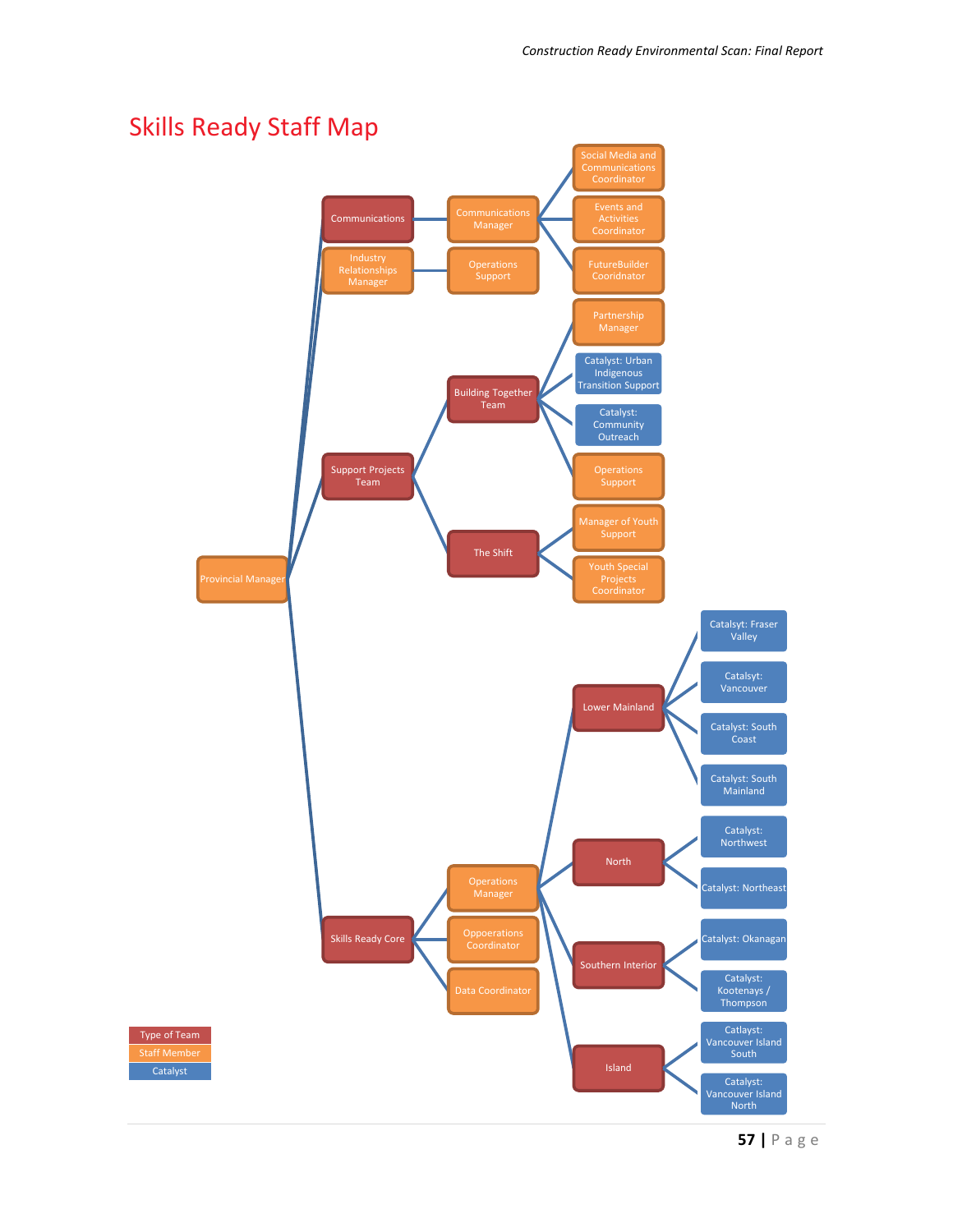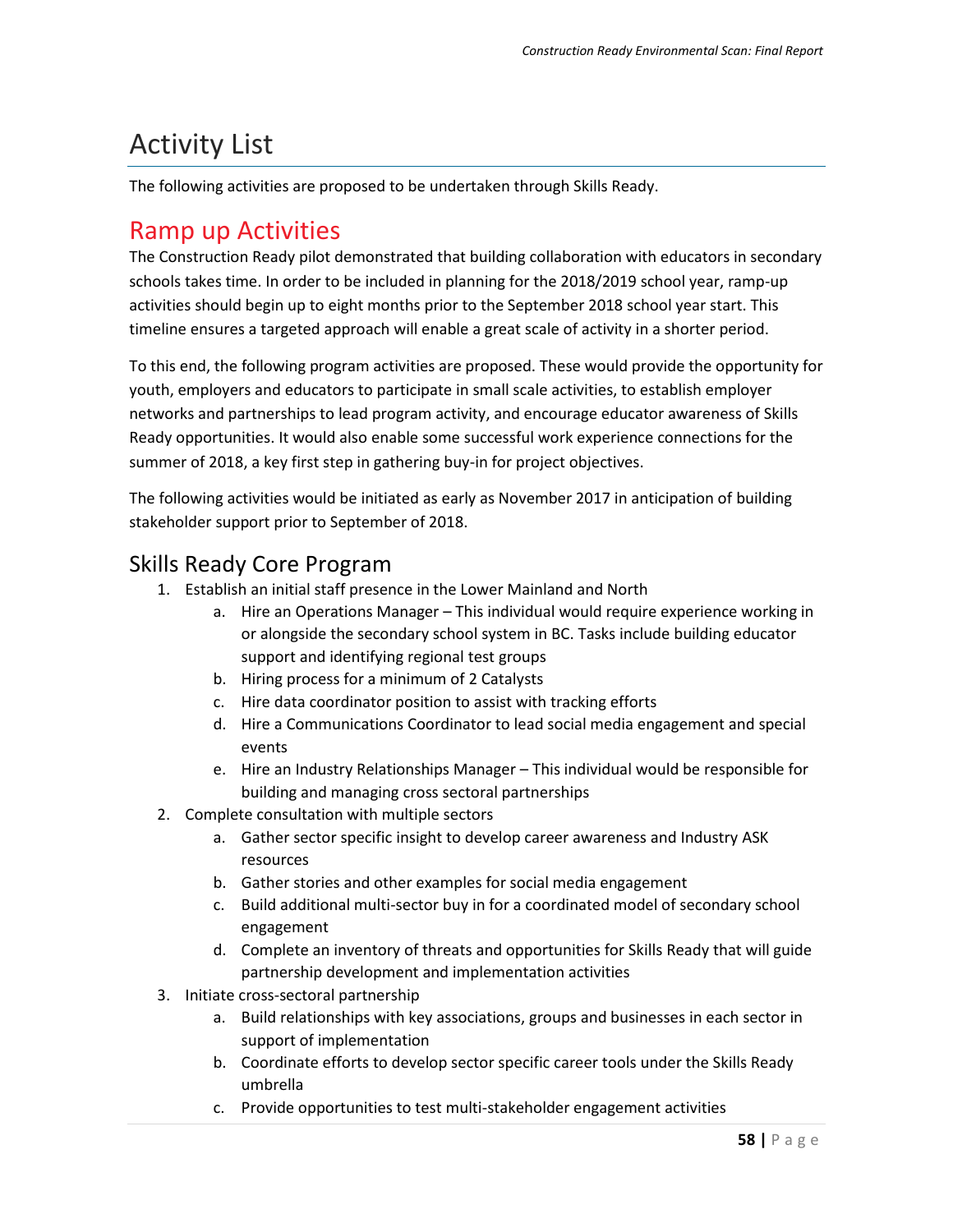# Activity List

The following activities are proposed to be undertaken through Skills Ready.

### Ramp up Activities

The Construction Ready pilot demonstrated that building collaboration with educators in secondary schools takes time. In order to be included in planning for the 2018/2019 school year, ramp-up activities should begin up to eight months prior to the September 2018 school year start. This timeline ensures a targeted approach will enable a great scale of activity in a shorter period.

To this end, the following program activities are proposed. These would provide the opportunity for youth, employers and educators to participate in small scale activities, to establish employer networks and partnerships to lead program activity, and encourage educator awareness of Skills Ready opportunities. It would also enable some successful work experience connections for the summer of 2018, a key first step in gathering buy-in for project objectives.

The following activities would be initiated as early as November 2017 in anticipation of building stakeholder support prior to September of 2018.

### Skills Ready Core Program

- 1. Establish an initial staff presence in the Lower Mainland and North
	- a. Hire an Operations Manager This individual would require experience working in or alongside the secondary school system in BC. Tasks include building educator support and identifying regional test groups
	- b. Hiring process for a minimum of 2 Catalysts
	- c. Hire data coordinator position to assist with tracking efforts
	- d. Hire a Communications Coordinator to lead social media engagement and special events
	- e. Hire an Industry Relationships Manager This individual would be responsible for building and managing cross sectoral partnerships
- 2. Complete consultation with multiple sectors
	- a. Gather sector specific insight to develop career awareness and Industry ASK resources
	- b. Gather stories and other examples for social media engagement
	- c. Build additional multi-sector buy in for a coordinated model of secondary school engagement
	- d. Complete an inventory of threats and opportunities for Skills Ready that will guide partnership development and implementation activities
- 3. Initiate cross-sectoral partnership
	- a. Build relationships with key associations, groups and businesses in each sector in support of implementation
	- b. Coordinate efforts to develop sector specific career tools under the Skills Ready umbrella
	- c. Provide opportunities to test multi-stakeholder engagement activities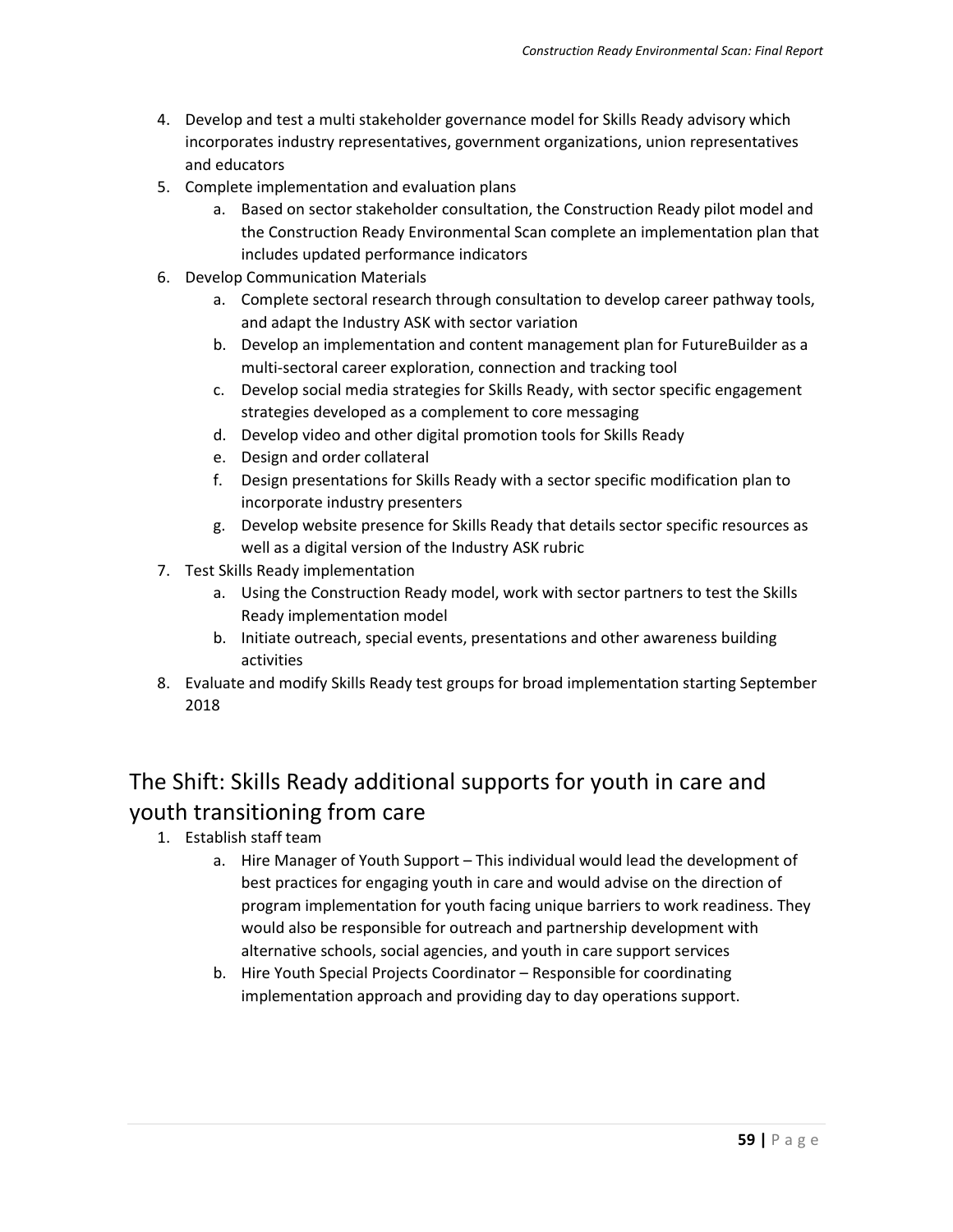- 4. Develop and test a multi stakeholder governance model for Skills Ready advisory which incorporates industry representatives, government organizations, union representatives and educators
- 5. Complete implementation and evaluation plans
	- a. Based on sector stakeholder consultation, the Construction Ready pilot model and the Construction Ready Environmental Scan complete an implementation plan that includes updated performance indicators
- 6. Develop Communication Materials
	- a. Complete sectoral research through consultation to develop career pathway tools, and adapt the Industry ASK with sector variation
	- b. Develop an implementation and content management plan for FutureBuilder as a multi-sectoral career exploration, connection and tracking tool
	- c. Develop social media strategies for Skills Ready, with sector specific engagement strategies developed as a complement to core messaging
	- d. Develop video and other digital promotion tools for Skills Ready
	- e. Design and order collateral
	- f. Design presentations for Skills Ready with a sector specific modification plan to incorporate industry presenters
	- g. Develop website presence for Skills Ready that details sector specific resources as well as a digital version of the Industry ASK rubric
- 7. Test Skills Ready implementation
	- a. Using the Construction Ready model, work with sector partners to test the Skills Ready implementation model
	- b. Initiate outreach, special events, presentations and other awareness building activities
- 8. Evaluate and modify Skills Ready test groups for broad implementation starting September 2018

### The Shift: Skills Ready additional supports for youth in care and youth transitioning from care

- 1. Establish staff team
	- a. Hire Manager of Youth Support This individual would lead the development of best practices for engaging youth in care and would advise on the direction of program implementation for youth facing unique barriers to work readiness. They would also be responsible for outreach and partnership development with alternative schools, social agencies, and youth in care support services
	- b. Hire Youth Special Projects Coordinator Responsible for coordinating implementation approach and providing day to day operations support.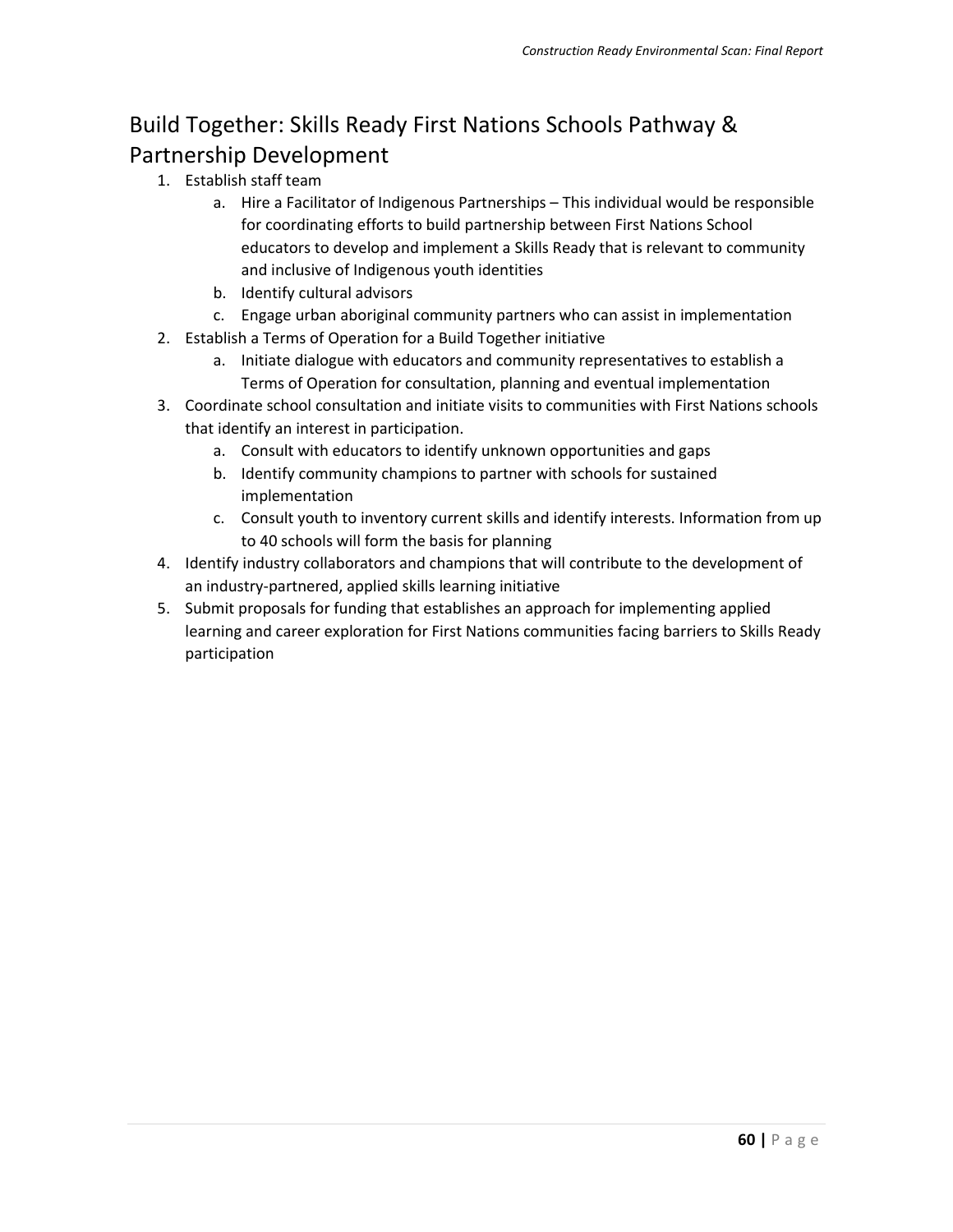### Build Together: Skills Ready First Nations Schools Pathway & Partnership Development

- 1. Establish staff team
	- a. Hire a Facilitator of Indigenous Partnerships This individual would be responsible for coordinating efforts to build partnership between First Nations School educators to develop and implement a Skills Ready that is relevant to community and inclusive of Indigenous youth identities
	- b. Identify cultural advisors
	- c. Engage urban aboriginal community partners who can assist in implementation
- 2. Establish a Terms of Operation for a Build Together initiative
	- a. Initiate dialogue with educators and community representatives to establish a Terms of Operation for consultation, planning and eventual implementation
- 3. Coordinate school consultation and initiate visits to communities with First Nations schools that identify an interest in participation.
	- a. Consult with educators to identify unknown opportunities and gaps
	- b. Identify community champions to partner with schools for sustained implementation
	- c. Consult youth to inventory current skills and identify interests. Information from up to 40 schools will form the basis for planning
- 4. Identify industry collaborators and champions that will contribute to the development of an industry-partnered, applied skills learning initiative
- 5. Submit proposals for funding that establishes an approach for implementing applied learning and career exploration for First Nations communities facing barriers to Skills Ready participation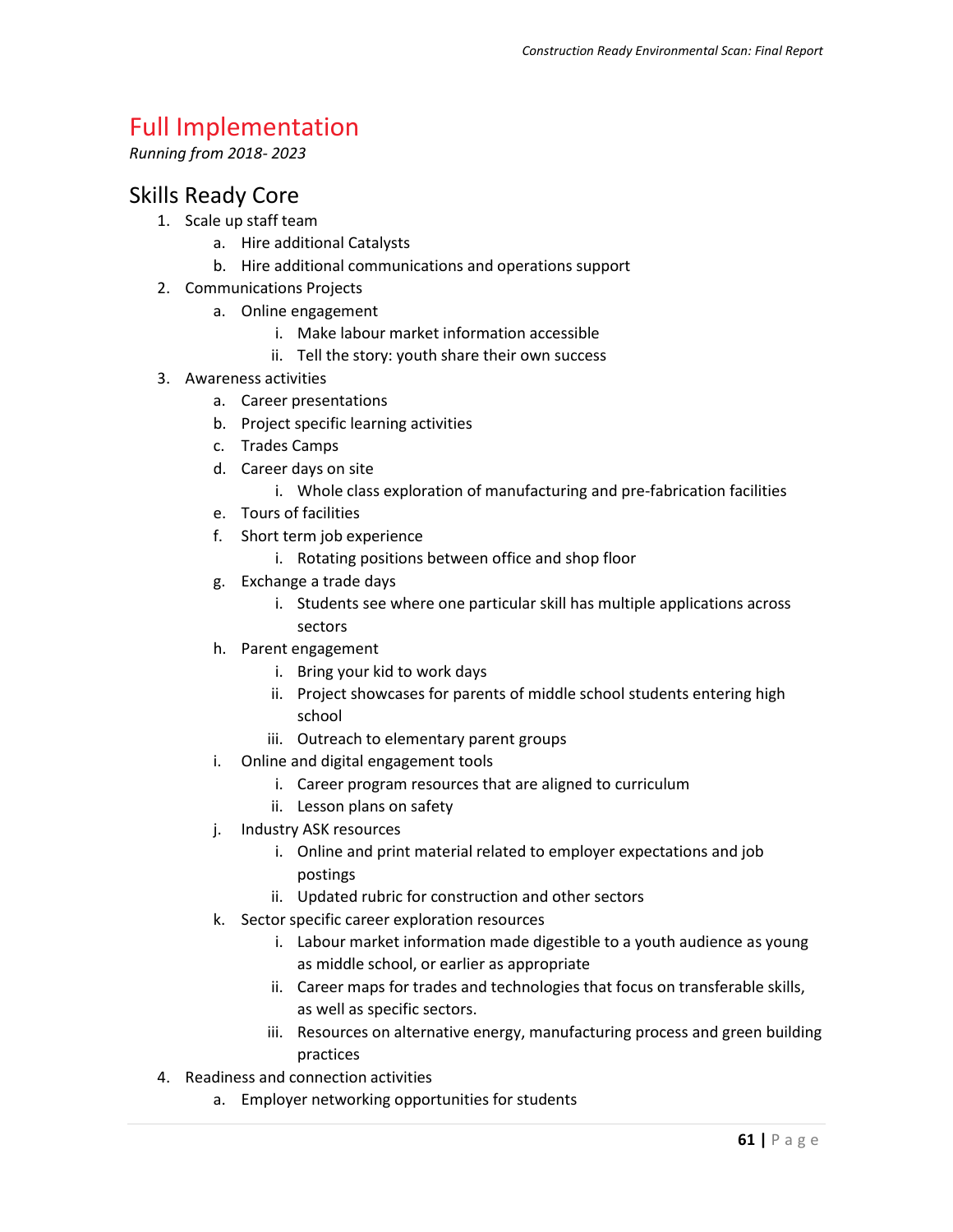### Full Implementation

*Running from 2018- 2023*

### Skills Ready Core

- 1. Scale up staff team
	- a. Hire additional Catalysts
	- b. Hire additional communications and operations support
- 2. Communications Projects
	- a. Online engagement
		- i. Make labour market information accessible
		- ii. Tell the story: youth share their own success
- 3. Awareness activities
	- a. Career presentations
	- b. Project specific learning activities
	- c. Trades Camps
	- d. Career days on site
		- i. Whole class exploration of manufacturing and pre-fabrication facilities
	- e. Tours of facilities
	- f. Short term job experience
		- i. Rotating positions between office and shop floor
	- g. Exchange a trade days
		- i. Students see where one particular skill has multiple applications across sectors
	- h. Parent engagement
		- i. Bring your kid to work days
		- ii. Project showcases for parents of middle school students entering high school
		- iii. Outreach to elementary parent groups
	- i. Online and digital engagement tools
		- i. Career program resources that are aligned to curriculum
		- ii. Lesson plans on safety
	- j. Industry ASK resources
		- i. Online and print material related to employer expectations and job postings
		- ii. Updated rubric for construction and other sectors
	- k. Sector specific career exploration resources
		- i. Labour market information made digestible to a youth audience as young as middle school, or earlier as appropriate
		- ii. Career maps for trades and technologies that focus on transferable skills, as well as specific sectors.
		- iii. Resources on alternative energy, manufacturing process and green building practices
- 4. Readiness and connection activities
	- a. Employer networking opportunities for students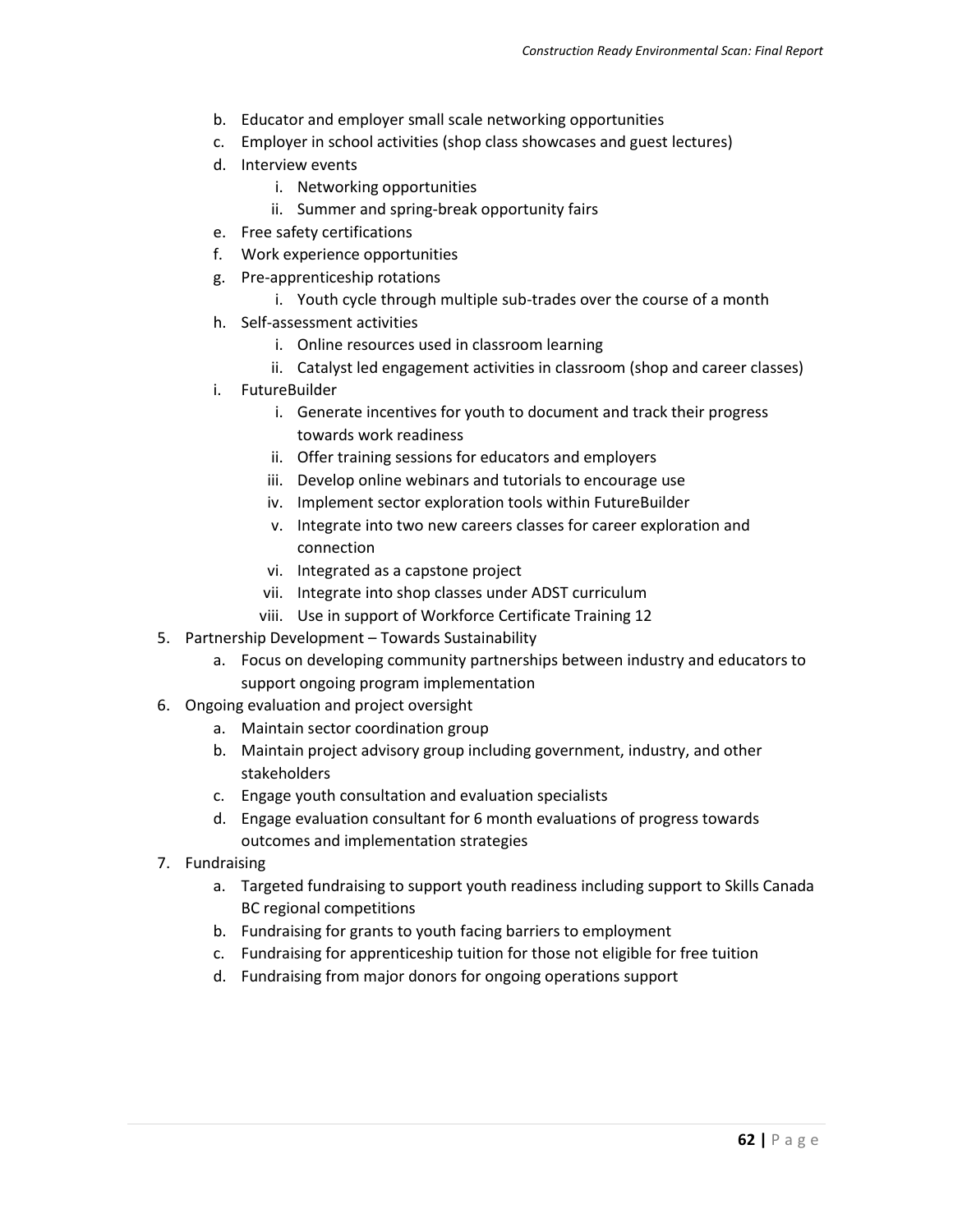- b. Educator and employer small scale networking opportunities
- c. Employer in school activities (shop class showcases and guest lectures)
- d. Interview events
	- i. Networking opportunities
	- ii. Summer and spring-break opportunity fairs
- e. Free safety certifications
- f. Work experience opportunities
- g. Pre-apprenticeship rotations
	- i. Youth cycle through multiple sub-trades over the course of a month
- h. Self-assessment activities
	- i. Online resources used in classroom learning
	- ii. Catalyst led engagement activities in classroom (shop and career classes)
- i. FutureBuilder
	- i. Generate incentives for youth to document and track their progress towards work readiness
	- ii. Offer training sessions for educators and employers
	- iii. Develop online webinars and tutorials to encourage use
	- iv. Implement sector exploration tools within FutureBuilder
	- v. Integrate into two new careers classes for career exploration and connection
	- vi. Integrated as a capstone project
	- vii. Integrate into shop classes under ADST curriculum
	- viii. Use in support of Workforce Certificate Training 12
- 5. Partnership Development Towards Sustainability
	- a. Focus on developing community partnerships between industry and educators to support ongoing program implementation
- 6. Ongoing evaluation and project oversight
	- a. Maintain sector coordination group
	- b. Maintain project advisory group including government, industry, and other stakeholders
	- c. Engage youth consultation and evaluation specialists
	- d. Engage evaluation consultant for 6 month evaluations of progress towards outcomes and implementation strategies
- 7. Fundraising
	- a. Targeted fundraising to support youth readiness including support to Skills Canada BC regional competitions
	- b. Fundraising for grants to youth facing barriers to employment
	- c. Fundraising for apprenticeship tuition for those not eligible for free tuition
	- d. Fundraising from major donors for ongoing operations support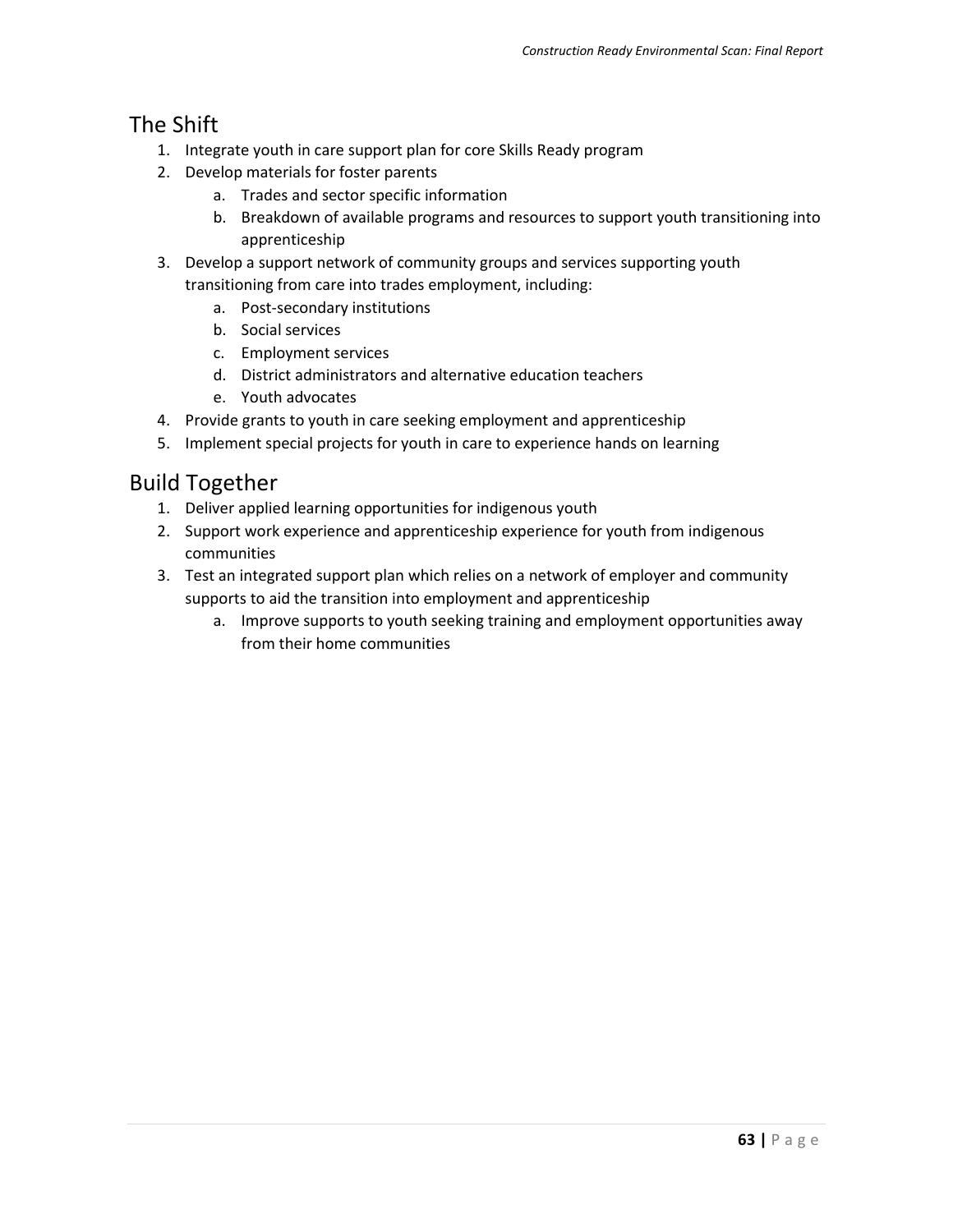#### The Shift

- 1. Integrate youth in care support plan for core Skills Ready program
- 2. Develop materials for foster parents
	- a. Trades and sector specific information
	- b. Breakdown of available programs and resources to support youth transitioning into apprenticeship
- 3. Develop a support network of community groups and services supporting youth transitioning from care into trades employment, including:
	- a. Post-secondary institutions
	- b. Social services
	- c. Employment services
	- d. District administrators and alternative education teachers
	- e. Youth advocates
- 4. Provide grants to youth in care seeking employment and apprenticeship
- 5. Implement special projects for youth in care to experience hands on learning

#### Build Together

- 1. Deliver applied learning opportunities for indigenous youth
- 2. Support work experience and apprenticeship experience for youth from indigenous communities
- 3. Test an integrated support plan which relies on a network of employer and community supports to aid the transition into employment and apprenticeship
	- a. Improve supports to youth seeking training and employment opportunities away from their home communities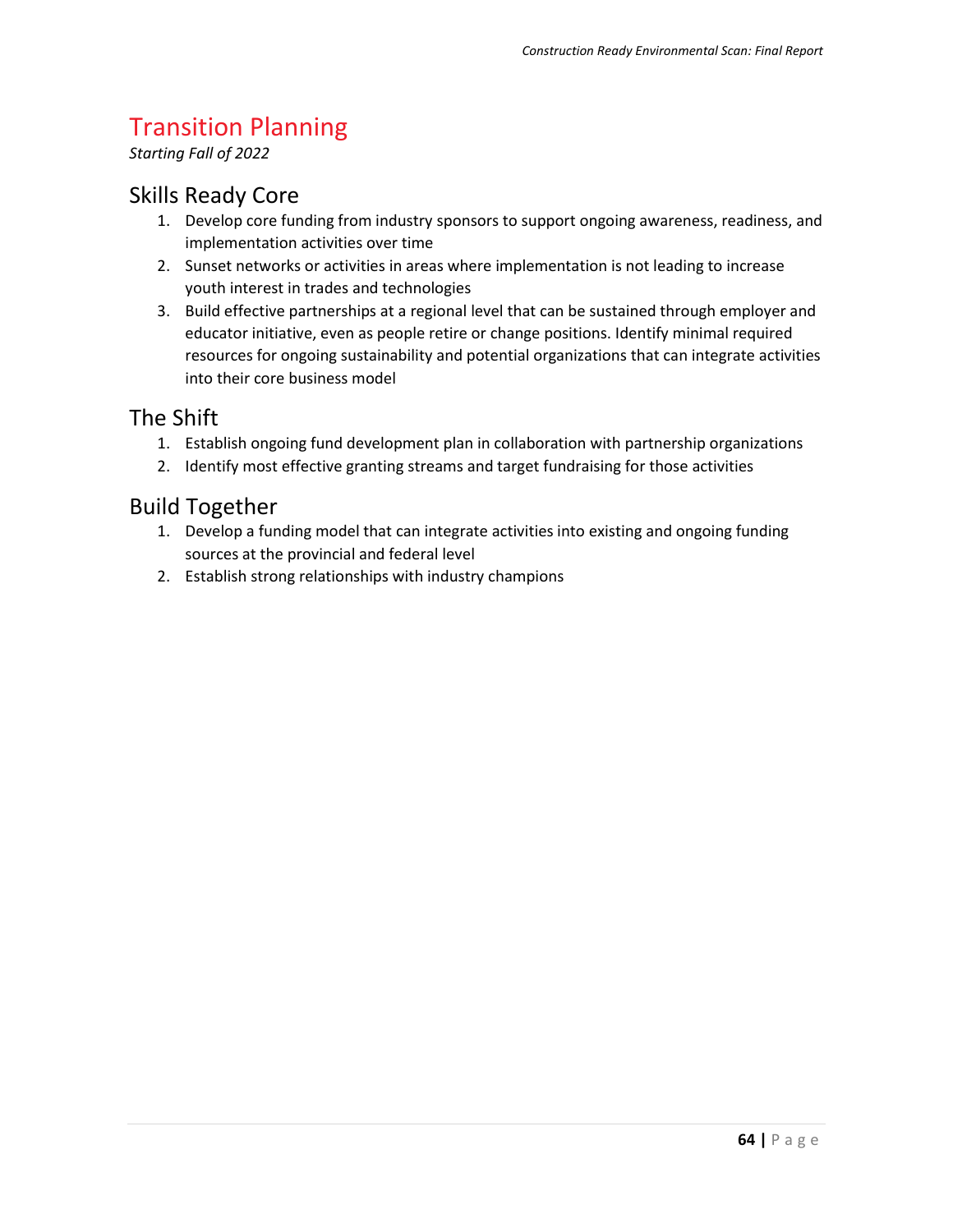## Transition Planning

*Starting Fall of 2022*

#### Skills Ready Core

- 1. Develop core funding from industry sponsors to support ongoing awareness, readiness, and implementation activities over time
- 2. Sunset networks or activities in areas where implementation is not leading to increase youth interest in trades and technologies
- 3. Build effective partnerships at a regional level that can be sustained through employer and educator initiative, even as people retire or change positions. Identify minimal required resources for ongoing sustainability and potential organizations that can integrate activities into their core business model

### The Shift

- 1. Establish ongoing fund development plan in collaboration with partnership organizations
- 2. Identify most effective granting streams and target fundraising for those activities

#### Build Together

- 1. Develop a funding model that can integrate activities into existing and ongoing funding sources at the provincial and federal level
- 2. Establish strong relationships with industry champions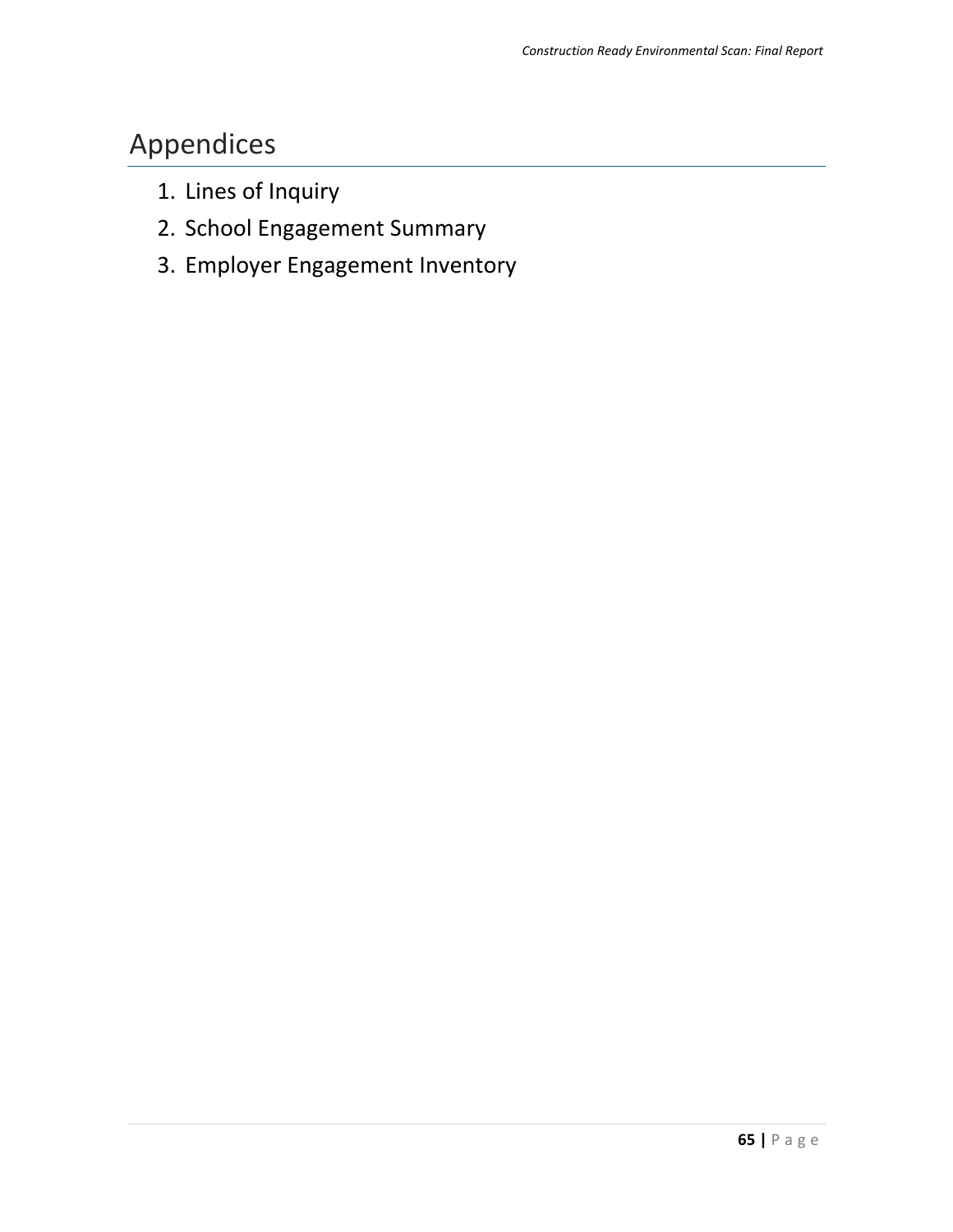# Appendices

- 1. Lines of Inquiry
- 2. School Engagement Summary
- 3. Employer Engagement Inventory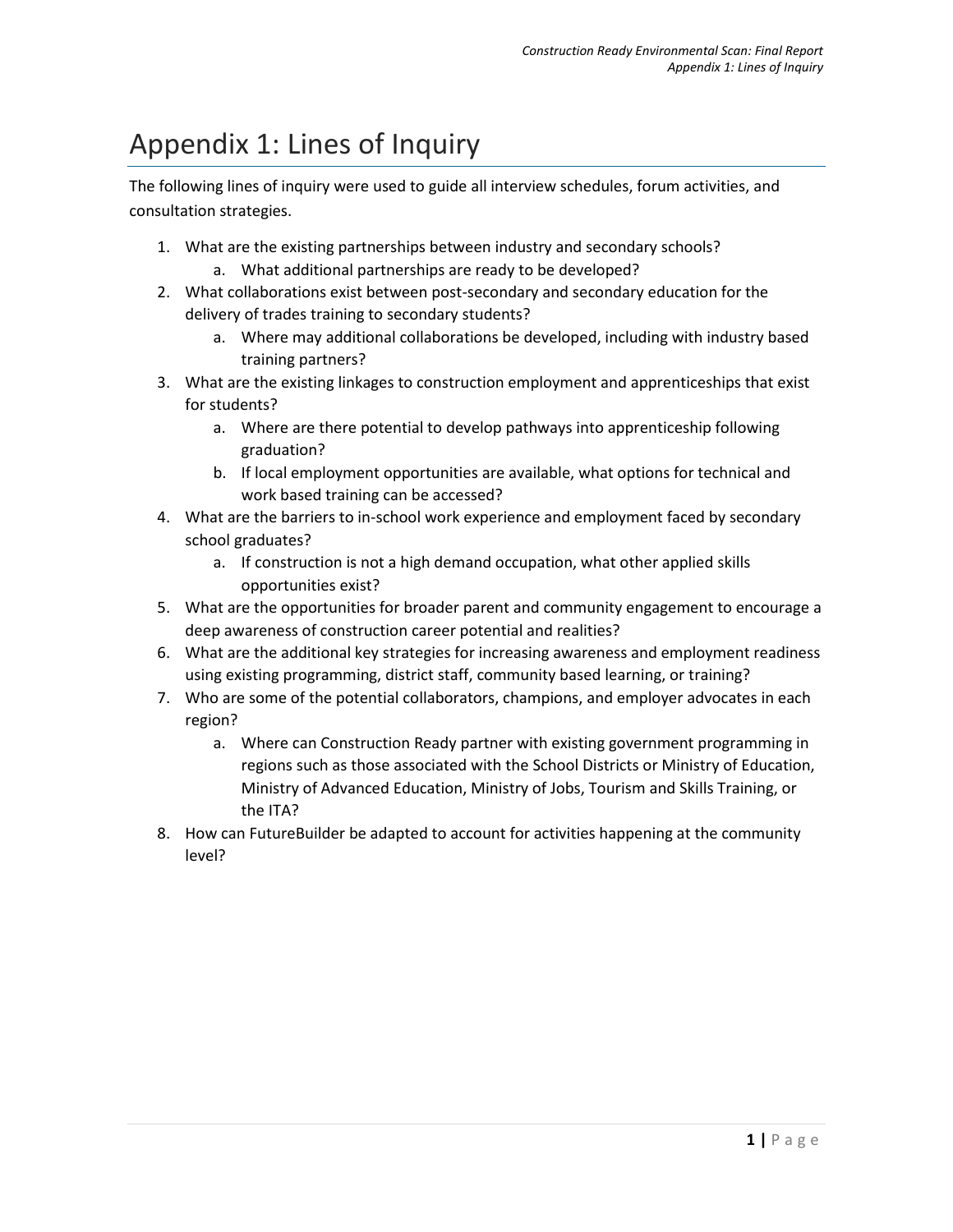# Appendix 1: Lines of Inquiry

The following lines of inquiry were used to guide all interview schedules, forum activities, and consultation strategies.

- 1. What are the existing partnerships between industry and secondary schools?
	- a. What additional partnerships are ready to be developed?
- 2. What collaborations exist between post-secondary and secondary education for the delivery of trades training to secondary students?
	- a. Where may additional collaborations be developed, including with industry based training partners?
- 3. What are the existing linkages to construction employment and apprenticeships that exist for students?
	- a. Where are there potential to develop pathways into apprenticeship following graduation?
	- b. If local employment opportunities are available, what options for technical and work based training can be accessed?
- 4. What are the barriers to in-school work experience and employment faced by secondary school graduates?
	- a. If construction is not a high demand occupation, what other applied skills opportunities exist?
- 5. What are the opportunities for broader parent and community engagement to encourage a deep awareness of construction career potential and realities?
- 6. What are the additional key strategies for increasing awareness and employment readiness using existing programming, district staff, community based learning, or training?
- 7. Who are some of the potential collaborators, champions, and employer advocates in each region?
	- a. Where can Construction Ready partner with existing government programming in regions such as those associated with the School Districts or Ministry of Education, Ministry of Advanced Education, Ministry of Jobs, Tourism and Skills Training, or the ITA?
- 8. How can FutureBuilder be adapted to account for activities happening at the community level?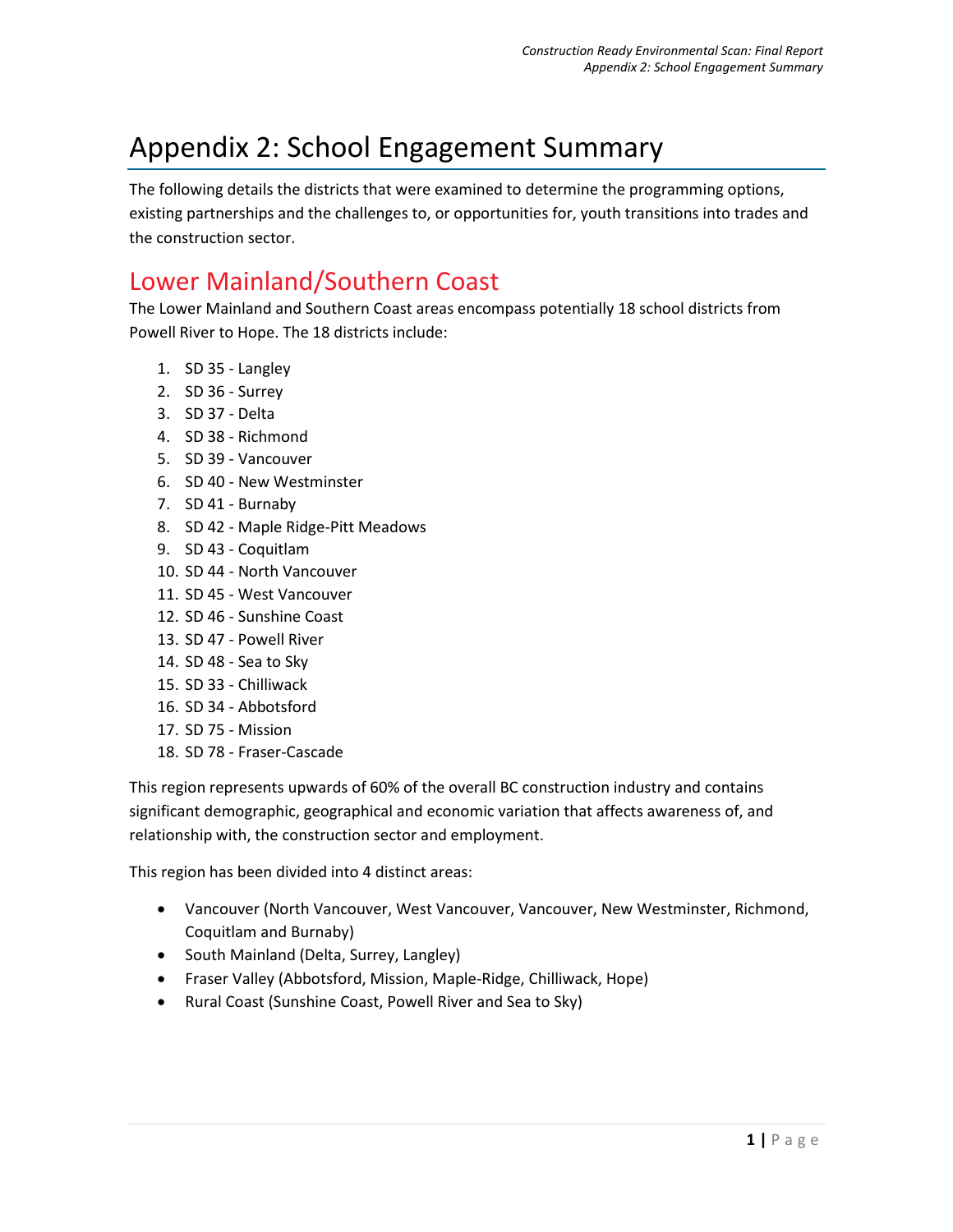# Appendix 2: School Engagement Summary

The following details the districts that were examined to determine the programming options, existing partnerships and the challenges to, or opportunities for, youth transitions into trades and the construction sector.

## Lower Mainland/Southern Coast

The Lower Mainland and Southern Coast areas encompass potentially 18 school districts from Powell River to Hope. The 18 districts include:

- 1. SD 35 Langley
- 2. SD 36 Surrey
- 3. SD 37 Delta
- 4. SD 38 Richmond
- 5. SD 39 Vancouver
- 6. SD 40 New Westminster
- 7. SD 41 Burnaby
- 8. SD 42 Maple Ridge-Pitt Meadows
- 9. SD 43 Coquitlam
- 10. SD 44 North Vancouver
- 11. SD 45 West Vancouver
- 12. SD 46 Sunshine Coast
- 13. SD 47 Powell River
- 14. SD 48 Sea to Sky
- 15. SD 33 Chilliwack
- 16. SD 34 Abbotsford
- 17. SD 75 Mission
- 18. SD 78 Fraser-Cascade

This region represents upwards of 60% of the overall BC construction industry and contains significant demographic, geographical and economic variation that affects awareness of, and relationship with, the construction sector and employment.

This region has been divided into 4 distinct areas:

- Vancouver (North Vancouver, West Vancouver, Vancouver, New Westminster, Richmond, Coquitlam and Burnaby)
- South Mainland (Delta, Surrey, Langley)
- Fraser Valley (Abbotsford, Mission, Maple-Ridge, Chilliwack, Hope)
- Rural Coast (Sunshine Coast, Powell River and Sea to Sky)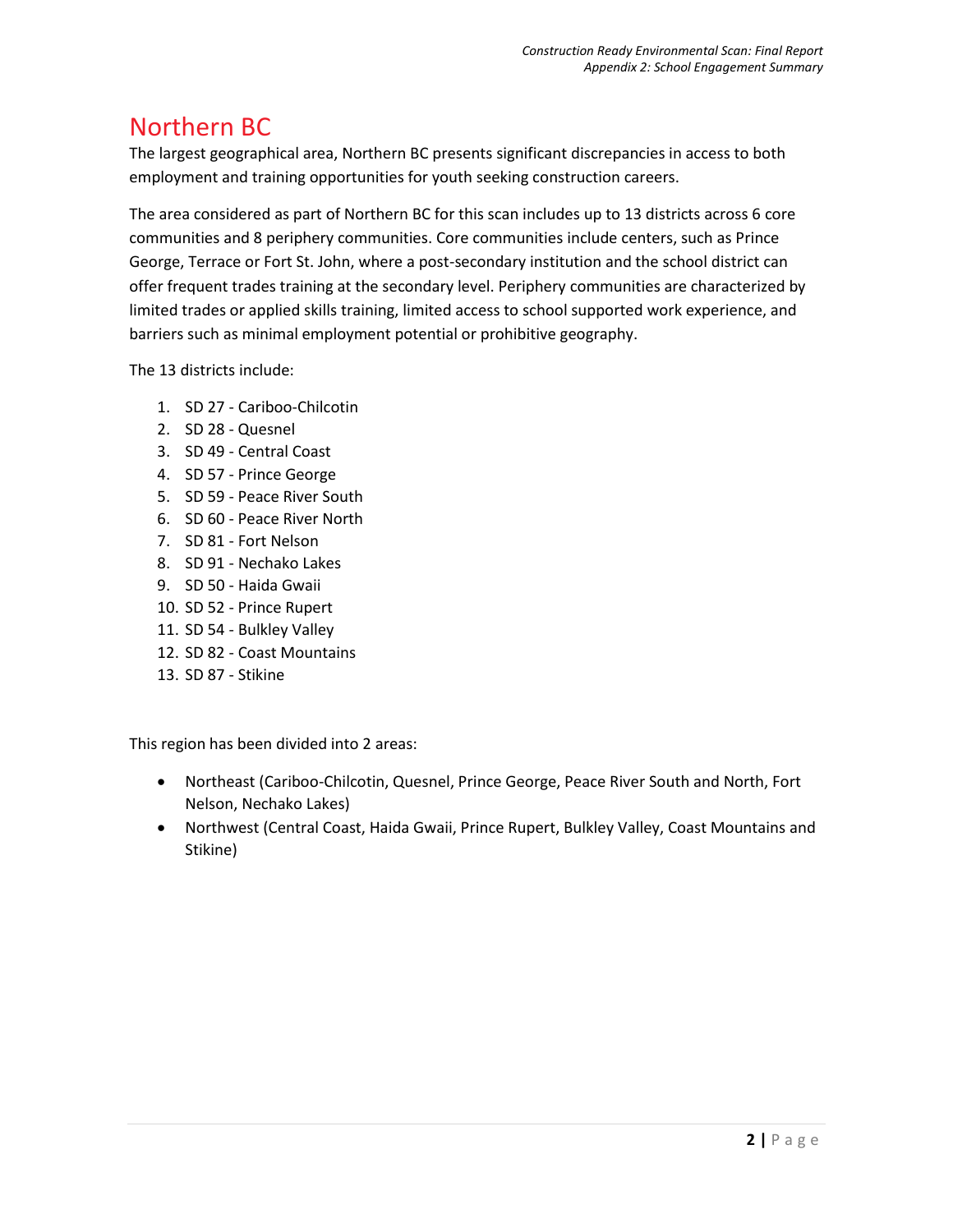### Northern BC

The largest geographical area, Northern BC presents significant discrepancies in access to both employment and training opportunities for youth seeking construction careers.

The area considered as part of Northern BC for this scan includes up to 13 districts across 6 core communities and 8 periphery communities. Core communities include centers, such as Prince George, Terrace or Fort St. John, where a post-secondary institution and the school district can offer frequent trades training at the secondary level. Periphery communities are characterized by limited trades or applied skills training, limited access to school supported work experience, and barriers such as minimal employment potential or prohibitive geography.

The 13 districts include:

- 1. SD 27 Cariboo-Chilcotin
- 2. SD 28 Quesnel
- 3. SD 49 Central Coast
- 4. SD 57 Prince George
- 5. SD 59 Peace River South
- 6. SD 60 Peace River North
- 7. SD 81 Fort Nelson
- 8. SD 91 Nechako Lakes
- 9. SD 50 Haida Gwaii
- 10. SD 52 Prince Rupert
- 11. SD 54 Bulkley Valley
- 12. SD 82 Coast Mountains
- 13. SD 87 Stikine

This region has been divided into 2 areas:

- Northeast (Cariboo-Chilcotin, Quesnel, Prince George, Peace River South and North, Fort Nelson, Nechako Lakes)
- Northwest (Central Coast, Haida Gwaii, Prince Rupert, Bulkley Valley, Coast Mountains and Stikine)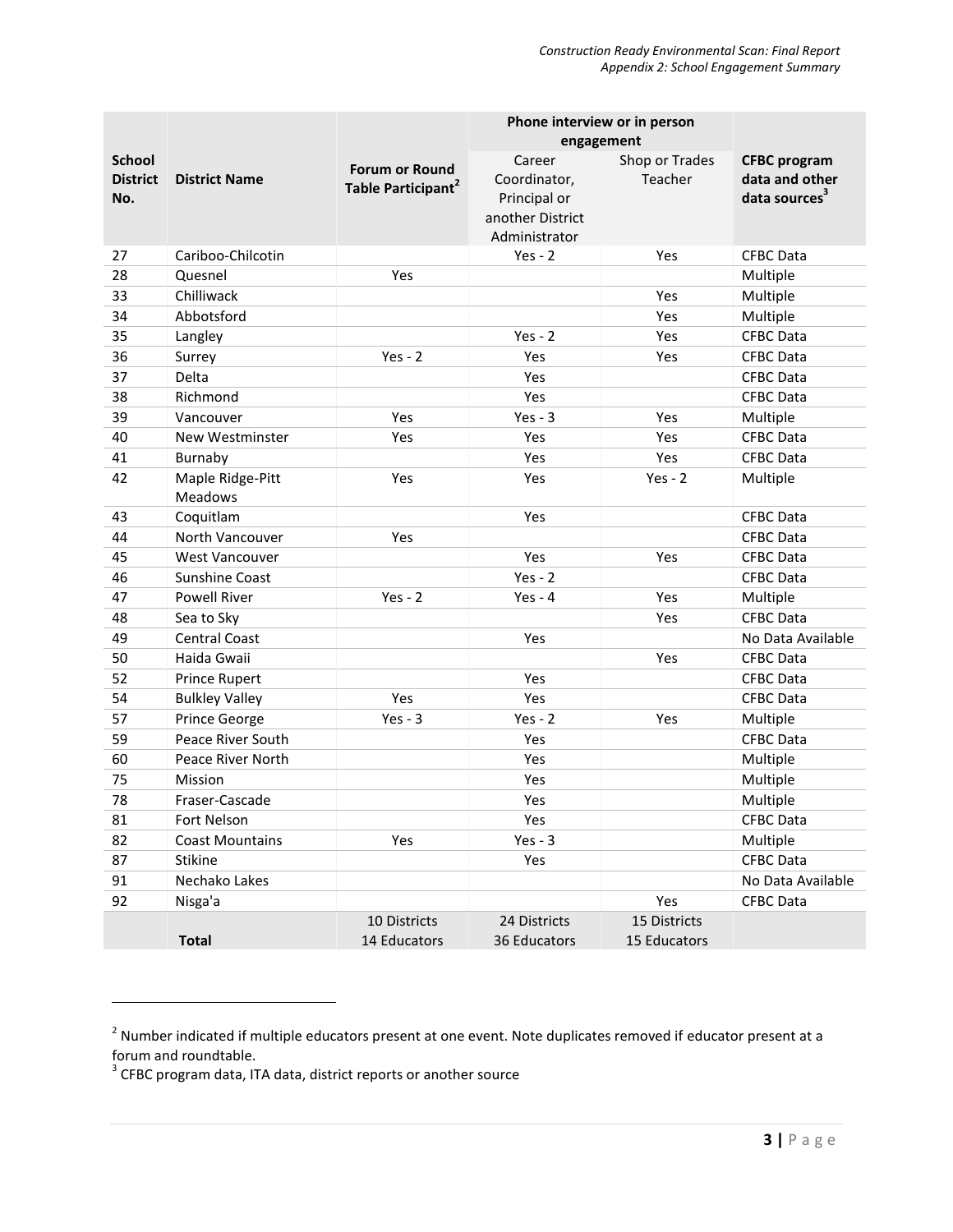|                                         |                                    |                                                         | Phone interview or in person<br>engagement                                  |                           |                                                                    |
|-----------------------------------------|------------------------------------|---------------------------------------------------------|-----------------------------------------------------------------------------|---------------------------|--------------------------------------------------------------------|
| <b>School</b><br><b>District</b><br>No. | <b>District Name</b>               | <b>Forum or Round</b><br>Table Participant <sup>2</sup> | Career<br>Coordinator,<br>Principal or<br>another District<br>Administrator | Shop or Trades<br>Teacher | <b>CFBC</b> program<br>data and other<br>data sources <sup>3</sup> |
| 27                                      | Cariboo-Chilcotin                  |                                                         | $Yes - 2$                                                                   | Yes                       | <b>CFBC Data</b>                                                   |
| 28                                      | Quesnel                            | Yes                                                     |                                                                             |                           | Multiple                                                           |
| 33                                      | Chilliwack                         |                                                         |                                                                             | Yes                       | Multiple                                                           |
| 34                                      | Abbotsford                         |                                                         |                                                                             | Yes                       | Multiple                                                           |
| 35                                      | Langley                            |                                                         | $Yes - 2$                                                                   | Yes                       | <b>CFBC Data</b>                                                   |
| 36                                      | Surrey                             | $Yes - 2$                                               | Yes                                                                         | Yes                       | <b>CFBC Data</b>                                                   |
| 37                                      | Delta                              |                                                         | Yes                                                                         |                           | <b>CFBC Data</b>                                                   |
| 38                                      | Richmond                           |                                                         | Yes                                                                         |                           | <b>CFBC Data</b>                                                   |
| 39                                      | Vancouver                          | Yes                                                     | $Yes - 3$                                                                   | Yes                       | Multiple                                                           |
| 40                                      | <b>New Westminster</b>             | Yes                                                     | Yes                                                                         | Yes                       | <b>CFBC Data</b>                                                   |
| 41                                      | Burnaby                            |                                                         | Yes                                                                         | Yes                       | <b>CFBC Data</b>                                                   |
| 42                                      | Maple Ridge-Pitt<br><b>Meadows</b> | Yes                                                     | Yes                                                                         | $Yes - 2$                 | Multiple                                                           |
| 43                                      | Coquitlam                          |                                                         | Yes                                                                         |                           | <b>CFBC Data</b>                                                   |
| 44                                      | North Vancouver                    | Yes                                                     |                                                                             |                           | <b>CFBC Data</b>                                                   |
| 45                                      | <b>West Vancouver</b>              |                                                         | Yes                                                                         | Yes                       | <b>CFBC Data</b>                                                   |
| 46                                      | Sunshine Coast                     |                                                         | $Yes - 2$                                                                   |                           | <b>CFBC Data</b>                                                   |
| 47                                      | <b>Powell River</b>                | $Yes - 2$                                               | $Yes - 4$                                                                   | Yes                       | Multiple                                                           |
| 48                                      | Sea to Sky                         |                                                         |                                                                             | Yes                       | <b>CFBC</b> Data                                                   |
| 49                                      | <b>Central Coast</b>               |                                                         | Yes                                                                         |                           | No Data Available                                                  |
| 50                                      | Haida Gwaii                        |                                                         |                                                                             | Yes                       | <b>CFBC Data</b>                                                   |
| 52                                      | Prince Rupert                      |                                                         | Yes                                                                         |                           | <b>CFBC Data</b>                                                   |
| 54                                      | <b>Bulkley Valley</b>              | Yes                                                     | Yes                                                                         |                           | <b>CFBC Data</b>                                                   |
| 57                                      | Prince George                      | $Yes - 3$                                               | $Yes - 2$                                                                   | Yes                       | Multiple                                                           |
| 59                                      | Peace River South                  |                                                         | Yes                                                                         |                           | <b>CFBC</b> Data                                                   |
| 60                                      | Peace River North                  |                                                         | Yes                                                                         |                           | Multiple                                                           |
| 75                                      | Mission                            |                                                         | Yes                                                                         |                           | Multiple                                                           |
| 78                                      | Fraser-Cascade                     |                                                         | Yes                                                                         |                           | Multiple                                                           |
| 81                                      | Fort Nelson                        |                                                         | Yes                                                                         |                           | <b>CFBC Data</b>                                                   |
| 82                                      | <b>Coast Mountains</b>             | Yes                                                     | $Yes - 3$                                                                   |                           | Multiple                                                           |
| 87                                      | <b>Stikine</b>                     |                                                         | Yes                                                                         |                           | <b>CFBC Data</b>                                                   |
| 91                                      | Nechako Lakes                      |                                                         |                                                                             |                           | No Data Available                                                  |
| 92                                      | Nisga'a                            |                                                         |                                                                             | Yes                       | <b>CFBC Data</b>                                                   |
|                                         |                                    | 10 Districts                                            | 24 Districts                                                                | 15 Districts              |                                                                    |
|                                         | <b>Total</b>                       | 14 Educators                                            | 36 Educators                                                                | 15 Educators              |                                                                    |

l

 $^2$  Number indicated if multiple educators present at one event. Note duplicates removed if educator present at a forum and roundtable.

 $3$  CFBC program data, ITA data, district reports or another source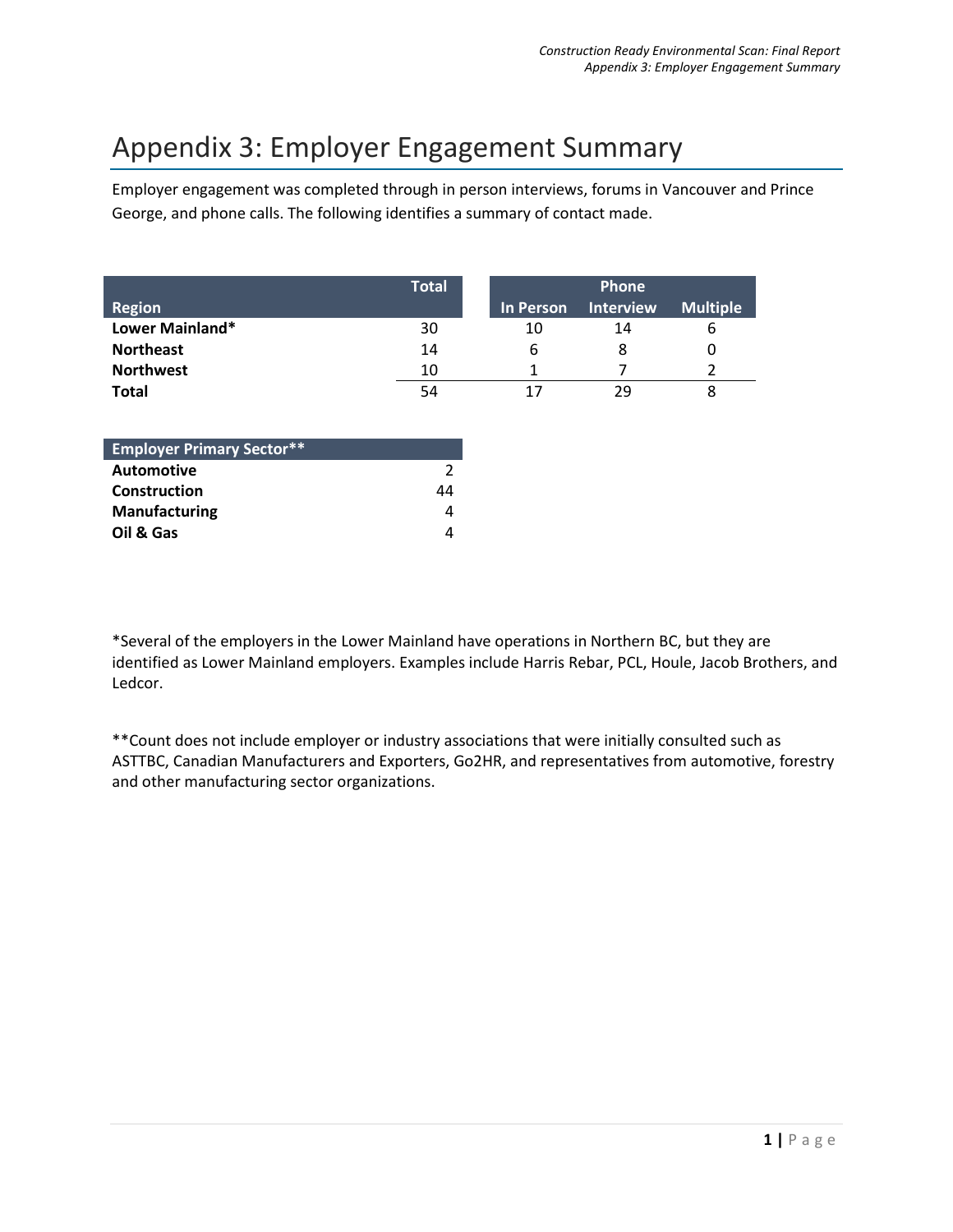## Appendix 3: Employer Engagement Summary

Employer engagement was completed through in person interviews, forums in Vancouver and Prince George, and phone calls. The following identifies a summary of contact made.

|                  | <b>Total</b> | Phone     |                  |                 |
|------------------|--------------|-----------|------------------|-----------------|
| <b>Region</b>    |              | In Person | <b>Interview</b> | <b>Multiple</b> |
| Lower Mainland*  | 30           | 10        | 14               | b               |
| <b>Northeast</b> | 14           |           | 8                | 0               |
| <b>Northwest</b> | 10           |           |                  | າ               |
| Total            | 54           | 17        | 29               | 8               |

| <b>Employer Primary Sector**</b> |    |  |
|----------------------------------|----|--|
| <b>Automotive</b>                |    |  |
| Construction                     | 44 |  |
| <b>Manufacturing</b>             |    |  |
| Oil & Gas                        |    |  |

\*Several of the employers in the Lower Mainland have operations in Northern BC, but they are identified as Lower Mainland employers. Examples include Harris Rebar, PCL, Houle, Jacob Brothers, and Ledcor.

\*\*Count does not include employer or industry associations that were initially consulted such as ASTTBC, Canadian Manufacturers and Exporters, Go2HR, and representatives from automotive, forestry and other manufacturing sector organizations.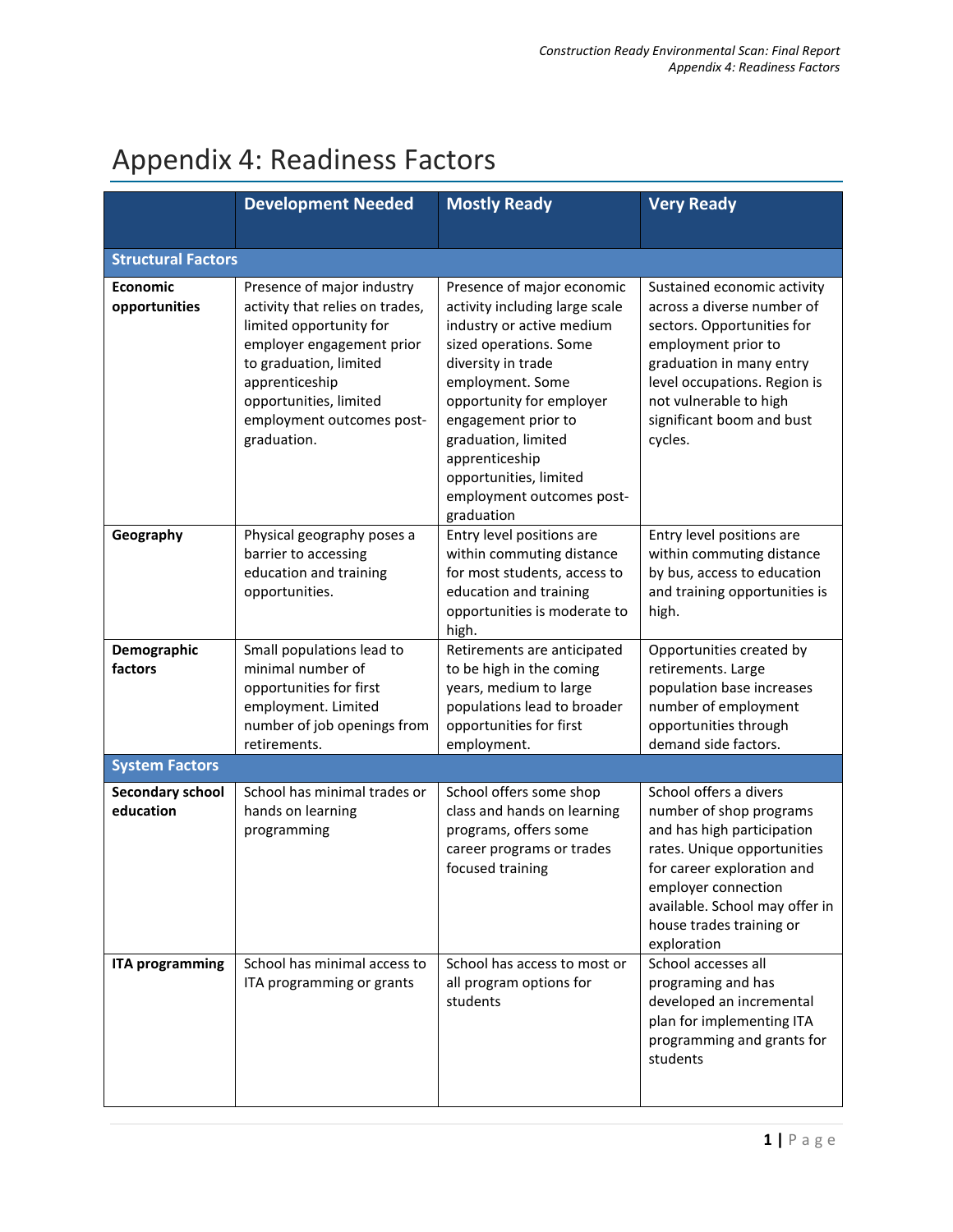|                               | <b>Development Needed</b>                                                                                                                                                                                                               | <b>Mostly Ready</b>                                                                                                                                                                                                                                                                                                            | <b>Very Ready</b>                                                                                                                                                                                                                                |
|-------------------------------|-----------------------------------------------------------------------------------------------------------------------------------------------------------------------------------------------------------------------------------------|--------------------------------------------------------------------------------------------------------------------------------------------------------------------------------------------------------------------------------------------------------------------------------------------------------------------------------|--------------------------------------------------------------------------------------------------------------------------------------------------------------------------------------------------------------------------------------------------|
|                               |                                                                                                                                                                                                                                         |                                                                                                                                                                                                                                                                                                                                |                                                                                                                                                                                                                                                  |
| <b>Structural Factors</b>     |                                                                                                                                                                                                                                         |                                                                                                                                                                                                                                                                                                                                |                                                                                                                                                                                                                                                  |
| Economic<br>opportunities     | Presence of major industry<br>activity that relies on trades,<br>limited opportunity for<br>employer engagement prior<br>to graduation, limited<br>apprenticeship<br>opportunities, limited<br>employment outcomes post-<br>graduation. | Presence of major economic<br>activity including large scale<br>industry or active medium<br>sized operations. Some<br>diversity in trade<br>employment. Some<br>opportunity for employer<br>engagement prior to<br>graduation, limited<br>apprenticeship<br>opportunities, limited<br>employment outcomes post-<br>graduation | Sustained economic activity<br>across a diverse number of<br>sectors. Opportunities for<br>employment prior to<br>graduation in many entry<br>level occupations. Region is<br>not vulnerable to high<br>significant boom and bust<br>cycles.     |
| Geography                     | Physical geography poses a<br>barrier to accessing<br>education and training<br>opportunities.                                                                                                                                          | Entry level positions are<br>within commuting distance<br>for most students, access to<br>education and training<br>opportunities is moderate to<br>high.                                                                                                                                                                      | Entry level positions are<br>within commuting distance<br>by bus, access to education<br>and training opportunities is<br>high.                                                                                                                  |
| Demographic<br>factors        | Small populations lead to<br>minimal number of<br>opportunities for first<br>employment. Limited<br>number of job openings from<br>retirements.                                                                                         | Retirements are anticipated<br>to be high in the coming<br>years, medium to large<br>populations lead to broader<br>opportunities for first<br>employment.                                                                                                                                                                     | Opportunities created by<br>retirements. Large<br>population base increases<br>number of employment<br>opportunities through<br>demand side factors.                                                                                             |
| <b>System Factors</b>         |                                                                                                                                                                                                                                         |                                                                                                                                                                                                                                                                                                                                |                                                                                                                                                                                                                                                  |
| Secondary school<br>education | School has minimal trades or<br>hands on learning<br>programming                                                                                                                                                                        | School offers some shop<br>class and hands on learning<br>programs, offers some<br>career programs or trades<br>focused training                                                                                                                                                                                               | School offers a divers<br>number of shop programs<br>and has high participation<br>rates. Unique opportunities<br>for career exploration and<br>employer connection<br>available. School may offer in<br>house trades training or<br>exploration |
| <b>ITA programming</b>        | School has minimal access to<br>ITA programming or grants                                                                                                                                                                               | School has access to most or<br>all program options for<br>students                                                                                                                                                                                                                                                            | School accesses all<br>programing and has<br>developed an incremental<br>plan for implementing ITA<br>programming and grants for<br>students                                                                                                     |

## Appendix 4: Readiness Factors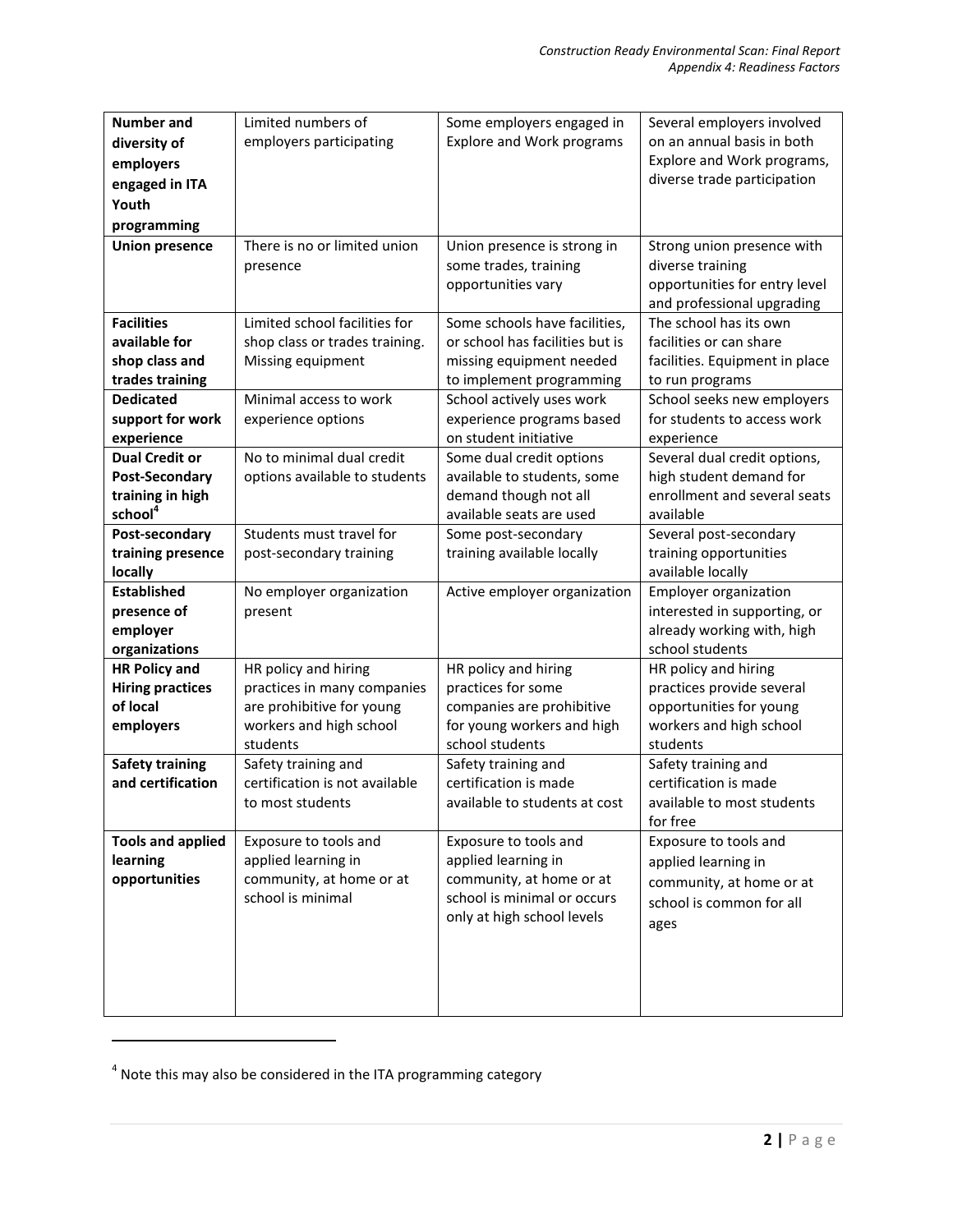| <b>Number and</b>                   | Limited numbers of                  | Some employers engaged in                     | Several employers involved          |
|-------------------------------------|-------------------------------------|-----------------------------------------------|-------------------------------------|
| diversity of                        | employers participating             | <b>Explore and Work programs</b>              | on an annual basis in both          |
| employers                           |                                     |                                               | Explore and Work programs,          |
| engaged in ITA                      |                                     |                                               | diverse trade participation         |
| Youth                               |                                     |                                               |                                     |
| programming                         |                                     |                                               |                                     |
| <b>Union presence</b>               | There is no or limited union        | Union presence is strong in                   | Strong union presence with          |
|                                     | presence                            | some trades, training                         | diverse training                    |
|                                     |                                     | opportunities vary                            | opportunities for entry level       |
|                                     |                                     |                                               | and professional upgrading          |
| <b>Facilities</b>                   | Limited school facilities for       | Some schools have facilities,                 | The school has its own              |
| available for                       | shop class or trades training.      | or school has facilities but is               | facilities or can share             |
| shop class and                      | Missing equipment                   | missing equipment needed                      | facilities. Equipment in place      |
| trades training                     |                                     | to implement programming                      | to run programs                     |
| <b>Dedicated</b>                    | Minimal access to work              | School actively uses work                     | School seeks new employers          |
| support for work                    | experience options                  | experience programs based                     | for students to access work         |
| experience                          |                                     | on student initiative                         | experience                          |
| <b>Dual Credit or</b>               | No to minimal dual credit           | Some dual credit options                      | Several dual credit options,        |
| <b>Post-Secondary</b>               | options available to students       | available to students, some                   | high student demand for             |
| training in high                    |                                     | demand though not all                         | enrollment and several seats        |
| school <sup>4</sup>                 |                                     | available seats are used                      | available                           |
| Post-secondary                      | Students must travel for            | Some post-secondary                           | Several post-secondary              |
| training presence                   | post-secondary training             | training available locally                    | training opportunities              |
| locally                             |                                     |                                               | available locally                   |
| <b>Established</b>                  | No employer organization            | Active employer organization                  | <b>Employer organization</b>        |
| presence of                         | present                             |                                               | interested in supporting, or        |
| employer                            |                                     |                                               | already working with, high          |
| organizations                       |                                     |                                               | school students                     |
| <b>HR Policy and</b>                | HR policy and hiring                | HR policy and hiring                          | HR policy and hiring                |
| <b>Hiring practices</b><br>of local | practices in many companies         | practices for some                            | practices provide several           |
|                                     | are prohibitive for young           | companies are prohibitive                     | opportunities for young             |
| employers                           | workers and high school<br>students | for young workers and high<br>school students | workers and high school<br>students |
| <b>Safety training</b>              | Safety training and                 | Safety training and                           | Safety training and                 |
| and certification                   | certification is not available      | certification is made                         | certification is made               |
|                                     | to most students                    | available to students at cost                 | available to most students          |
|                                     |                                     |                                               | for free                            |
| <b>Tools and applied</b>            | Exposure to tools and               | Exposure to tools and                         | Exposure to tools and               |
| learning                            | applied learning in                 | applied learning in                           | applied learning in                 |
| opportunities                       | community, at home or at            | community, at home or at                      | community, at home or at            |
|                                     | school is minimal                   | school is minimal or occurs                   | school is common for all            |
|                                     |                                     | only at high school levels                    |                                     |
|                                     |                                     |                                               | ages                                |
|                                     |                                     |                                               |                                     |
|                                     |                                     |                                               |                                     |
|                                     |                                     |                                               |                                     |
|                                     |                                     |                                               |                                     |

 $<sup>4</sup>$  Note this may also be considered in the ITA programming category</sup>

 $\overline{a}$